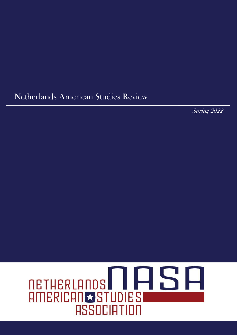# Netherlands American Studies Review

Spring 2022

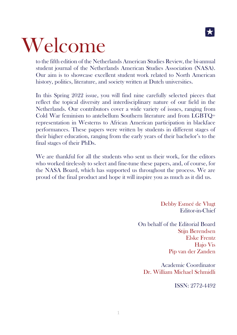

# Welcome

to the fifth edition of the Netherlands American Studies Review, the bi-annual student journal of the Netherlands American Studies Association (NASA). Our aim is to showcase excellent student work related to North American history, politics, literature, and society written at Dutch universities.

In this Spring 2022 issue, you will find nine carefully selected pieces that reflect the topical diversity and interdisciplinary nature of our field in the Netherlands. Our contributors cover a wide variety of issues, ranging from Cold War feminism to antebellum Southern literature and from LGBTQ+ representation in Westerns to African American participation in blackface performances. These papers were written by students in different stages of their higher education, ranging from the early years of their bachelor's to the final stages of their PhDs.

We are thankful for all the students who sent us their work, for the editors who worked tirelessly to select and fine-tune these papers, and, of course, for the NASA Board, which has supported us throughout the process. We are proud of the final product and hope it will inspire you as much as it did us.

> Debby Esmeé de Vlugt Editor-in-Chief

On behalf of the Editorial Board Stijn Berendsen Elske Frentz Hajo Vis Pip van der Zanden

Academic Coordinator Dr. William Michael Schmidli

ISSN: 2772-4492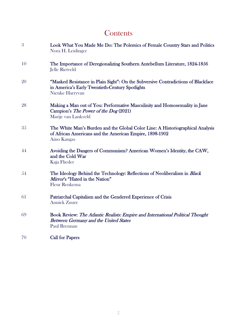# **Contents**

| 3  | Look What You Made Me Do: The Polemics of Female Country Stars and Politics<br>Nora H. Leidinger                                                         |
|----|----------------------------------------------------------------------------------------------------------------------------------------------------------|
| 10 | The Importance of Deregionalizing Southern Antebellum Literature, 1824-1856<br>Jelle Rietveld                                                            |
| 20 | "Masked Resistance in Plain Sight": On the Subversive Contradictions of Blackface<br>in America's Early Twentieth-Century Spotlights<br>Nienke Harryvan  |
| 28 | Making a Man out of You: Performative Masculinity and Homosexuality in Jane<br>Campion's The Power of the Dog (2021)<br>Marije van Lankveld              |
| 35 | The White Man's Burden and the Global Color Line: A Historiographical Analysis<br>of African Americans and the American Empire, 1898-1902<br>Aino Kangas |
| 44 | Avoiding the Dangers of Communism? American Women's Identity, the CAW,<br>and the Cold War<br>Kaja Flieder                                               |
| 54 | The Ideology Behind the Technology: Reflections of Neoliberalism in Black<br>Mirror's "Hated in the Nation"<br><b>Fleur Renkema</b>                      |
| 61 | Patriarchal Capitalism and the Gendered Experience of Crisis<br><b>Anniek Zuure</b>                                                                      |
| 69 | Book Review: The Atlantic Realists: Empire and International Political Thought<br><b>Between Germany and the United States</b><br>Paul Brennan           |
| 70 | <b>Call for Papers</b>                                                                                                                                   |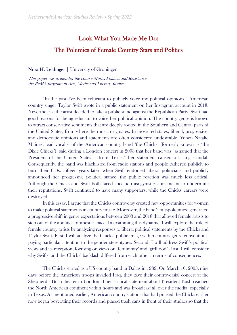# Look What You Made Me Do:

# The Polemics of Female Country Stars and Politics

#### Nora H. Leidinger | University of Groningen

This paper was written for the course Music, Politics, and Resistance the ReMA program in Arts, Media and Literary Studies

"In the past I've been reluctant to publicly voice my political opinions," American country singer Taylor Swift wrote in a public statement on her Instagram account in 2018. Nevertheless, the artist decided to take a public stand against the Republican Party. Swift had good reasons for being reluctant to voice her political opinion. The country genre is known to attract conservative sentiments that are deeply rooted in the Southern and Central parts of the United States, from where the music originates. In those red states, liberal, progressive, and democratic opinions and statements are often considered undesirable. When Natalie Maines, lead vocalist of the American country band 'the Chicks' (formerly known as 'the Dixie Chicks'), said during a London concert in 2003 that her band was "ashamed that the President of the United States is from Texas," her statement caused a lasting scandal. Consequently, the band was blacklisted from radio stations and people gathered publicly to burn their CDs. Fifteen years later, when Swift endorsed liberal politicians and publicly announced her progressive political stance, the public reaction was much less critical. Although the Chicks and Swift both faced specific misogynistic slurs meant to undermine their reputations, Swift continued to have many supporters, while the Chicks' careers were destroyed.

In this essay, I argue that the Chicks controversy created new opportunities for women to make political statements in country music. Moreover, the band's outspokenness generated a progressive shift in genre expectations between 2003 and 2018 that allowed female artists to step out of the apolitical domestic space. In examining this dynamic, I will explore the role of female country artists by analyzing responses to liberal political statements by the Chicks and Taylor Swift. First, I will analyze the Chicks' public image within country genre conventions, paying particular attention to the gender stereotypes. Second, I will address Swift's political views and its reception, focusing on views on 'femininity' and 'girlhood'. Last, I will consider why Swifts' and the Chicks' backlash differed from each other in terms of consequences.

The Chicks started as a US country band in Dallas in 1989. On March 10, 2003, nine days before the American troops invaded Iraq, they gave their controversial concert at the Shepherd's Bush theater in London. Their critical statement about President Bush reached the North American continent within hours and was broadcast all over the media, especially in Texas. As mentioned earlier, American country stations that had praised the Chicks earlier now began boycotting their records and placed trash cans in front of their studios so that the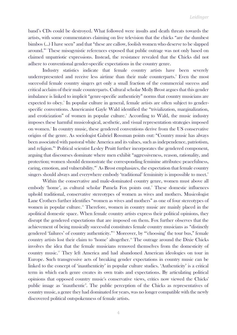band's CDs could be destroyed. What followed were insults and death threats towards the artists, with some commentators claiming on live television that the chicks "are the dumbest bimbos (…) I have seen" and that "these are callow, foolish women who deserve to be slapped around."<sup>1</sup> These misogynistic references exposed that public outrage was not only based on claimed unpatriotic expressions. Instead, the resistance revealed that the Chicks did not adhere to conventional gender-specific expectations in the country genre.

Industry statistics indicate that female country artists have been severely underrepresented and receive less airtime than their male counterparts.<sup>2</sup> Even the most successful female country singers get only a small fraction of the commercial success and critical acclaim of their male counterparts. Cultural scholar Molly Brost argues that this gender imbalance is linked to implicit "genre-specific authenticity" norms that country musicians are expected to obey.<sup>3</sup> In popular culture in general, female artists are often subject to genderspecific conventions. Americanist Gayle Wald identified the "trivialization, marginalization, and eroticization" of women in popular culture.<sup>4</sup> According to Wald, the music industry imposes these harmful musicological, aesthetic, and visual representation strategies imposed on women. 5 In country music, these gendered conventions derive from the US conservative origins of the genre. As sociologist Gabriel Rossman points out: "Country music has always been associated with pastoral white America and its values, such as independence, patriotism, and religion."<sup>6</sup> Political scientist Lesley Pruitt further incorporates the gendered component, arguing that discourses dominate where men exhibit "aggressiveness, reason, rationality, and protection; women should demonstrate the corresponding feminine attributes: peacefulness, caring, emotion, and vulnerability."<sup>7</sup> As Brost emphasizes, the expectation that female country singers should always and everywhere embody 'traditional' femininity is impossible to meet.<sup>8</sup>

Within the conservative and male-dominated country genre, women must above all embody 'home', as cultural scholar Pamela Fox points out.<sup>9</sup> These domestic influences uphold traditional, conservative stereotypes of women as wives and mothers. Musicologist Lane Crothers further identifies "women as wives and mothers" as one of four stereotypes of women in popular culture.<sup>10</sup> Therefore, women in country music are mainly placed in the apolitical domestic space. When female country artists express their political opinions, they disrupt the gendered expectations that are imposed on them. Fox further observes that the achievement of being musically successful constitutes female country musicians as "distinctly gendered 'failures' of country authenticity."<sup>11</sup> Moreover, by "'choosing' the tour bus," female country artists lost their claim to 'home' altogether.<sup>12</sup> The outrage around the Dixie Chicks involves the idea that the female musicians removed themselves from the domesticity of country music.<sup>13</sup> They left America and had abandoned American ideologies on tour in Europe. Such transgressive acts of breaking gender expectations in country music can be linked to the concept of 'inauthenticity' in popular culture studies. 'Authenticity' is a critical term in which each genre creates its own traits and expectations. By articulating political opinions that opposed country music's conservative views, critics now viewed the Chicks' public image as 'inauthentic'. The public perception of the Chicks as representatives of country music, a genre they had dominated for years, was no longer compatible with the newly discovered political outspokenness of female artists.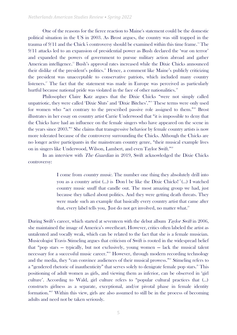One of the reasons for the fierce reaction to Maine's statement could be the domestic political situation in the US in 2003. As Brost argues, the country was still trapped in the trauma of  $9/11$  and the Chick's controversy should be examined within this time frame.<sup>14</sup> The 9/11 attacks led to an expansion of presidential power as Bush declared the 'war on terror' and expanded the powers of government to pursue military action abroad and gather American intelligence.<sup>15</sup> Bush's approval rates increased while the Dixie Chicks announced their dislike of the president's politics. <sup>16</sup> Hence, a comment like Maine's publicly criticizing the president was unacceptable to conservative patriots, which included many country listeners.<sup>17</sup> The fact that the statement was made in Europe was perceived as particularly hurtful because national pride was violated in the face of other nationalities.<sup>18</sup>

Philosopher Claire Katz argues that the Dixie Chicks "were not simply called unpatriotic, they were called 'Dixie Sluts' and 'Dixie Bitches'."<sup>19</sup> These terms were only used for women who "act contrary to the prescribed passive role assigned to them."<sup>20</sup> Brost illustrates in her essay on country artist Carrie Underwood that "it is impossible to deny that the Chicks have had an influence on the female singers who have appeared on the scene in the years since 2003."<sup>21</sup> She claims that transgressive behavior by female country artists is now more tolerated because of the controversy surrounding the Chicks. Although the Chicks are no longer active participants in the mainstream country genre, "their musical example lives on in singers like Underwood, Wilson, Lambert, and even Taylor Swift."<sup>22</sup>

In an interview with *The Guardian* in 2019, Swift acknowledged the Dixie Chicks controversy:

> I come from *country music*. The number one thing they absolutely drill into you as a country artist (…) is 'Don't be like the Dixie Chicks!' (…) I watched country music snuff that candle out. The most amazing group we had, just because they talked about politics. And they were getting death threats. They were made such an example that basically every country artist that came after that, every label tells you, Just do not get involved, no matter what.<sup>23</sup>

During Swift's career, which started at seventeen with the debut album Taylor Swift in 2006, she maintained the image of America's sweetheart. However, critics often labeled the artist as untalented and vocally weak, which can be related to the fact that she is a female musician. Musicologist Travis Stimeling argues that criticism of Swift is rooted in the widespread belief that "pop stars — typically, but not exclusively, young women — lack the musical talent necessary for a successful music career."<sup>24</sup> However, through modern recording technology and the media, they "can convince audiences of their musical prowess."<sup>25</sup> Stimeling refers to a "gendered rhetoric of inauthenticity" that serves solely to denigrate female pop stars.<sup>26</sup> This positioning of adult women as girls, and viewing them as inferior, can be observed in 'girl culture'. According to Wald, girl culture refers to "popular cultural practices that (...) constructs girlness as a separate, exceptional, and/or pivotal phase in female identity formation."<sup>27</sup> Within this view, girls are also assumed to still be in the process of becoming adults and need not be taken seriously.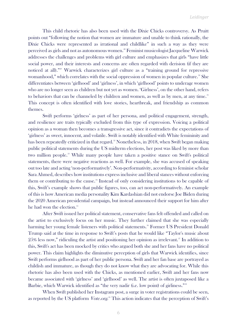This child rhetoric has also been used with the Dixie Chicks controversy. As Pruitt points out "following the notion that women are immature and unable to think rationally, the Dixie Chicks were represented as irrational and childlike" in such a way as they were perceived as girls and not as autonomous women.<sup>28</sup> Feminist musicologist Jacqueline Warwick addresses the challenges and problems with girl culture and emphasizes that girls "have little social power, and their interests and concerns are often regarded with derision (if they are noticed at all)."<sup>29</sup> Warwick characterizes girl culture as a "training ground for repressive womanhood," which correlates with the social oppression of women in popular culture.<sup>30</sup> She differentiates between 'girlhood' and 'girlness', in which 'girlhood' points to underage women who are no longer seen as children but not yet as women. 'Girlness', on the other hand, refers to behaviors that can be channeled by children and women, as well as by men, at any time. $31$ This concept is often identified with love stories, heartbreak, and friendship as common themes.

Swift performs 'girlness' as part of her persona, and political engagement, strength, and resilience are traits typically excluded from this type of expression. Voicing a political opinion as a woman then becomes a transgressive act, since it contradicts the expectations of 'girlness' as sweet, innocent, and volatile. Swift is notably identified with White femininity and has been repeatedly criticized in that regard.<sup>32</sup> Nonetheless, in 2018, when Swift began making public political statements during the US midterm elections, her post was liked by more than two million people.<sup>33</sup> While many people have taken a positive stance on Swift's political statements, there were negative reactions as well. For example, she was accused of speaking out too late and acting 'non-performatively'. Non-performativity, according to feminist scholar Sara Ahmed, describes how institutions express inclusive and liberal stances without enforcing them or contributing to the cause.<sup>34</sup> Instead of only considering institutions to be capable of this, Swift's example shows that public figures, too, can act non-performatively. An example of this is how American media personality Kim Kardashian did not endorse Joe Biden during the 2020 American presidential campaign, but instead announced their support for him after he had won the election.<sup>35</sup>

After Swift issued her political statement, conservative fans felt offended and called on the artist to exclusively focus on her music. They further claimed that she was especially harming her young female listeners with political statements.<sup>36</sup> Former US President Donald Trump said at the time in response to Swift's posts that he would like "Taylor's music about  $25\%$  less now," ridiculing the artist and positioning her opinion as irrelevant. $3\%$  In addition to this, Swift's act has been mocked by critics who argued both she and her fans have no political power. This claim highlights the diminutive perception of girls that Warwick identifies, since Swift performs girlhood as part of her public persona. Swift and her fan base are portrayed as childish and immature, as though they do not know what they are advocating for. While this rhetoric has also been used with the Chicks, as mentioned earlier, Swift and her fans now became associated with 'girlness' and 'girlhood' as well. The artist is often juxtaposed like a Barbie, which Warwick identified as "the very nadir (i.e. low point) of girliness."<sup>38</sup>

When Swift published her Instagram post, a surge in voter registrations could be seen, as reported by the US platform *Vote.org*.<sup>39</sup> This action indicates that the perception of Swift's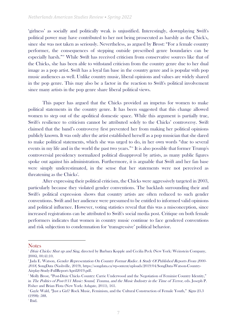'girlness' as socially and politically weak is unjustified. Interestingly, downplaying Swift's political power may have contributed to her not being prosecuted as harshly as the Chick's, since she was not taken as seriously. Nevertheless, as argued by Brost: "For a female country performer, the consequences of stepping outside prescribed genre boundaries can be especially harsh."<sup>40</sup> While Swift has received criticism from conservative sources like that of the Chicks, she has been able to withstand criticism from the country genre due to her dual image as a pop artist. Swift has a loyal fan base in the country genre and is popular with pop music audiences as well. Unlike country music, liberal opinions and values are widely shared in the pop genre. This may also be a factor in the reaction to Swift's political involvement since many artists in the pop genre share liberal political views.

This paper has argued that the Chicks provided an impetus for women to make political statements in the country genre. It has been suggested that this change allowed women to step out of the apolitical domestic space. While this argument is partially true, Swift's resilience to criticism cannot be attributed solely to the Chicks' controversy. Swift claimed that the band's controversy first prevented her from making her political opinions publicly known. It was only after the artist established herself as a pop musician that she dared to make political statements, which she was urged to do, in her own words "due to several events in my life and in the world the past two years."<sup>41</sup> It is also possible that former Trump's controversial presidency normalized political disapproval by artists, as many public figures spoke out against his administration. Furthermore, it is arguable that Swift and her fan base were simply underestimated, in the sense that her statements were not perceived as threatening as the Chicks'.

After expressing their political criticism, the Chicks were aggressively targeted in 2003, particularly because they violated gender conventions. The backlash surrounding their and Swift's political expression shows that country artists are often reduced to such gender conventions. Swift and her audience were presumed to be entitled to informed valid opinions and political influence. However, voting statistics reveal that this was a misconception, since increased registrations can be attributed to Swift's social media post. Critique on both female performers indicates that women in country music continue to face gendered conventions and risk subjection to condemnation for 'transgressive' political behavior.

**Notes** 

<sup>&</sup>lt;sup>1</sup> Dixie Chicks: Shut up and Sing, directed by Barbara Kopple and Cecilia Peck (New York: Weinstein Company, 2006), 00:41:10.

<sup>2</sup> Jada E. Watson, Gender Representation On Country Format Radio: A Study Of Published Reports From 2000- 2018, SongData (Nashville, 2019), [https://songdata.ca/wp-ontent/uploads/2019/04/SongData-Watson-Country-](https://songdata.ca/wp-ontent/uploads/2019/04/SongData-Watson-Country-Airplay-Study-FullReport-April2019.pdf)[Airplay-Study-FullReport-April2019.pdf.](https://songdata.ca/wp-ontent/uploads/2019/04/SongData-Watson-Country-Airplay-Study-FullReport-April2019.pdf) 

<sup>&</sup>lt;sup>3</sup> Molly Brost, "Post-Dixie Chicks Country: Carrie Underwood and the Negotiation of Feminist Country Identity," in The Politics of Post-9/11 Music: Sound, Trauma, and the Music Industry in the Time of Terror, eds. Joseph P. Fisher and Brian Flota (New York: Ashgate, 2011), 161.

<sup>&</sup>lt;sup>4</sup> Gayle Wald, "Just a Girl? Rock Music, Feminism, and the Cultural Construction of Female Youth," Signs 23.3 (1998): 588.

<sup>5</sup> Ibid.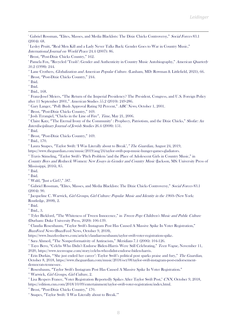<sup>6</sup> Gabriel Rossman, "Elites, Masses, and Media Blacklists: The Dixie Chicks Controversy," Social Forces 83.1 (2004): 68.

7 Lesley Pruitt, "Real Men Kill and a Lady Never Talks Back: Gender Goes to War in Country Music," International Journal on World Peace 24.4 (2007): 86.

<sup>8</sup> Brost, "Post-Dixie Chicks Country," 162.

<sup>9</sup> Pamela Fox, "Recycled 'Trash': Gender and Authenticity in Country Music Autobiography," *American Quarterly* 50.2 (1998): 244.

<sup>10</sup> Lane Crothers, *Globalization and American Popular Culture*. (Lanham, MD: Rowman & Littlefield, 2021), 66.

<sup>11</sup> Brost, "Post-Dixie Chicks Country," 244.

 $12$  Ibid.

 $13$  Ibid.

<sup>14</sup> Ibid., 168.

<sup>15</sup> Franz-Josef Meiers, "The Return of the Imperial Presidency? The President, Congress, and U.S. Foreign Policy after 11 September 2001," American Studies 55.2 (2010): 249-286.

<sup>16</sup> Gary Langer, "Poll: Bush Approval Rating 92 Percent," ABC News, October 1, 2001.

<sup>17</sup> Brost, "Post-Dixie Chicks Country," 169.

<sup>18</sup> Josh Tyrangiel, "Chicks in the Line of Fire", Time, May 21, 2006.

<sup>19</sup> Claire Katz, "The Eternal Irony of the Community' : Prophecy, Patriotism, and the Dixie Chicks," Shofar: An Interdisciplinary Journal of Jewish Studies 26.4 (2008): 151.

 $20$  Ibid.

<sup>21</sup> Brost, "Post-Dixie Chicks Country," 169.

<sup>22</sup> Ibid., 170.

<sup>23</sup> Laura Snapes, "Taylor Swift: 'I Was Literally about to Break', "The Guardian, August 24, 2019,

[https://www.theguardian.com/music/2019/aug/24/taylor-swift-pop-music-hunger-games-gladiators.](https://www.theguardian.com/music/2019/aug/24/taylor-swift-pop-music-hunger-games-gladiators) 

<sup>24</sup> Travis Stimeling, "Taylor Swift's 'Pitch Problem 'and the Place of Adolescent Girls in Country Music," in

Country Boys and Redneck Women: New Essays in Gender and Country Music (Jackson, MS: University Press of Mississippi, 2016), 85.

 $25$  Ibid.

 $26$  Ibid.

<sup>27</sup> Wald, "Just a Girl?," 587.

<sup>28</sup> Gabriel Rossman, "Elites, Masses, and Media Blacklists: The Dixie Chicks Controversy," Social Forces 83.1 (2004): 90.

 $^{29}$  Jacqueline C. Warwick, *Girl Groups, Girl Culture: Popular Music and Identity in the 1960s* (New York: Routledge, 2008), 2.

<sup>30</sup> Ibid.

 $31$  Ibid., 3.

<sup>32</sup> Tyler Bickford, "The Whiteness of Tween Innocence," in Tween Pop: Children's Music and Public Culture (Durham: Duke University Press, 2020): 106-139.

<sup>33</sup> Claudia Rosenbaum, "Taylor Swift's Instagram Post Has Caused A Massive Spike In Voter Registration," BuzzFeed News (BuzzFeed News, October 9, 2018),

[https://www.buzzfeednews.com/article/claudiarosenbaum/taylor-swift-voter-registration-spike.](https://www.buzzfeednews.com/article/claudiarosenbaum/taylor-swift-voter-registration-spike) 

<sup>34</sup> Sara Ahmed, "The Nonperformativity of Antiracism," Meridians 7.1 (2006): 104-126.

<sup>35</sup> Tayo Bero, "Celebs Who Didn't Endorse Biden-Harris Were Still Celebrating," Teen Vogue, November 11, 2020, [https://www.teenvogue.com/story/celebs-who-didnt-endorse-biden-harris.](https://www.teenvogue.com/story/celebs-who-didnt-endorse-biden-harris)

<sup>36</sup> Erin Durkin, "'She just ended her career': Taylor Swift's political post sparks praise and fury," *The Guardian*, October 8, 2018, [https://www.theguardian.com/music/2018/oct/08/taylor-swift-instagram-post-endorsement](https://www.theguardian.com/music/2018/oct/08/taylor-swift-instagram-post-endorsement-democrats-tennessee)[democrats-tennessee.](https://www.theguardian.com/music/2018/oct/08/taylor-swift-instagram-post-endorsement-democrats-tennessee) 

<sup>37</sup> Rosenbaum, "Taylor Swift's Instagram Post Has Caused A Massive Spike In Voter Registration."

<sup>38</sup> Warwick, Girl Groups, Girl Culture, 2.

<sup>39</sup> Lisa Respers France, "Voter Registration Reportedly Spikes After Taylor Swift Post," CNN, October 9, 2018, [https://edition.cnn.com/2018/10/09/entertainment/taylor-swift-voter-registration/index.html.](https://edition.cnn.com/2018/10/09/entertainment/taylor-swift-voter-registration/index.html)

<sup>40</sup> Brost, "Post-Dixie Chicks Country," 170.

<sup>41</sup> Snapes, "Taylor Swift: 'I Was Literally about to Break.'"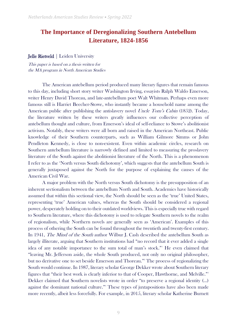# **The Importance of Deregionalizing Southern Antebellum Literature, 1824-1856**

Jelle Rietveld | Leiden University

This paper is based on a thesis written for the MA program in North American Studies

The American antebellum period produced many literary figures that remain famous to this day, including short story writer Washington Irving, essayists Ralph Waldo Emerson, writer Henry David Thoreau, and late-antebellum poet Walt Whitman. Perhaps even more famous still is Harriet Beecher-Stowe, who instantly became a household name among the American public after publishing the antislavery novel *Uncle Tom's Cabin* (1852). Today, the literature written by these writers greatly influences our collective perception of antebellum thought and culture, from Emerson's ideal of self-reliance to Stowe's abolitionist activism. Notably, these writers were all born and raised in the American Northeast. Public knowledge of their Southern counterparts, such as William Gilmore Simms or John Pendleton Kennedy, is close to non-existent. Even within academic circles, research on Southern antebellum literature is narrowly defined and limited to measuring the proslavery literature of the South against the abolitionist literature of the North. This is a phenomenon I refer to as the 'North versus South dichotomy', which suggests that the antebellum South is generally juxtaposed against the North for the purpose of explaining the causes of the American Civil War.

A major problem with the North versus South dichotomy is the presupposition of an inherent sectionalism between the antebellum North and South. Academics have historically assumed that within this sectional view, the North should be seen as the 'true' United States, representing 'true' American values, whereas the South should be considered a regional power, desperately holding on to their outdated worldviews. This is especially true with regard to Southern literature, where this dichotomy is used to relegate Southern novels to the realm of regionalism, while Northern novels are generally seen as 'American'. Examples of this process of othering the South can be found throughout the twentieth and twenty-first century. In 1941, *The Mind of the South* author Wilbur J. Cash described the antebellum South as largely illiterate, arguing that Southern institutions had "no record that it ever added a single idea of any notable importance to the sum total of man's stock."<sup>1</sup> He even claimed that "leaving Mr. Jefferson aside, the whole South produced, not only no original philosopher, but no derivative one to set beside Emerson and Thoreau."<sup>2</sup> The process of regionalizing the South would continue. In 1987, literary scholar George Dekker wrote about Southern literary figures that "their best work is clearly inferior to that of Cooper, Hawthorne, and Melville."<sup>3</sup> Dekker claimed that Southern novelists wrote in order "to preserve a regional identity (…) against the dominant national culture."<sup>4</sup> These types of juxtapositions have also been made more recently, albeit less forcefully. For example, in 2015, literary scholar Katherine Burnett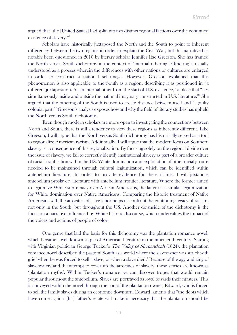argued that "the [United States] had split into two distinct regional factions over the continued existence of slavery."<sup>5</sup>

Scholars have historically juxtaposed the North and the South to point to inherent differences between the two regions in order to explain the Civil War, but this narrative has notably been questioned in 2010 by literary scholar Jennifer Rae Greeson. She has framed the North versus South dichotomy in the context of 'internal othering'. Othering is usually understood as a process wherein the differences with other nations or cultures are enlarged in order to construct a national self-image. However, Greeson explained that this phenomenon is also applicable to the South as a region, describing it as positioned in "a different juxtaposition. As an internal other from the start of U.S. existence," a place that "lies simultaneously inside and outside the national imaginary constructed in U.S. literature."<sup>6</sup> She argued that the othering of the South is used to create distance between itself and "a guilty colonial past."<sup>7</sup> Greeson's analysis exposes how and why the field of literary studies has upheld the North versus South dichotomy.

Even though modern scholars are more open to investigating the connections between North and South, there is still a tendency to view these regions as inherently different. Like Greeson, I will argue that the North versus South dichotomy has historically served as a tool to regionalize American racism. Additionally, I will argue that the modern focus on Southern slavery is a consequence of this regionalization. By focusing solely on the regional divide over the issue of slavery, we fail to correctly identify institutional slavery as part of a broader culture of racial stratification within the US. White domination and exploitation of other racial groups needed to be maintained through cultural legitimization, which can be identified within antebellum literature. In order to provide evidence for these claims, I will juxtapose antebellum proslavery literature with antebellum frontier literature. Where the former aimed to legitimize White supremacy over African Americans, the latter uses similar legitimization for White domination over Native Americans. Comparing the historic treatment of Native Americans with the atrocities of slave labor helps us confront the continuing legacy of racism, not only in the South, but throughout the US. Another downside of the dichotomy is the focus on a narrative influenced by White historic discourse, which undervalues the impact of the voices and actions of people of color.

One genre that laid the basis for this dichotomy was the plantation romance novel, which became a well-known staple of American literature in the nineteenth century. Starting with Virginian politician George Tucker's *The Valley of Shenandoah* (1824), the plantation romance novel described the pastoral South as a world where the slaveowner was struck with grief when he was forced to sell a slave, or when a slave died.<sup>8</sup> Because of the aggrandizing of slaveowners and the attempt to cover up the atrocities of slavery, these stories are known as 'plantation myths'. Within Tucker's romance we can discover tropes that would remain popular throughout the antebellum. Slaves are portrayed as loyal towards their masters. This is conveyed within the novel through the son of the plantation owner, Edward, who is forced to sell the family slaves during an economic downturn. Edward laments that "the debts which have come against [his] father's estate will make it necessary that the plantation should be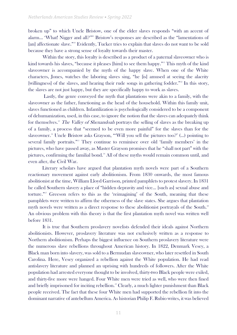broken up" to which Uncle Bristow, one of the elder slaves responds "with an accent of alarm… 'What! Nigger and all?'"<sup>9</sup> Bristow's responses are described as the "lamentations of [an] affectionate slave."<sup>10</sup> Evidently, Tucker tries to explain that slaves do not want to be sold because they have a strong sense of loyalty towards their master.

Within the story, this loyalty is described as a product of a paternal slaveowner who is kind towards his slaves, "because it pleases [him] to see them happy."<sup>11</sup> This myth of the kind slaveowner is accompanied by the myth of the happy slave. When one of the White characters, Jones, watches the laboring slaves sing, "he [is] amused at seeing the alacrity [willingness] of the slaves, and hearing their rude songs in gathering fodder."<sup>12</sup> In this story, the slaves are not just happy, but they are specifically happy to work as slaves.

Lastly, the genre conveyed the myth that plantations were akin to a family, with the slaveowner as the father, functioning as the head of the household. Within this family unit, slaves functioned as children. Infantilization is psychologically considered to be a component of dehumanization, used, in this case, to ignore the notion that the slaves can adequately think for themselves.<sup>13</sup> The Valley of Shenandoah portrays the selling of slaves as the breaking up of a family, a process that "seemed to be even more painful" for the slaves than for the slaveowner.<sup>14</sup> Uncle Bristow asks Grayson, "'Will you sell the pictures too?' (...) pointing to several family portraits."<sup>15</sup> They continue to reminisce over old 'family members' in the pictures, who have passed away, as Master Grayson promises that he "shall not part" with the pictures, confirming the familial bond.<sup>16</sup> All of these myths would remain common until, and even after, the Civil War.

Literary scholars have argued that plantation myth novels were part of a Southern reactionary movement against early abolitionism. From 1830 onwards, the most famous abolitionist at the time, William Lloyd Garrison, printed pamphlets to protest slavery. In 1831 he called Southern slavery a place of "hidden depravity and vice… [such as] sexual abuse and torture."<sup>17</sup> Greeson refers to this as the 'reimagining' of the South, meaning that these pamphlets were written to affirm the otherness of the slave states. She argues that plantation myth novels were written as a direct response to these abolitionist portrayals of the South.<sup>18</sup> An obvious problem with this theory is that the first plantation myth novel was written well before 1831.

It is true that Southern proslavery novelists defended their ideals against Northern abolitionists. However, proslavery literature was not exclusively written as a response to Northern abolitionism. Perhaps the biggest influence on Southern proslavery literature were the numerous slave rebellions throughout American history. In 1822, Denmark Vesey, a Black man born into slavery, was sold to a Bermudan slaveowner, who later resettled in South Carolina. Here, Vesey organized a rebellion against the White population. He had read antislavery literature and planned an uprising with hundreds of followers. After the White population had arrested everyone thought to be involved, thirty-two Black people were exiled, and thirty-five more were hanged. Four White men were tried as well, who were then fined and briefly imprisoned for inciting rebellion.<sup>19</sup> Clearly, a much lighter punishment than Black people received. The fact that these four White men had supported the rebellion fit into the dominant narrative of antebellum America. As historian Philip F. Rubio writes, it was believed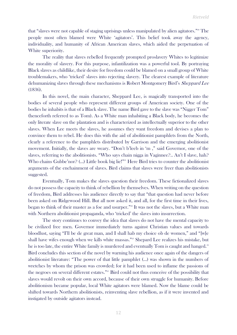that "slaves were not capable of staging uprisings unless manipulated by alien agitators."<sup>20</sup> The people most often blamed were White 'agitators'. This belief took away the agency, individuality, and humanity of African American slaves, which aided the perpetuation of White superiority.

The reality that slaves rebelled frequently prompted proslavery Whites to legitimize the morality of slavery. For this purpose, infantilization was a powerful tool. By portraying Black slaves as childlike, their desire for freedom could be blamed on a small group of White troublemakers, who 'tricked' slaves into rejecting slavery. The clearest example of literature dehumanizing slaves through these mechanisms is Robert Montgomery Bird's Sheppard Lee (1836).

In this novel, the main character, Sheppard Lee, is magically transported into the bodies of several people who represent different groups of American society. One of the bodies he inhabits is that of a Black slave. The name Bird gave to the slave was "Nigger Tom" (henceforth referred to as Tom). As a White man inhabiting a Black body, he becomes the only literate slave on the plantation and is characterized as intellectually superior to the other slaves. When Lee meets the slaves, he assumes they want freedom and devises a plan to convince them to rebel. He does this with the aid of abolitionist pamphlets from the North, clearly a reference to the pamphlets distributed by Garrison and the emerging abolitionist movement. Initially, the slaves are weary. "Don't b'leeb in 'm ," said Governor, one of the slaves, referring to the abolitionists. "Who says chain nigga in Vaginnee?.. An't I slave, hah? Who chains Gubbe'nor? (...) Little book big lie!"<sup>21</sup> Here Bird tries to counter the abolitionist arguments of the enchainment of slaves. Bird claims that slaves were freer than abolitionists suggested.

Eventually, Tom makes the slaves question their freedom. These fictionalized slaves do not possess the capacity to think of rebellion by themselves. When writing on the question of freedom, Bird addresses his audience directly to say that "that question had never before been asked on Ridgewood Hill. But all now asked it, and all, for the first time in their lives, began to think of their master as a foe and usurper."<sup>22</sup> It was not the slaves, but a White man with Northern abolitionist propaganda, who 'tricked' the slaves into insurrection.

The story continues to convey the idea that slaves do not have the mental capacity to be civilized free men. Governor immediately turns against Christian values and towards bloodlust, saying "I'll be de great man, and I shall hab my choice ob de women," and "[w]e shall have wifes enough when we kills white massas."<sup>23</sup> Shepard Lee realizes his mistake, but he is too late, the entire White family is murdered and eventually Tom is caught and hanged.<sup>24</sup> Bird concludes this section of the novel by warning his audience once again of the dangers of abolitionist literature: "The power of that little pamphlet (…) was shown in the numbers of wretches by whom the prison was crowded; for it had been used to inflame the passions of the negroes on several different estates."<sup>25</sup> Bird could not thus conceive of the possibility that slaves would revolt on their own accord, because of their own struggle for humanity. Before abolitionism became popular, local White agitators were blamed. Now the blame could be shifted towards Northern abolitionists, reinventing slave rebellion, as if it were invented and instigated by outside agitators instead.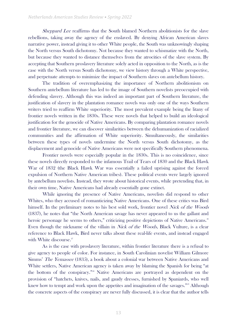Sheppard Lee reaffirms that the South blamed Northern abolitionists for the slave rebellions, taking away the agency of the enslaved. By denying African American slaves narrative power, instead giving it to other White people, the South was unknowingly shaping the North versus South dichotomy. Not because they wanted to schismatize with the North, but because they wanted to distance themselves from the atrocities of the slave system. By accepting that Southern proslavery literature solely acted in opposition to the North, as is the case with the North versus South dichotomy, we view history through a White perspective, and perpetuate attempts to minimize the impact of Southern slaves on antebellum history.

The tradition of overemphasizing the importance of Northern abolitionism on Southern antebellum literature has led to the image of Southern novelists preoccupied with defending slavery. Although this was indeed an important part of Southern literature, the justification of slavery in the plantation romance novels was only one of the ways Southern writers tried to reaffirm White superiority. The most prevalent example being the litany of frontier novels written in the 1830s. These were novels that helped to build an ideological justification for the genocide of Native Americans. By comparing plantation romance novels and frontier literature, we can discover similarities between the dehumanization of racialized communities and the affirmation of White superiority. Simultaneously, the similarities between these types of novels undermine the North versus South dichotomy, as the displacement and genocide of Native Americans were not specifically Southern phenomena.

Frontier novels were especially popular in the 1830s. This is no coincidence, since these novels directly responded to the infamous Trail of Tears of 1830 and the Black Hawk War of 1832 (the Black Hawk War was essentially a failed uprising against the forced expulsion of Northern Native American tribes). These political events were largely ignored by antebellum novelists. Instead, they wrote about historical events, while pretending that, in their own time, Native Americans had already essentially gone extinct.

While ignoring the presence of Native Americans, novelists did respond to other Whites, who they accused of romanticizing Native Americans. One of these critics was Bird himself. In the preliminary notes to his best sold work, frontier novel Nick of the Woods (1837), he notes that "the North American savage has never appeared to us the gallant and heroic personage he seems to others," criticizing positive depictions of Native Americans.<sup>26</sup> Even though the nickname of the villain in *Nick of the Woods*, Black Vulture, is a clear reference to Black Hawk, Bird never talks about these real-life events, and instead engaged with White discourse.<sup>27</sup>

As is the case with proslavery literature, within frontier literature there is a refusal to give agency to people of color. For instance, in South Carolinian novelist William Gilmore Simms' The Yemassee (1835), a book about a colonial war between Native Americans and White settlers, Native American agency is taken away by blaming the Spanish for being "at the bottom of the conspiracy."<sup>28</sup> Native Americans are portrayed as dependent on the provision of "hatchets, knives, nails, and gaudy dresses, furnished by Spaniards, who well knew how to tempt and work upon the appetites and imagination of the savages."<sup>29</sup> Although the concrete aspects of the conspiracy are never fully discussed, it is clear that the author tells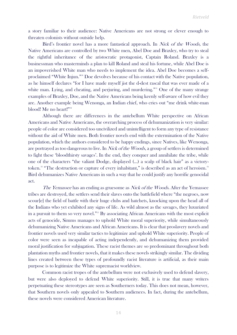a story familiar to their audience: Native Americans are not strong or clever enough to threaten colonists without outside help.

Bird's frontier novel has a more fantastical approach. In *Nick of the Woods*, the Native Americans are controlled by two White men, Abel Doe and Braxley, who try to steal the rightful inheritance of the aristocratic protagonist, Captain Roland. Braxley is a businessman who masterminds a plan to kill Roland and steal his fortune, while Abel Doe is an impoverished White man who needs to implement the idea. Abel Doe becomes a selfproclaimed "White Injun."<sup>30</sup> Doe devolves because of his contact with the Native population, as he himself declares "for I have made myself jist the d-dest rascal that was ever made of a white man. Lying, and cheating, and perjuring, and murdering."<sup>31</sup> One of the many strange examples of Braxley, Doe, and the Native Americans being keenly self-aware of how evil they are. Another example being Wenonga, an Indian chief, who cries out "me drink white-man blood! Me no heart!"<sup>32</sup>

Although there are differences in the antebellum White perspective on African Americans and Native Americans, the overarching process of dehumanization is very similar: people of color are considered too uncivilized and unintelligent to form any type of resistance without the aid of White men. Both frontier novels end with the extermination of the Native population, which the authors considered to be happy endings, since Natives, like Wenonga, are portrayed as too dangerous to live. In *Nick of the Woods*, a group of settlers is determined to fight these 'bloodthirsty savages'. In the end, they conquer and annihilate the tribe, while one of the characters "the valiant Dodge, displayed (…) a scalp of black hair" as a victorytoken.<sup>33</sup> "The destruction or capture of every inhabitant," is described as an act of heroism.<sup>34</sup> Bird dehumanizes Native Americans in such a way that he could justify any horrific genocidal act.

The Yemassee has an ending as gruesome as *Nick of the Woods*. After the Yemassee tribes are destroyed, the settlers send their slaves onto the battlefield where "the negroes, now scour [e] the field of battle with their huge clubs and hatchets, knocking upon the head all of the Indians who yet exhibited any signs of life. As wild almost as the savages, they luxuriated in a pursuit to them so very novel."<sup>35</sup> By associating African Americans with the most explicit acts of genocide, Simms manages to uphold White moral superiority, while simultaneously dehumanizing Native Americans and African Americans. It is clear that proslavery novels and frontier novels used very similar tactics to legitimize and uphold White superiority. People of color were seen as incapable of acting independently, and dehumanizing them provided moral justification for subjugation. These racist themes are so predominant throughout both plantation myths and frontier novels, that it makes these novels strikingly similar. The dividing lines created between these types of profoundly racist literature is artificial, as their main purpose is to legitimize the White supremacist worldview.

Common racist tropes of the antebellum were not exclusively used to defend slavery, but were also deployed to defend White superiority. Still, it is true that many writers perpetuating these stereotypes are seen as Southerners today. This does not mean, however, that Southern novels only appealed to Southern audiences. In fact, during the antebellum, these novels were considered American literature.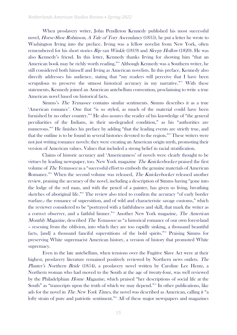When proslavery writer, John Pendleton Kennedy published his most successful novel, Horse-Shoe Robinson, A Tale of Tory Ascendancy (1835), he put a letter he wrote to Washington Irving into the preface. Irving was a fellow novelist from New York, often remembered for his short stories Rip van Winkle (1819) and *Sleepy Hollow* (1820). He was also Kennedy's friend. In this letter, Kennedy thanks Irving for showing him "that an American book may be richly worth reading."<sup>36</sup> Although Kennedy was a Southern writer, he still considered both himself and Irving as American novelists. In this preface, Kennedy also directly addresses his audience, stating that "my readers will perceive that I have been scrupulous to preserve the utmost historical accuracy in my narrative."<sup>37</sup> With these statements, Kennedy joined an American antebellum convention, proclaiming to write a true American novel based on historical facts.

Simms's The Yemassee contains similar sentiments. Simms describes it as a true 'American romance'. One that "is so styled, as much of the material could have been furnished by no other country."<sup>38</sup> He also assures the reader of his knowledge of "the general peculiarities of the Indians, in their un-degraded condition," as his "authorities are numerous."<sup>39</sup> He finishes his preface by adding "that the leading events are strictly true, and that the outline is to be found in several histories devoted to the region."<sup>40</sup> These writers were not just writing romance novels: they were creating an American origin myth, promoting their version of American values. Values that included a strong belief in racial stratification.

Claims of historic accuracy and 'Americanness' of novels were clearly thought to be virtues by leading newspaper, too. New York magazine The Knickerbocker praised the first volume of The Yemassee as a "successful effort to embody the genuine materials of American Romance."<sup>41</sup> When the second volume was released, *The Knickerbocker* released another review, praising the accuracy of the novel, including a description of Simms having "gone into the lodge of the red man, and with the pencil of a painter, has given us living, breathing sketches of aboriginal life."<sup>42</sup> The review also tried to confirm the accuracy "of early border warfare,- the romance of superstition, and of wild and characteristic savage customs," which the reviewer considered to be "portrayed with a faithfulness and skill, that mark the writer as a correct observer, and a faithful limner."<sup>43</sup> Another New York magazine, The American Monthly Magazine, described The Yemassee as "a historical romance of our own forest-land – rescuing from the oblivion, into which they are too rapidly sinking, a thousand beautiful facts, [and] a thousand fanciful superstitions of the bold spirits."<sup>44</sup> Praising Simms for preserving White supremacist American history, a version of history that promoted White supremacy.

Even in the late antebellum, when tensions over the Fugitive Slave Act were at their highest, proslavery literature remained positively reviewed by Northern news outlets. The Planter's Northern Bride (1854), a proslavery novel written by Caroline Lee Hentz, a Northern woman who had moved to the South at the age of twenty-four, was well reviewed by the Philadelphian Home Magazine, which praised "her descriptions of social life at the South" as "transcripts upon the truth of which we may depend." In other publications, like ads for the novel in *The New York Times*, the novel was described as American, calling it "a lofty strain of pure and patriotic sentiment."<sup>46</sup> All of these major newspapers and magazines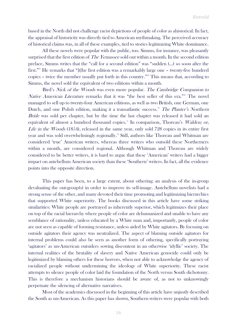based in the North did not challenge racist depictions of people of color as ahistorical. In fact, the appraisal of historicity was directly tied to American mythmaking. The perceived accuracy of historical claims was, in all of these examples, tied to stories legitimizing White dominance.

All these novels were popular with the public, too. Simms, for instance, was pleasantly surprised that the first edition of *The Yemassee* sold out within a month. In the second edition preface, Simms writes that the "call for a second edition" was "sudden (…) so soon after the first."<sup>47</sup> He remarks that "[t]he first edition was a remarkably large one – twenty-five hundred copies – twice the member usually put forth in this country."<sup>48</sup> This means that, according to Simms, the novel sold the equivalent of two editions within a month.

Bird's Nick of the Woods was even more popular. The Cambridge Companion to Native American Literature remarks that it was "the best seller of this era."<sup>49</sup> The novel managed to sell up to twenty-four American editions, as well as two British, one German, one Dutch, and one Polish edition, making it a transatlantic success.<sup>50</sup> The Planter's Northern Bride was sold per chapter, but by the time the last chapter was released it had sold an equivalent of almost a hundred thousand copies.<sup>51</sup> In comparison, Thoreau's Walden; or, Life in the Woods (1854), released in the same year, only sold 728 copies in its entire first year and was sold overwhelmingly regionally.<sup>52</sup> Still, authors like Thoreau and Whitman are considered 'true' American writers, whereas three writers who outsold these Northerners within a month, are considered regional. Although Whitman and Thoreau are widely considered to be better writers, it is hard to argue that these 'American' writers had a bigger impact on antebellum American society than these 'Southern' writers. In fact, all the evidence points into the opposite direction.

This paper has been, to a large extent, about othering; an analysis of the in-group devaluating the out-group(s) in order to improve its self-image. Antebellum novelists had a strong sense of the other, and many devoted their time promoting and legitimizing hierarchies that supported White superiority. The books discussed in this article have some striking similarities: White people are portrayed as inherently superior, which legitimizes their place on top of the racial hierarchy where people of color are dehumanized and unable to have any semblance of rationality, unless educated by a White man and, importantly, people of color are not seen as capable of forming resistance, unless aided by White agitators. By focusing on outside agitators their agency was neutralized. The aspect of blaming outside agitators for internal problems could also be seen as another form of othering, specifically portraying 'agitators' as un-American outsiders sowing discontent in an otherwise 'idyllic' society. The internal realities of the brutality of slavery and Native American genocide could only be legitimized by blaming others for these horrors, when not able to acknowledge the agency of racialized people without undermining the ideology of White superiority. These racist attempts to silence people of color laid the foundation of the North versus South dichotomy. This is therefore a mechanism historians should be aware of, as not to unknowingly perpetuate the silencing of alternative narratives.

Most of the academics discussed in the beginning of this article have unjustly described the South as un-American. As this paper has shown, Southern writers were popular with both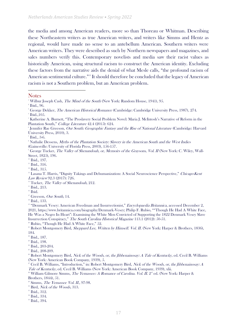the media and among American readers, more so than Thoreau or Whitman. Describing these Northeastern writers as true American writers, and writers like Simms and Hentz as regional, would have made no sense to an antebellum American. Southern writers were American writers. They were described as such by Northern newspapers and magazines, and sales numbers verify this. Contemporary novelists and media saw their racist values as historically American, using structural racism to construct the American identity. Excluding these factors from the narrative aids the denial of what Mesle calls, "the profound racism of American sentimental culture."<sup>53</sup> It should therefore be concluded that the legacy of American racism is not a Southern problem, but an American problem.

#### **Notes**

<sup>17</sup> Greeson, *Our South*, 14.

<sup>18</sup> Ibid., 133.

<sup>19</sup> "Denmark Vesey: American Freedman and Insurrectionist," *Encyclopaedia Britannica*, accessed December 2, 2021, https://www.britannica.com/biography/Denmark-Vesey; Philip F. Rubio, ""Though He Had A White Face, He Was a Negro In Heart": Examining the White Men Convicted of Supporting the 1822 Denmark Vesey Slave Insurrection Conspiracy," The South Carolina Historical Magazine 113.1 (2012): 50-51.

 $20$ <sup>20</sup> Rubio, "Though He Had A White Face," 52.

<sup>&</sup>lt;sup>1</sup> Wilbur Joseph Cash, *The Mind of the South* (New York: Random House, 1941), 95.

<sup>2</sup> Ibid., 96.

<sup>&</sup>lt;sup>3</sup> George Dekker, *The American Historical Romance* (Cambridge: Cambridge University Press, 1987), 274. 4 Ibid.,105.

<sup>5</sup> Katherine A. Burnett, "The Proslavery Social Problem Novel: Maria J. McIntosh's Narrative of Reform in the Plantation South," College Literature 42.4 (2015): 624.

<sup>&</sup>lt;sup>6</sup> Jennifer Rae Greeson, *Our South: Geographic Fantasy and the Rise of National Literature* (Cambridge: Harvard University Press, 2010), 3.

<sup>7</sup> Ibid., 3-6.

<sup>&</sup>lt;sup>8</sup> Nathalie Dessens, Myths of the Plantation Society: Slavery in the American South and the West Indies (Gainesville: University of Florida Press, 2003), 156-157.

<sup>&</sup>lt;sup>9</sup> George Tucker, *The Valley of Shenandoah, or, Memoirs of the Graysons, Vol. II* (New York: C. Wiley, Wall-Street, 1825), 196.

<sup>&</sup>lt;sup>10</sup> Ibid., 197.

 $11$  Ibid., 316.

<sup>&</sup>lt;sup>12</sup> Ibid., 315.

<sup>&</sup>lt;sup>13</sup> Lasana T. Harris, "Dignity Takings and Dehumanization: A Social Neuroscience Perspective," Chicago-Kent Law Review 92.3 (2017): 726.

<sup>&</sup>lt;sup>14</sup> Tucker, The Valley of Shenandoah, 212.

<sup>&</sup>lt;sup>15</sup> Ibid., 213.

 $\rm ^{16}$  Ibid.

<sup>&</sup>lt;sup>21</sup> Robert Montgomery Bird, *Sheppard Lee, Written by Himself. Vol. II.* (New York: Harper & Brothers, 1836), 184.

<sup>22</sup> Ibid., 187.

<sup>&</sup>lt;sup>23</sup> Ibid., 198.

<sup>&</sup>lt;sup>24</sup> Ibid., 203-204.

<sup>&</sup>lt;sup>25</sup> Ibid., 208-209.

<sup>&</sup>lt;sup>26</sup> Robert Montgomery Bird, *Nick of the Woods, or, the Jibbenainosay: A Tale of Kentucky*, ed. Cecil B. Williams (New York: American Book Company, 1939), 5.

 $\overline{2}$ <sup>2</sup> Cecil B. Williams, "Introduction," in: Robert Montgomery Bird, *Nick of the Woods, or, the Jibbenainosay: A* Tale of Kentucky, ed. Cecil B. Williams (New York: American Book Company, 1939), xlii.

 $^{28}$  William Gilmore Simms, *The Yemassee: A Romance of Carolina. Vol. II.*  $2^{\omega l}$  ed. (New York: Harper & Brothers, 1844), 51.

 $29$  Simms, *The Yemassee Vol. II.*, 97-98.

<sup>&</sup>lt;sup>30</sup> Bird, *Nick of the Woods*, 313.

<sup>&</sup>lt;sup>31</sup> Ibid., 312.

<sup>32</sup> Ibid., 334.

<sup>&</sup>lt;sup>33</sup> Ibid., 394.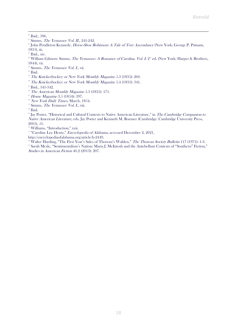- <sup>35</sup> Simms, *The Yemassee Vol. II.*, 241-242.
- <sup>36</sup> John Pendleton Kennedy, *Horse-Shoe Robinson: A Tale of Tory Ascendancy* (New York: George P. Putnam, 1835), iii.
- <sup>37</sup> Ibid., xiv.
- <sup>38</sup> William Gilmore Simms, *The Yemassee: A Romance of Carolina. Vol. I.*  $2^{\omega l}$  ed. (New York: Harper & Brothers, 1844), vii.
- <sup>39</sup> Simms, *The Yemassee Vol. I.*, vii.
- <sup>40</sup> Ibid.
- $41$  The Knickerbocker; or New York Monthly Magazine 5.3 (1835): 260.
- <sup>42</sup> The Knickerbocker; or New York Monthly Magazine 5.4 (1835): 341.
- <sup>43</sup> Ibid., 341-342.
- <sup>44</sup> The American Monthly Magazine 5.3 (1835): 171.
- <sup>45</sup> Home Magazine 3.5 (1854): 397.
- <sup>46</sup> New York Daily Times, March, 1854.
- <sup>47</sup> Simms, *The Yemassee Vol. I.*, viii.

<sup>®</sup> Jay Porter, "Historical and Cultural Contexts to Native American Literature," in The Cambridge Companion to Native American Literature, eds. Jay Porter and Kenneth M. Roemer (Cambridge: Cambridge University Press, 2005), 51.

<sup>50</sup> Williams, "Introduction," xxii.

<sup>51</sup> "Caroline Lee Hentz," *Encyclopedia of Alabama*, accessed December 2, 2021,

http://encyclopediaofalabama.org/article/h-2449.

<sup>32</sup> Walter Harding, "The First Year's Sales of Thoreau's Walden," The Thoreau Society Bulletin 117 (1971): 1-3.

<sup>53</sup> Sarah Mesle, "Sentimentalism's Nation: Maria J. McIntosh and the Antebellum Contexts of "Southern" Fiction," Studies in American Fiction 40.2 (2013): 207.

<sup>&</sup>lt;sup>34</sup> Ibid., 396.

<sup>48</sup> Ibid.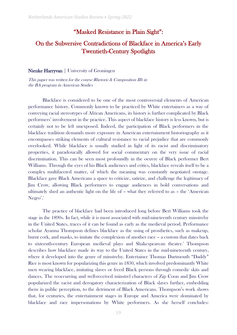#### "Masked Resistance in Plain Sight":

# On the Subversive Contradictions of Blackface in America's Early Twentieth-Century Spotlights

#### Nienke Harryvan | University of Groningen

This paper was written for the course Rhetoric & Composition IIb in the BA program in American Studies

Blackface is considered to be one of the most controversial elements of American performance history. Commonly known to be practiced by White entertainers as a way of conveying racial stereotypes of African Americans, its history is further complicated by Black performers' involvement in the practice. This aspect of blackface history is less known, but is certainly not to be left unexposed. Indeed, the participation of Black performers in the blackface tradition demands more exposure in American entertainment historiography as it encompasses striking elements of cultural resistance to racial prejudice that are commonly overlooked. While blackface is usually studied in light of its racist and discriminatory properties, it paradoxically allowed for social commentary on the very issue of racial discrimination. This can be seen most profoundly in the oeuvre of Black performer Bert Williams. Through the eyes of his Black audiences and critics, blackface reveals itself to be a complex multifaceted matter, of which the meaning was constantly negotiated onstage. Blackface gave Black Americans a space to criticize, satirize, and challenge the legitimacy of Jim Crow, allowing Black performers to engage audiences in bold conversations and ultimately shed an authentic light on the life of – what they referred to as – the 'American  $Negro'.<sup>1</sup>$ 

The practice of blackface had been introduced long before Bert Williams took the stage in the 1890s. In fact, while it is most associated with mid-nineteenth century minstrelsy in the United States, traces of it can be found as early as the medieval period. Performance scholar Ayanna Thompson defines blackface as the using of prosthetics, such as makeup, burnt cork, and masks, to imitate the complexion of another race – a custom that dates back to sixteenth-century European medieval plays and Shakespearean theater.<sup>2</sup> Thompson describes how blackface made its way to the United States in the mid-nineteenth century, where it developed into the genre of minstrelsy. Entertainer Thomas Dartmouth "Daddy" Rice is most known for popularizing this genre in 1830, which involved predominantly White men wearing blackface, imitating slaves or freed Black persons through comedic skits and dances. The reoccurring and well-received minstrel characters of Zip Coon and Jim Crow popularized the racist and derogatory characterization of Black slaves further, embedding them in public perception, to the detriment of Black Americans. Thompson's work shows that, for centuries, the entertainment stages in Europe and America were dominated by blackface and race impersonations by White performers. As she herself concludes: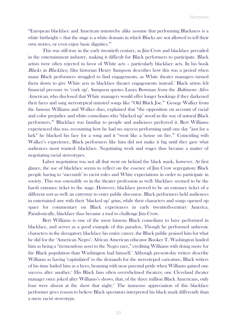"European blackface and American minstrelsy alike assume that performing Blackness is a white birthright — that the stage is a white domain in which Blacks are not allowed to tell their own stories, or even enjoy basic dignities."<sup>3</sup>

This was still true in the early twentieth century, as Jim Crow and blackface prevailed in the entertainment industry, making it difficult for Black performers to participate. Black artists were often rejected in favor of White acts – particularly blackface acts. In his book Blacks in Blackface, film historian Henry Sampson describes how this was a period when many Black performers struggled to find engagements, as White theater managers turned them down to give White acts in blackface theater engagements instead.<sup>4</sup> Black artists felt financial pressure to 'cork up'. Sampson quotes Laura Bowman from the Baltimore Afro-American, who disclosed that White managers would offer longer bookings if they darkened their faces and sang stereotypical minstrel songs like "Old Black Joe."<sup>5</sup> George Walker from the famous Williams and Walker duo, explained that "the opposition on account of racial and color prejudice and white comedians who 'blacked up' stood in the way of natural Black performers."<sup>6</sup> Blackface was familiar to people and audiences preferred it. Bert Williams experienced this too, recounting how he had no success performing until one day "just for a lark" he blacked his face for a song and it "went like a house on fire."<sup>7</sup> Coinciding with Walker's experience, Black performers like him did not make it big until they gave what audiences most wanted: blackface. Negotiating work and wages thus became a matter of negotiating racial stereotypes.

Labor negotiation was not all that went on behind the black mask, however. At first glance, the use of blackface seems to reflect on the essence of Jim Crow segregation: Black people having to 'succumb' to racist rules and White expectations in order to participate in society. This was ostensibly so in the theater profession as well: blackface seemed to be the harsh entrance ticket to the stage. However, blackface proved to be an entrance ticket of a different sort as well: an entryway to enter public discourse. Black performers held audiences in entertained awe with their 'blacked up' grins, while their characters and songs opened up space for commentary on Black experiences in early twentieth-century America. Paradoxically, blackface thus became a tool to challenge Jim Crow.

Bert Williams is one of the most famous Black comedians to have performed in blackface, and serves as a good example of this paradox. Though he performed unheroic characters in the derogatory blackface his entire career, the Black public praised him for what he did for the 'American Negro'. African American educator Booker T. Washington lauded him as being a "tremendous asset to the Negro race," crediting Williams with doing more for the Black population than Washington had himself.<sup>8</sup> Although present-day writers describe Williams as having 'capitulated' to the demands for the stereotyped caricature, Black writers of his time hailed him as a hero, beaming with near parental pride when Williams gained one success after another.<sup>9</sup> His Black fans often overwhelmed theaters; one Cleveland theater manager once joked after Williams's shows, that, of the three million Black Americans, only four were absent at the show that night.<sup>10</sup> The immense appreciation of this blackface performer gives reason to believe Black spectators interpreted his black mask differently than a mere racist stereotype.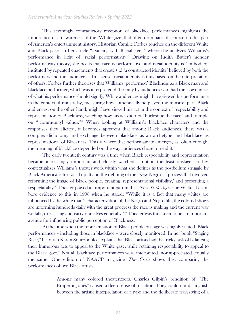This seemingly contradictory reception of blackface performances highlights the importance of an awareness of the 'White gaze' that often dominates discourse on this part of America's entertainment history. Historian Camille Forbes touches on the different White and Black gazes in her article "Dancing with Racial Feet," where she analyzes Williams's performance in light of 'racial performativity.' Drawing on Judith Butler's gender performativity theory, she posits that race is performative, and racial identity is "embodied, instituted by repeated enactments that create (…) 'a constructed identity' believed by both the performers and the audience."<sup>11</sup> In a sense, racial identity is thus based on the interpretation of others. Forbes further theorizes that Williams 'performed' Blackness as a Black man and blackface performer, which was interpreted differently by audiences who had their own ideas of what his performance should signify. White audiences might have viewed his performance in the context of minstrelsy, measuring how authentically he played the minstrel part. Black audiences, on the other hand, might have viewed his act in the context of respectability and representation of Blackness, watching how his act did not "burlesque the race" and trample on "[community] values."<sup>12</sup> When looking at Williams's blackface characters and the responses they elicited, it becomes apparent that among Black audiences, there was a complex dichotomy and exchange between blackface as an archetype and blackface as representational of Blackness. This is where that performativity emerges, as, often enough, the meaning of blackface depended on the way audiences chose to read it.

The early twentieth century was a time when Black respectability and representation became increasingly important and closely watched – not in the least onstage. Forbes contextualizes Williams's theater work within what she defines as the postbellum struggle by Black Americans for racial uplift and the defining of the 'New Negro': a process that involved reforming the image of Black people, creating 'representational visibility,' and presenting a respectability.<sup>13</sup> Theater played an important part in this. New York Age critic Walter Leston bore evidence to this in 1908 when he stated: "While it is a fact that many whites are influenced by the white man's characterization of the Negro and Negro life, the colored shows are informing hundreds daily with the great progress the race is making and the current way we talk, dress, sing and carry ourselves generally."<sup>14</sup> Theater was thus seen to be an important avenue for influencing public perception of Blackness.

At the time when the representation of Black people onstage was highly valued, Black performances – including those in blackface – were closely monitored. In her book "Staging Race," historian Karen Sotiropoulos explains that Black artists had the tricky task of balancing their humorous acts to appeal to the White gaze, while retaining respectability to appeal to the Black gaze.<sup>15</sup> Not all blackface performances were interpreted, nor appreciated, equally the same. One edition of NAACP magazine The Crisis shows this, comparing the performances of two Black artists:

> Among many colored theatergoers, Charles Gilpin's rendition of "The Emperor Jones" caused a deep sense of irritation. They could not distinguish between the artistic interpretation of a type and the deliberate travestying of a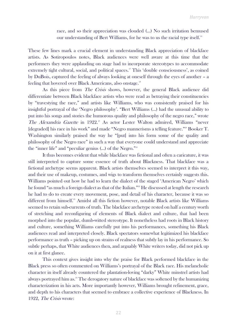race, and so their appreciation was clouded (…) No such irritation bemused our understanding of Bert Williams, for he was to us the racial type itself.<sup>16</sup>

These few lines mark a crucial element in understanding Black appreciation of blackface artists. As Sotiropoulos notes, Black audiences were well aware at this time that the performers they were applauding on stage had to incorporate stereotypes to accommodate extremely tight cultural, social, and political spaces.<sup>17</sup> This 'double consciousness', as coined by DuBois, captured the feeling of always looking at oneself through the eyes of another – a feeling that hovered over Black Americans, also onstage.<sup>18</sup>

As this piece from The Crisis shows, however, the general Black audience did differentiate between Black blackface artists who were read as betraying their constituencies by "travestying the race," and artists like Williams, who was consistently praised for his insightful portrayal of the 'Negro philosophy'. "Bert Williams (…) had the unusual ability to put into his songs and stories the humorous quality and philosophy of the negro race," wrote The Alexandria Gazette in 1922.<sup>19</sup> As actor Lester Walton admired, Williams "never [degraded] his race in his work" and made "Negro mannerisms a telling feature."<sup>20</sup> Booker T. Washington similarly praised the way he "[put] into his form some of the quality and philosophy of the Negro race" in such a way that everyone could understand and appreciate the "inner life" and "peculiar genius  $(...)$  of the Negro."<sup>21</sup>

It thus becomes evident that while blackface was fictional and often a caricature, it was still interpreted to capture some essence of truth about Blackness. That blackface was a fictional archetype seems apparent. Black artists themselves seemed to interpret it this way, and their use of makeup, costumes, and wigs to transform themselves certainly suggests this. Williams pointed out how he had to learn the dialect of the staged 'American Negro' which he found "as much a foreign dialect as that of the Italian."<sup>22</sup> He discussed at length the research he had to do to create every movement, pose, and detail of his character, because it was so different from himself.<sup>23</sup> Amidst all this fiction however, notable Black artists like Williams seemed to retain sub-currents of truth. The blackface archetype rested on half a century worth of stretching and reconfiguring of elements of Black dialect and culture, that had been morphed into the popular, dumb-witted stereotype. It nonetheless had roots in Black history and culture, something Williams carefully put into his performances, something his Black audiences read and interpreted closely. Black spectators somewhat legitimized his blackface performance as truth – picking up on strains of realness that subtly lay in his performance. So subtle perhaps, that White audiences then, and arguably White writers today, did not pick up on it at first glance.

This context gives insight into why the praise for Black performed blackface in the Black press so often commented on Williams's portrayal of the Black race. His melancholic character in itself already countered the plantation-loving "darky" White minstrel artists had always portrayed him as.<sup>24</sup> The derogatory nature of blackface was softened by the humanizing characterization in his acts. More importantly however, Williams brought refinement, grace, and depth to his characters that seemed to embrace a collective experience of Blackness. In 1922, The Crisis wrote: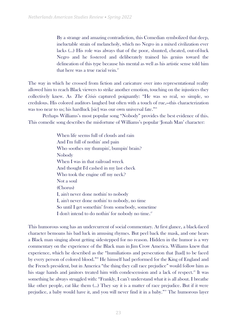By a strange and amazing contradiction, this Comedian symbolized that deep, ineluctable strain of melancholy, which no Negro in a mixed civilization ever lacks (…) His role was always that of the poor, shunted, cheated, out-of-luck Negro and he fostered and deliberately trained his genius toward the delineation of this type because his mental as well as his artistic sense told him that here was a true racial vein. $25$ 

The way in which he crossed from fiction and caricature over into representational reality allowed him to reach Black viewers to strike another emotion, touching on the injustices they collectively knew. As The Crisis captured poignantly: "He was so real, so simple, so credulous. His colored auditors laughed but often with a touch of rue,—this characterization was too near to us; his hardluck [sic] was our own universal fate."<sup>26</sup>

Perhaps Williams's most popular song "Nobody" provides the best evidence of this. This comedic song describes the misfortune of Williams's popular 'Jonah Man' character:

> When life seems full of clouds and rain And I'm full of nothin' and pain Who soothes my thumpin', bumpin' brain? Nobody When I was in that railroad wreck And thought I'd cashed in my last check Who took the engine off my neck? Not a soul (Chorus) I, ain't never done nothin' to nobody I, ain't never done nothin' to nobody, no time So until I get somethin' from somebody, sometime I don't intend to do nothin' for nobody no time.<sup>27</sup>

This humorous song has an undercurrent of social commentary. At first glance, a black-faced character bemoans his bad luck in amusing rhymes. But peel back the mask, and one hears a Black man singing about getting sidestepped for no reason. Hidden in the humor is a wry commentary on the experience of the Black man in Jim Crow America. Williams knew that experience, which he described as the "humiliations and persecution that [had] to be faced by every person of colored blood."<sup>28</sup> He himself had performed for the King of England and the French president, but in America "the thing they call race prejudice" would follow him as his stage hands and janitors treated him with condescension and a lack of respect.<sup>29</sup> It was something he always struggled with: "Frankly, I can't understand what it is all about. I breathe like other people, eat like them (…) They say it is a matter of race prejudice. But if it were prejudice, a baby would have it, and you will never find it in a baby."<sup>30</sup> The humorous layer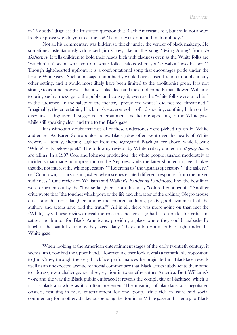in "Nobody" disguises the frustrated question that Black Americans felt, but could not always freely express: why do you treat me so? "I ain't never done nothin' to nobody."

Not all his commentary was hidden so thickly under the veneer of black makeup. He sometimes ostentatiously addressed Jim Crow, like in the song "Swing Along" from In Dahomey. It tells children to hold their heads high with gladness even as the White folks are "watchin' an' seein' what you do, white folks jealous when you'se walkin' two by two."<sup>31</sup> Though light-hearted upfront, it is a confrontational song that encourages pride under the hostile White gaze. Such a message undoubtedly would have caused friction in public in any other setting, and it would most likely have been limited to the abolitionist press. It is not strange to assume, however, that it was blackface and the air of comedy that allowed Williams to bring such a message to the public and convey it, even as the "white folks were watchin'" in the audience. In the safety of the theater, "prejudiced whites" did not feel threatened.<sup>32</sup> Imaginably, the entertaining black mask was somewhat of a distracting, soothing balm on the discourse it disguised. It suggested entertainment and fiction: appealing to the White gaze while still speaking clear and true to the Black gaze.

It is without a doubt that not all of these undertones were picked up on by White audiences. As Karen Sotiropoulos notes, Black jokes often went over the heads of White viewers – literally, eliciting laughter from the segregated Black gallery above, while leaving 'White' seats below quiet.<sup>33</sup> The following reviews by White critics, quoted in *Staging Race*, are telling. In a 1907 Cole and Johnson production "the white people laughed moderately at incidents that made no impression on the Negroes, while the latter shouted in glee at jokes that did not interest the white spectators."<sup>34</sup> Referring to "the upstairs spectators," "the gallery," or "Coontown," critics distinguished when scenes elicited different responses from the mixed audiences.<sup>35</sup> One review on Williams and Walker's *Bandanna Land* noted how the best lines were drowned out by the "hoarse laughter" from the noisy "colored contingent."<sup>36</sup>Another critic wrote that "the touches which portray the life and character of the ordinary Negro arouse quick and hilarious laughter among the colored auditors, pretty good evidence that the authors and actors have told the truth."<sup>37</sup> All in all, there was more going on than met the (White) eye. These reviews reveal the role the theater stage had as an outlet for criticism, satire, and humor for Black Americans, providing a place where they could unabashedly laugh at the painful situations they faced daily. They could do it in public, right under the White gaze.

When looking at the American entertainment stages of the early twentieth century, it seems Jim Crow had the upper hand. However, a closer look reveals a remarkable opposition to Jim Crow, through the very blackface performances he originated in. Blackface reveals itself as an unexpected avenue for social commentary that Black artists subtly set to their hand to address, even challenge, racial segregation in twentieth-century America. Bert Williams's work and the way the Black public embraced it reveals the complexity of blackface, which is not as black-and-white as it is often presented. The meaning of blackface was negotiated onstage, resulting in mere entertainment for one group, while rich in satire and social commentary for another. It takes suspending the dominant White gaze and listening to Black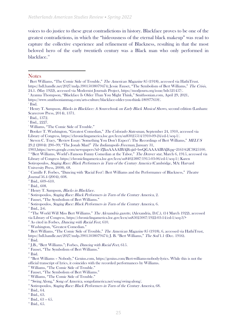voices to do justice to these great contradictions in history. Blackface proves to be one of the greatest contradictions, in which the "hideousness of the eternal black makeup" was read to capture the collective experience and refinement of Blackness, resulting in that the most beloved hero of the early twentieth century was a Black man who only performed in blackface.<sup>38</sup>

<sup>8</sup> Booker T. Washington, "Greatest Comedian," The Colorado Statesman, September 24, 1910, accessed via Library of Congress, [https://chroniclingamerica.loc.gov/lccn/sn83025514/1910-09-24/ed-1/seq-1/.](about:blank) 

9 Steven C. Tracy, "Review Essay: 'Something You Don't Expect': The Recordings of Bert Williams," MELUS 29.2 (2004): 290–99; "The Jonah Man!" The Indianapolis Freeman, January 31,

1903[,https://news.google.com/newspapers?id=ZJknAAAAIBAJ&sjid=bwQGAAAAIBAJ&pg=2161%2C3825100.](https://news.google.com/newspapers?id=ZJknAAAAIBAJ&sjid=bwQGAAAAIBAJ&pg=2161%2C3825100) <sup>10</sup> "Bert Williams, World's Famous Funny Comedian at the Tabor," The Denver star, March 6, 1915, accessed via Library of Congress [https://chroniclingamerica.loc.gov/lccn/sn84025887/1915-03-06/ed-1/seq-1/;](about:blank) Karen Sotiropoulos, Staging Race: Black Performers in Turn of the Century America (Cambridge, MA: Harvard University Press, 2008), 68.

<sup>11</sup> Camille F. Forbes, "Dancing with 'Racial Feet': Bert Williams and the Performance of Blackness," Theatre Journal 56.4 (2004), 608.

 $12$  Ibid., 609-610.

 $14$  Henry T. Sampson, *Blacks in Blackface.* 

 $15$  Sotiropoulos, *Staging Race: Black Performers in Turn of the Century America*, 2.

<sup>16</sup> Fauset, "The Symbolism of Bert Williams."

 $17$  Sotiropoulos, *Staging Race: Black Performers in Turn of the Century America*, 6.

<sup>18</sup> Ibid., 2-6.

<sup>19</sup> "The World Will Miss Bert Williams." The Alexandria gazette, (Alexandria, D.C.), (14 March 1922), accessed via Library of Congress, [https://chroniclingamerica.loc.gov/lccn/sn85025007/1922-03-14/ed-1/seq-3/>](about:blank)

 $2^{\circ}$  As cited in Forbes, *Dancing with Racial Feet*, 610.

<sup>21</sup> Washington, "Greatest Comedian."

<sup>22</sup> Bert Williams, "The Comic Side of Trouble," *The American Magazine* 85 (1918), 6, accessed via HathiTrust, [https://hdl.handle.net/2027/mdp.39015038079474](about:blank); J. B. "Bert Williams," The Soil 1.1 (Dec. 1916).  $23$  Ibid.

 $24$  J.B., "Bert Williams."; Forbes, *Dancing with Racial Feet*, 615.

<sup>25</sup> Fauset, "The Symbolism of Bert Williams."

 $26$  Ibid.

<sup>27</sup> "Bert Williams – Nobody," Genius.com, [https://genius.com/Bert-williams-nobody-lyrics.](about:blank) While this is not the official transcript of lyrics, it coincides with the recorded performances by Williams.

<sup>28</sup> Williams, "The Comic Side of Trouble."

<sup>29</sup> Fauset, "The Symbolism of Bert Williams."

<sup>30</sup> Williams, "The Comic Side of Trouble."

<sup>33</sup> Ibid., 64.

 $35$  Ibid., 63 – 65.

**Notes** 

<sup>&</sup>lt;sup>1</sup> Bert Williams, "The Comic Side of Trouble," *The American Magazine* 85 (1918), accessed via HathiTrust. [https://hdl.handle.net/2027/mdp.39015038079474](about:blank); Jessie Fauset, "The Symbolism of Bert Williams," The Crisis, 24.1. (May 1922), accessed via Modernist Journals Project, [https://modjourn.org/issue/bdr521457/.](about:blank)

<sup>2</sup> Ayanna Thompson, "Blackface Is Older Than You Might Think," Smithsonian.com, April 29, 2021,

[https://www.smithsonianmag.com/arts-culture/blackface-older-you-think-180977618/.](https://www.smithsonianmag.com/arts-culture/blackface-older-you-think-180977618/)

<sup>3</sup> Ibid.

<sup>&</sup>lt;sup>4</sup> Henry T. Sampson, *Blacks in Blackface: A Sourcebook on Early Black Musical Shows*, second edition (Lanham: Scarecrow Press, 2014), 1371.

<sup>5</sup> Ibid., 1372.

<sup>6</sup> Ibid., 2227.

<sup>7</sup> Williams, "The Comic Side of Trouble."

<sup>&</sup>lt;sup>13</sup> Ibid., 608.

<sup>&</sup>lt;sup>31</sup> "Swing Along," Song of America, songofamerica.net/song/swing-along/.

<sup>&</sup>lt;sup>32</sup> Sotiropoulos, Staging Race: Black Performers in Turn of the Century America, 68.

<sup>34</sup> Ibid., 63.

 $36$  Ibid., 65.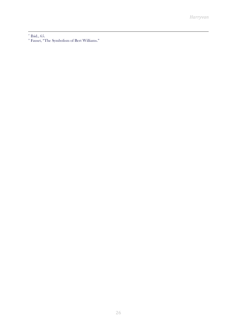$37$  Ibid., 65.

<sup>38</sup> Fauset, "The Symbolism of Bert Williams."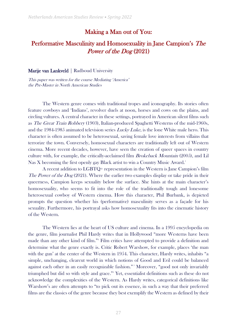# Making a Man out of You:

# Performative Masculinity and Homosexuality in Jane Campion's The Power of the Dog (2021)

#### Marije van Lankveld | Radboud University

This paper was written for the course Mediating 'America' the Pre-Master in North American Studies

The Western genre comes with traditional tropes and iconography. Its stories often feature cowboys and 'Indians', revolver duels at noon, horses and cows on the plains, and circling vultures. A central character in these settings, portrayed in American silent films such as The Great Train Robbery (1903), Italian-produced Spaghetti Westerns of the mid-1960s, and the 1984-1985 animated television series Lucky Luke, is the lone White male hero. This character is often assumed to be heterosexual, saving female love interests from villains that terrorize the town. Conversely, homosexual characters are traditionally left out of Western cinema. More recent decades, however, have seen the creation of queer spaces in country culture with, for example, the critically-acclaimed film Brokeback Mountain (2005), and Lil Nas X becoming the first openly gay Black artist to win a Country Music Award.<sup>1</sup>

A recent addition to LGBTQ+ representation in the Western is Jane Campion's film The Power of the Dog (2021). Where the earlier two examples display or take pride in their queerness, Campion keeps sexuality below the surface. She hints at the main character's homosexuality, who seems to fit into the role of the traditionally tough and lonesome heterosexual cowboy of Western cinema. How this character, Phil Burbank, is depicted prompts the question whether his (performative) masculinity serves as a façade for his sexuality. Furthermore, his portrayal asks how homosexuality fits into the cinematic history of the Western.

The Western lies at the heart of US culture and cinema. In a 1995 encyclopedia on the genre, film journalist Phil Hardy writes that in Hollywood "more Westerns have been made than any other kind of film."<sup>2</sup> Film critics have attempted to provide a definition and determine what the genre exactly is. Critic Robert Warshow, for example, places 'the man with the gun' at the center of the Western in 1954. This character, Hardy writes, inhabits "a simple, unchanging, clearcut world in which notions of Good and Evil could be balanced against each other in an easily recognizable fashion."<sup>3</sup> Moreover, "good not only invariably triumphed but did so with style and grace."<sup>4</sup> Yet, essentialist definitions such as these do not acknowledge the complexities of the Western. As Hardy writes, categorical definitions like Warshow's are often attempts to "to pick out its essence, in such a way that their preferred films are the classics of the genre because they best exemplify the Western as defined by their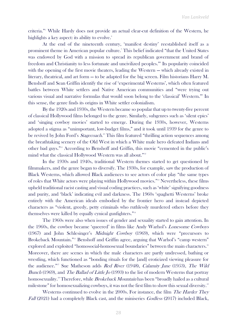criteria."<sup>5</sup> While Hardy does not provide an actual clear-cut definition of the Western, he highlights a key aspect: its ability to evolve.<sup>6</sup>

At the end of the nineteenth century, 'manifest destiny' reestablished itself as a prominent theme in American popular culture.<sup>7</sup> This belief indicated "that the United States was endowed by God with a mission to spread its republican government and brand of freedom and Christianity to less fortunate and uncivilized peoples."<sup>8</sup> Its popularity coincided with the opening of the first movie theaters, leading the Western — which already existed in literary, theatrical, and art form — to be adapted for the big screen. Film historians Harry M. Benshoff and Sean Griffin identify the rise of 'experimental Westerns', which often featured battles between White settlers and Native American communities and "were trying out various visual and narrative formulas that would soon belong to the 'classical' Western."<sup>9</sup> In this sense, the genre finds its origins in White settler colonialism.

By the 1920s and 1930s, the Western became so popular that up to twenty-five percent of classical Hollywood films belonged to the genre. Similarly, subgenres such as 'silent epics' and 'singing cowboy movies' started to emerge. During the 1930s, however, Westerns adopted a stigma as "unimportant, low-budget films," and it took until 1939 for the genre to be revived by John Ford's Stagecoach.<sup>10</sup> This film featured "thrilling action sequences among the breathtaking scenery of the Old West in which a White male hero defeated Indians and other bad guys."<sup>11</sup> According to Benshoff and Griffin, this movie "cemented in the public's mind what the classical Hollywood Western was all about."<sup>12</sup>

In the 1930s and 1940s, traditional Western themes started to get questioned by filmmakers, and the genre began to diversify. The 1930s, for example, saw the production of Black Westerns, which allowed Black audiences to see actors of color play "the same types of roles that White actors were playing within Hollywood movies."<sup>13</sup> Nevertheless, these films upheld traditional racist casting and visual coding practices, such as 'white' signifying goodness and purity, and 'black' indicating evil and darkness. The 1960s 'spaghetti Westerns' broke entirely with the American ideals embodied by the frontier hero and instead depicted characters as "violent, greedy, petty criminals who ruthlessly murdered others before they themselves were killed by equally cynical gunfighters."<sup>14</sup>

The 1960s were also when issues of gender and sexuality started to gain attention. In the 1960s, the cowboy became 'queered' in films like Andy Warhol's Lonesome Cowboys (1967) and John Schlesinger's Midnight Cowboy (1969), which were "precursors to Brokeback Mountain."<sup>15</sup> Benshoff and Griffin agree, arguing that Warhol's "camp western" explored and exploited "homosocial-homosexual boundaries" between the main characters.<sup>16</sup> Moreover, there are scenes in which the male characters are partly undressed, bathing or wrestling, which functioned as "bonding rituals for the [and] eroticized viewing pleasure for the audience."<sup>17</sup> Sue Matheson adds Red River (1948), Calamity Jane (1953), The Wild Bunch (1969), and *The Ballad of Little Jo* (1993) to the list of modern Westerns that portray homosexuality.<sup>18</sup> Therefore, while *Brokeback Mountain* has been "broadly hailed as a cultural milestone" for homosexualizing cowboys, it was not the first film to show this sexual diversity.<sup>19</sup>

Westerns continued to evolve in the 2000s. For instance, the film *The Harder They* Fall (2021) had a completely Black cast, and the miniseries Godless (2017) included Black,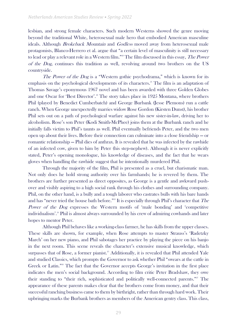lesbian, and strong female characters. Such modern Westerns showed the genre moving beyond the traditional White, heterosexual male hero that embodied American masculine ideals. Although *Brokeback Mountain* and *Godless* moved away from heterosexual male protagonists, Blanco-Herrero et al. argue that "a certain level of masculinity is still necessary to lead or play a relevant role in a Western film."<sup>20</sup> The film discussed in this essay, The Power of the Dog, continues this tradition as well, revolving around two brothers on the US countryside.

The Power of the Dog is a "Western gothic psychodrama," which is known for its emphasis on the psychological developments of its characters.<sup>21</sup> The film is an adaptation of Thomas Savage's eponymous 1967 novel and has been awarded with three Golden Globes and one Oscar for 'Best Director'.<sup>2</sup> The story takes place in 1925 Montana, where brothers Phil (played by Benedict Cumberbatch) and George Burbank (Jesse Plemons) run a cattle ranch. When George unexpectedly marries widow Rose Gordon (Kirsten Dunst), his brother Phil sets out on a path of psychological warfare against his new sister-in-law, driving her to alcoholism. Rose's son Peter (Kodi Smith-McPhee) joins them at the Burbank ranch and he initially falls victim to Phil's taunts as well. Phil eventually befriends Peter, and the two men open up about their lives. Before their connection can culminate into a close friendship — or romantic relationship — Phil dies of anthrax. It is revealed that he was infected by the rawhide of an infected cow, given to him by Peter (his step-nephew). Although it is never explicitly stated, Peter's opening monologue, his knowledge of diseases, and the fact that he wears gloves when handling the rawhide suggest that he intentionally murdered Phil.

Through the majority of the film, Phil is presented as a cruel, but charismatic man. Not only does he hold strong authority over his farmhands; he is revered by them. The brothers are further presented as direct opposites, as George is a gentle and awkward pushover and visibly aspiring to a high social rank through his clothes and surrounding company. Phil, on the other hand, is a bully and a tough laborer who castrates bulls with his bare hands and has "never tried the house bath before."<sup>23</sup> It is especially through Phil's character that The Power of the Dog expresses the Western motifs of 'male bonding' and 'competitive individualism'.<sup>24</sup> Phil is almost always surrounded by his crew of admiring cowhands and later hopes to mentor Peter.

Although Phil behaves like a working-class farmer, he has skills from the upper classes. These skills are shown, for example, when Rose attempts to master Strauss's 'Radetzky March' on her new piano, and Phil sabotages her practice by playing the piece on his banjo in the next room. This scene reveals the character's extensive musical knowledge, which surpasses that of Rose, a former pianist.<sup>25</sup> Additionally, it is revealed that Phil attended Yale and studied Classics, which prompts the Governor to ask whether Phil "swears at the cattle in Greek or Latin."<sup>26</sup> The fact that the Governor accepts George's invitation in the first place indicates the men's social background. According to film critic Peter Bradshaw, they owe their standing to "their rich, sophisticated and politically well-connected parents."<sup>27</sup> The appearance of these parents makes clear that the brothers come from money, and that their successful ranching business came to them by birthright, rather than through hard work. Their upbringing marks the Burbank brothers as members of the American gentry class. This class,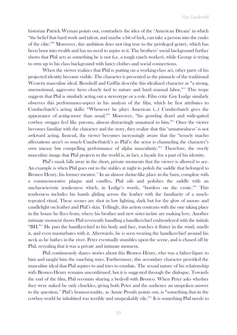historian Patrick Wyman points out, contradicts the idea of the 'American Dream' in which "the belief that hard work and talent, and maybe a bit of luck, can take a person into the ranks of the elite."<sup>28</sup> Moreover, this ambition does not ring true to the privileged gentry, which has been born into wealth and has no need to aspire to it. The brothers' social background further shows that Phil acts as something he is not (i.e. a tough ranch worker), while George is trying to own up to his class background with fancy clothes and social connections.

When the viewer realizes that Phil is putting on a working-class act, other parts of his projected identity become visible. The character is presented as the pinnacle of the traditional Western masculine ideal. Benshoff and Griffin describe this idealized character as "a strong, unemotional, aggressive hero closely tied to nature and hard manual labor."<sup>29</sup> This trope suggests that Phil is similarly acting out a stereotype or a role. Film critic Guy Lodge similarly observes this performance-aspect in his analysis of the film, which he first attributes to Cumberbatch's acting skills: "Whenever he plays American (…) Cumberbatch gives the appearance of *acting* more than usual."<sup>30</sup> Moreover, "his growling drawl and wide-gaited cowboy swagger feel like put-ons, almost distractingly unnatural to him."<sup>31</sup> Once the viewer becomes familiar with the character and the story, they realize that this 'unnaturalness' is not awkward acting. Instead, the viewer becomes increasingly aware that the "tensely macho affectations aren't so much Cumberbatch's as Phil's: the actor is channeling the character's own uneasy but compelling performance of alpha masculinity."<sup>32</sup> Therefore, the overly masculine image that Phil projects to the world is, in fact, a façade for a part of his identity.

Phil's mask falls away in the short, private moments that the viewer is allowed to see. An example is when Phil goes out to the stables at night to polish the saddle that belonged to Bronco Henry, his former mentor.<sup>33</sup> In an almost shrine-like place in the barn, complete with a commemorative plaque and candles, Phil oils and polishes the saddle with an uncharacteristic tenderness which, in Lodge's words, "borders on the erotic."<sup>34</sup> This tenderness includes his hands gliding across the leather with the familiarity of a muchrepeated ritual. These scenes are shot in low lighting, dark but for the glow of moon- and candlelight on leather and Phil's skin. Tellingly, this action contrasts with the one taking place in the house he flees from, where his brother and new sister-in-law are making love. Another intimate moment shows Phil reverently handling a handkerchief embroidered with the initials "BH."<sup>35</sup> He puts the handkerchief to his body and face, watches it flutter in the wind, smells it, and even masturbates with it. Afterwards, he is seen wearing the handkerchief around his neck as he bathes in the river. Peter eventually stumbles upon the scene, and is chased off by Phil, revealing that it was a private and intimate moment.

Phil continuously shares stories about this Bronco Henry, who was a father-figure to him and taught him the ranching ways. Furthermore, this secondary character provided the masculine ideal that Phil aspires to and tries to emulate. The sexual nature of his relationship with Bronco Henry remains unconfirmed, but it is suggested through the dialogue. Towards the end of the film, Phil recounts sharing a bedroll with Bronco. When Peter asks whether they were naked he only chuckles, giving both Peter and the audience an unspoken answer to the question.<sup>36</sup> Phil's homosexuality, as Annie Proulx points out, is "something that in the cowboy world he inhabited was terrible and unspeakably vile."<sup>37</sup> It is something Phil needs to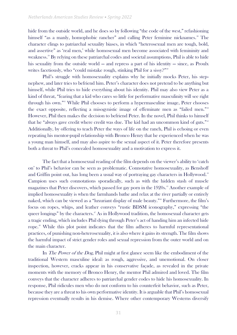hide from the outside world, and he does so by following "the code of the west," refashioning himself "as a manly, homophobic rancher" and calling Peter feminine nicknames.<sup>38</sup> The character clings to patriarchal sexuality biases, in which "heterosexual men are tough, bold, and assertive" as 'real men,' while homosexual men become associated with femininity and weakness.<sup>39</sup> By relying on these patriarchal codes and societal assumptions, Phil is able to hide his sexuality from the outside world — and repress a part of his identity — since, as Proulx writes facetiously, who "could mistake rough, stinking Phil for a sissy?"<sup>40</sup>

Phil's struggle with homosexuality explains why he initially mocks Peter, his stepnephew, and later tries to befriend him. Peter's character does not pretend to be anything but himself, while Phil tries to hide everything about his identity. Phil may also view Peter as a kind of threat, "fearing that a kid who cares so little for performative masculinity will see right through his own."<sup>41</sup> While Phil chooses to perform a hypermasculine image, Peter chooses the exact opposite, reflecting a misogynistic image of effeminate men as "failed men."<sup>42</sup> However, Phil then makes the decision to befriend Peter. In the novel, Phil thinks to himself that he "always gave credit where credit was due. The kid had an uncommon kind of guts."<sup>43</sup> Additionally, by offering to teach Peter the ways of life on the ranch, Phil is echoing or even repeating his mentor-pupil relationship with Bronco Henry that he experienced when he was a young man himself, and may also aspire to the sexual aspect of it. Peter therefore presents both a threat to Phil's concealed homosexuality and a motivation to express it.

The fact that a homosexual reading of the film depends on the viewer's ability to 'catch on' to Phil's behavior can be seen as problematic. Connotative homosexuality, as Benshoff and Griffin point out, has long been a usual way of portraying gay characters in Hollywood.<sup>44</sup> Campion uses such connotations sporadically, such as with the hidden stash of muscle magazines that Peter discovers, which passed for gay porn in the 1920s.<sup>45</sup> Another example of implied homosexuality is when the farmhands bathe and relax at the river partially or entirely naked, which can be viewed as a "luxuriant display of male beauty."<sup>46</sup> Furthermore, the film's focus on ropes, whips, and leather conveys "rustic BDSM iconography," expressing "the queer longings" by the characters.<sup>47</sup> As in Hollywood tradition, the homosexual character gets a tragic ending, which includes Phil dying through Peter's act of handing him an infected hide rope. <sup>48</sup> While this plot point indicates that the film adheres to harmful representational practices, of punishing non-heterosexuality, it is also where it gains its strength. The film shows the harmful impact of strict gender roles and sexual repression from the outer world and on the main character.

In *The Power of the Dog*, Phil might at first glance seem like the embodiment of the traditional Western masculine ideal: as rough, aggressive, and unemotional. On closer inspection, however, cracks appear in his conservative façade, as revealed in the private moments with the memory of Bronco Henry, the mentor Phil admired and loved. The film conveys that the character adheres to patriarchal gender codes to hide his homosexuality. In response, Phil ridicules men who do not conform to his counterfeit behavior, such as Peter, because they are a threat to his own performative identity. It is arguable that Phil's homosexual repression eventually results in his demise. Where other contemporary Westerns diversify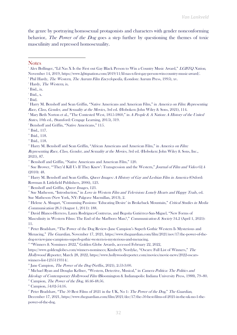the genre by portraying homosexual protagonists and characters with gender nonconforming behavior, The Power of the Dog goes a step further by questioning the themes of toxic masculinity and repressed homosexuality.

**Notes** 

Representing Race, Class, Gender, and Sexuality at the Movies, 3rd ed. (Hoboken: John Wiley & Sons, Inc., 2021), 87.

<sup>15</sup> Sue Brower, "They'd Kill Us If They Knew': Transgression and the Western," *Journal of Film and Video* 62.4 (2010): 48.

 $16$  Harry M. Benshoff and Sean Griffin, *Queer Images: A History of Gay and Lesbian Film in America* (Oxford: Rowman & Littlefield Publishers, 2006), 123.

<sup>17</sup> Benshoff and Griffin, *Queer Images*, 123.

<sup>18</sup> Sue Matheson, "Introduction," in *Love in Western Film and Television: Lonely Hearts and Happy Trails*, ed. Sue Matheson (New York, NY: Palgrave Macmillan, 2013), 2.

<sup>19</sup> Helene A. Shugart, "Consuming Passions: 'Educating Desire' in Brokeback Mountain," Critical Studies in Media Communication 28.3 (August 1, 2011): 188.

<sup>20</sup> David Blanco-Herrero, Laura Rodríguez-Contreras, and Begoña Gutiérrez-San-Miguel, "New Forms of Masculinity in Western Films: The End of the Marlboro Man?," Communication & Society 34.2 (April 1, 2021): 11.

<sup>21</sup> Peter Bradshaw, "The Power of the Dog Review–Jane Campion's Superb Gothic Western Is Mysterious and Menacing," The Guardian, November 17, 2021, https://www.theguardian.com/film/2021/nov/17/the-power-of-thedog-review-jane-campions-superb-gothic-western-is-mysterious-and-menacing.

<sup>22</sup> "Winners & Nominees 2022," Golden Globe Awards, accessed February 22, 2022,

https://www.goldenglobes.com/winners-nominees; Kimberly Nordyke, "Oscars: Full List of Winners," The Hollywood Reporter, March 28, 2022, https://www.hollywoodreporter.com/movies/movie-news/2022-oscarswinners-list-1235119314/.

 $2^{\circ}$  Jane Campion, *The Power of the Dog* (Netflix, 2021), 2:53-3:00.

<sup>24</sup> Michael Ryan and Douglas Kellner, "Western, Detective, Musical," in *Camera Politica: The Politics and* Ideology of Contemporary Hollywood Film (Bloomington & Indianapolis: Indiana University Press, 1988), 79–80.

 $25$  Campion, The Power of the Dog, 46:46-48:56.

<sup>27</sup> Peter Bradshaw, "The 50 Best Films of 2021 in the UK, No 1: The Power of the Dog," The Guardian, December 17, 2021, https://www.theguardian.com/film/2021/dec/17/the-50-best-films-of-2021-in-the-uk-no-1-thepower-of-the-dog.

<sup>&</sup>lt;sup>1</sup> Alex Bollinger, "Lil Nas X Is the First out Gay Black Person to Win a Country Music Award," LGBTQ Nation, November 14, 2019, https://www.lgbtqnation.com/2019/11/lil-nas-x-first-gay-person-win-country-music-award/.

<sup>&</sup>lt;sup>2</sup> Phil Hardy, *The Western, The Aurum Film Encyclopedia*, (London: Aurum Press, 1995), xv.

<sup>&</sup>lt;sup>3</sup> Hardy, *The Western*, ix.

<sup>4</sup> Ibid., ix.

 $\delta$  Ibid., x.

<sup>6</sup> Ibid.

<sup>&</sup>lt;sup>7</sup> Harry M. Benshoff and Sean Griffin, "Native Americans and American Film," in America on Film: Representing Race, Class, Gender, and Sexuality at the Movies, 3rd ed. (Hoboken: John Wiley & Sons, 2021), 114.

<sup>&</sup>lt;sup>8</sup> Mary Beth Norton et al., "The Contested West, 1815-1860," in A People & A Nation: A History of the United States, 10th ed., (Stamford: Cengage Learning, 2015), 319.

<sup>9</sup> Benshoff and Griffin, "Native Americans," 115.

<sup>&</sup>lt;sup>10</sup> Ibid., 117.

 $<sup>11</sup>$  Ibid., 118.</sup>

<sup>&</sup>lt;sup>12</sup> Ibid., 118.

<sup>&</sup>lt;sup>13</sup> Harry M. Benshoff and Sean Griffin, "African Americans and American Film," in *America on Film:* 

<sup>&</sup>lt;sup>14</sup> Benshoff and Griffin, "Native Americans and American Film," 120.

 $26$  Campion, 54:02-54:16.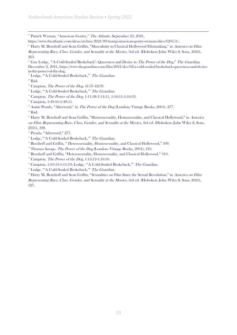<sup>28</sup> Patrick Wyman, "American Gentry," The Atlantic, September 23, 2021,

https://www.theatlantic.com/ideas/archive/2021/09/trump-american-gentry-wyman-elites/620151/.

<sup>29</sup> Harry M. Benshoff and Sean Griffin, "Masculinity in Classical Hollywood Filmmaking," in America on Film: Representing Race, Class, Gender, and Sexuality at the Movies, 3rd ed. (Hoboken: John Wiley & Sons, 2021), 263.

<sup>30</sup> Guy Lodge, "'A Cold-Souled Brokeback': Queerness and Desire in *The Power of the Dog*," The Guardian, December 2, 2021, https://www.theguardian.com/film/2021/dec/02/a-cold-souled-brokeback-queerness-and-desirein-the-power-of-the-dog.

<sup>31</sup> Lodge, "'A Cold-Souled Brokeback," The Guardian.

<sup>32</sup> Ibid.

 $33$  Campion, *The Power of the Dog*, 41:37-42:39.

<sup>34</sup> Lodge, "'A Cold-Souled Brokeback," The Guardian.

<sup>35</sup> Campion, *The Power of the Dog*, 1:11:38-1:14:11, 1:16:11-1:16:33.

<sup>36</sup> Campion, 1:49:16-1:49:55.

 $\overline{X}^3$  Annie Proulx, "Afterword," in *The Power of the Dog* (London: Vintage Books, 2001), 277.

<sup>38</sup> Ibid.

<sup>39</sup> Harry M. Benshoff and Sean Griffin, "Heterosexuality, Homosexuality, and Classical Hollywood," in America on Film: Representing Race, Class, Gender, and Sexuality at the Movies, 3rd ed. (Hoboken: John Wiley & Sons, 2021), 308.

<sup>40</sup> Proulx, "Afterword," 277.

<sup>41</sup> Lodge, "'A Cold-Souled Brokeback," The Guardian.

<sup>42</sup> Benshoff and Griffin, " Heterosexuality, Homosexuality, and Classical Hollywood," 309.

<sup>43</sup> Thomas Savage, *The Power of the Dog* (London: Vintage Books, 2001), 216.

<sup>44</sup> Benshoff and Griffin, "Heterosexuality, Homosexuality, and Classical Hollywood," 313.

 $45$  Campion, *The Power of the Dog*,  $1:14:12-1:16:10$ .

<sup>46</sup> Campion, 1:10:53-1:11:19; Lodge, "'A Cold-Souled Brokeback," The Guardian.

<sup>47</sup> Lodge, "'A Cold-Souled Brokeback," The Guardian.

<sup>48</sup> Harry M. Benshoff and Sean Griffin, "Sexualities on Film Since the Sexual Revolution," in America on Film: Representing Race, Class, Gender, and Sexuality at the Movies, 3rd ed. (Hoboken: John Wiley & Sons, 2021), 327.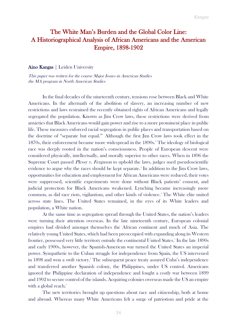# The White Man's Burden and the Global Color Line: A Historiographical Analysis of African Americans and the American Empire, 1898-1902

#### Aino Kangas | Leiden University

This paper was written for the course Major Issues in American Studies the MA program in North American Studies

In the final decades of the nineteenth century, tensions rose between Black and White Americans. In the aftermath of the abolition of slavery, an increasing number of new restrictions and laws restrained the recently obtained rights of African Americans and legally segregated the population. Known as Jim Crow laws, these restrictions were derived from anxieties that Black Americans would gain power and rise to a more prominent place in public life. These measures enforced racial segregation in public places and transportation based on the doctrine of "separate but equal."<sup>1</sup> Although the first Jim Crow laws took effect in the 1870s, their enforcement became more widespread in the 1890s.<sup>2</sup> The ideology of biological race was deeply rooted in the nation's consciousness. People of European descent were considered physically, intellectually, and morally superior to other races. When in 1896 the Supreme Court passed *Plessy v. Ferguson* to uphold the laws, judges used pseudoscientific evidence to argue why the races should be kept separate.<sup>3</sup> In addition to the Jim Crow laws, opportunities for education and employment for African Americans were reduced, their votes were suppressed, scientific experiments were done without Black patients' consent, and judicial protection for Black Americans weakened. Lynching became increasingly more common, as did race riots, vigilantism, and other kinds of violence.<sup>4</sup> The White elite united across state lines. The United States remained, in the eyes of its White leaders and population, a White nation.

At the same time as segregation spread through the United States, the nation's leaders were turning their attention overseas. In the late nineteenth century, European colonial empires had divided amongst themselves the African continent and much of Asia. The relatively young United States, which had been preoccupied with expanding along its Western frontier, possessed very little territory outside the continental United States.<sup>5</sup> In the late 1890s and early 1900s, however, the Spanish-American war turned the United States an imperial power. Sympathetic to the Cuban struggle for independence from Spain, the US intervened in 1898 and won a swift victory.<sup>6</sup> The subsequent peace treaty assured Cuba's independence and transferred another Spanish colony, the Philippines, under US control. Americans ignored the Philippine declaration of independence and fought a costly war between 1899 and 1902 to secure control of the islands. Acquiring colonies overseas made the US an empire with a global reach.<sup>7</sup>

The new territories brought up questions about race and citizenship, both at home and abroad. Whereas many White Americans felt a surge of patriotism and pride at the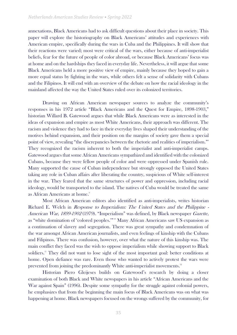annexations, Black Americans had to ask difficult questions about their place in society. This paper will explore the historiography on Black Americans' attitudes and experiences with American empire, specifically during the wars in Cuba and the Philippines. It will show that their reactions were varied; most were critical of the wars, either because of anti-imperialist beliefs, fear for the future of people of color abroad, or because Black Americans' focus was at home and on the hardships they faced in everyday life. Nevertheless, it will argue that some Black Americans held a more positive view of empire, mainly because they hoped to gain a more equal status by fighting in the wars, while others felt a sense of solidarity with Cubans and the Filipinos. It will end with an overview of the debate on how the racial ideology in the mainland affected the way the United States ruled over its colonized territories.

Drawing on African American newspaper sources to analyze the community's responses in his 1972 article "Black Americans and the Quest for Empire, 1898-1903," historian Willard B. Gatewood argues that while Black Americans were as interested in the ideas of expansion and empire as most White Americans, their approach was different. The racism and violence they had to face in their everyday lives shaped their understanding of the motives behind expansion, and their position on the margins of society gave them a special point of view, revealing "the discrepancies between the rhetoric and realities of imperialism."<sup>8</sup> They recognized the racism inherent to both the imperialist and anti-imperialist camps. Gatewood argues that some African Americans sympathized and identified with the colonized Cubans, because they were fellow people of color and were oppressed under Spanish rule. Many supported the cause of Cuban independence but strongly opposed the United States taking any role in Cuban affairs after liberating the country, suspicious of White self-interest in the war. They feared that the same structures of power and oppression, including racial ideology, would be transported to the island. The natives of Cuba would be treated the same as African Americans at home.<sup>9</sup>

Most African American editors also identified as anti-imperialists, writes historian Richard E. Welch in Response to Imperialism: The United States and the Philippine - American War, 1899-1902 (1979). "Imperialism" was defined, by Black newspaper Gazette, as "white domination of 'colored peoples.'" <sup>10</sup> Many African Americans saw US expansion as a continuation of slavery and segregation. There was great sympathy and condemnation of the war amongst African American journalists, and even feelings of kinship with the Cubans and Filipinos. There was confusion, however, over what the nature of this kinship was. The main conflict they faced was the wish to oppose imperialism while showing support to Black soldiers.<sup>11</sup> They did not want to lose sight of the most important goal: better conditions at home. Open defiance was rare. Even those who wanted to actively protest the wars were prevented from joining the predominantly White anti-imperialist movements.<sup>12</sup>

Historian Piero Gleijeses builds on Gatewood's research by doing a closer examination of both Black and White newspapers in his article "African Americans and the War against Spain" (1996). Despite some sympathy for the struggle against colonial powers, he emphasizes that from the beginning the main focus of Black Americans was on what was happening at home. Black newspapers focused on the wrongs suffered by the community, for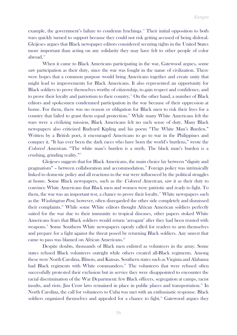example, the government's failure to condemn lynchings.<sup>13</sup> Their initial opposition to both wars quickly turned to support because they could not risk getting accused of being disloyal. Gleijeses argues that Black newspaper editors considered securing rights in the United States more important than acting on any solidarity they may have felt to other people of color abroad.<sup>14</sup>

When it came to Black Americans participating in the war, Gatewood argues, some saw participation as their duty, since the war was fought in the name of civilization. There were hopes that a common purpose would bring Americans together and create unity that might lead to improvements for Black Americans. It also represented an opportunity for Black soldiers to prove themselves worthy of citizenship, to gain respect and confidence, and to prove their loyalty and patriotism to their country.<sup>15</sup> On the other hand, a number of Black editors and spokesmen condemned participation in the war because of their oppression at home. For them, there was no reason or obligation for Black men to risk their lives for a country that failed to grant them equal protection.<sup>16</sup> While many White Americans felt the wars were a civilizing mission, Black Americans felt no such sense of duty. Many Black newspapers also criticized Rudyard Kipling and his poem "The White Man's Burden." Written by a British poet, it encouraged Americans to go to war in the Philippines and conquer it. "It has ever been the dark races who have born the world's burdens," wrote the Colored American. "The white man's burden is a myth. The black man's burden is a crushing, grinding reality."<sup>17</sup>

Gleijeses suggests that for Black Americans, the main choice lay between "dignity and pragmatism" – between collaboration and accommodation.<sup>18</sup> Foreign policy was intrinsically linked to domestic policy and all reactions to the war were influenced by the political struggles at home. Some Black newspapers, such as the Colored American, saw it as their duty to convince White Americans that Black men and women were patriotic and ready to fight. To them, the war was an important test, a chance to prove their loyalty.<sup>19</sup> White newspapers such as the *Washington Post*, however, often disregarded the other side completely and dismissed their complaints.<sup>20</sup> While some White editors thought African American soldiers perfectly suited for the war due to their immunity to tropical diseases, other papers stoked White Americans fears that Black soldiers would return 'arrogant' after they had been trusted with weapons.<sup>21</sup> Some Southern White newspapers openly called for readers to arm themselves and prepare for a fight against the threat posed by returning Black soldiers. Any unrest that came to pass was blamed on African Americans.<sup>22</sup>

Despite doubts, thousands of Black men enlisted as volunteers in the army. Some states refused Black volunteers outright while others created all-Black regiments. Among these were North Carolina, Illinois, and Kansas. Southern states such as Virginia and Alabama had Black regiments with White commanders.<sup>23</sup> The volunteers that were refused often successfully protested their exclusion but in service they were disappointed to encounter the racial discrimination of the War Department: few Black officers, segregation at camps, racist insults, and riots. Jim Crow laws remained in place in public places and transportation.<sup>24</sup> In North Carolina, the call for volunteers to Cuba was met with an enthusiastic response. Black soldiers organized themselves and appealed for a chance to fight.<sup>25</sup> Gatewood argues they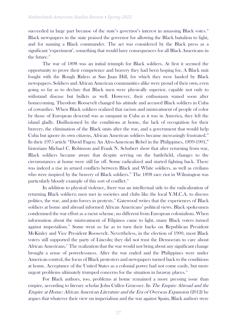succeeded in large part because of the state's governor's interest in amassing Black votes.<sup>26</sup> Black newspapers in the state praised the governor for allowing the Black battalion to fight, and for naming a Black commander. The act was considered by the Black press as a significant 'experiment', something that would have consequences for all Black Americans in the future.<sup>27</sup>

The war of 1898 was an initial triumph for Black soldiers. At first it seemed the opportunity to prove their competence and bravery they had been hoping for. A Black unit fought with the Rough Riders at San Juan Hill, for which they were lauded by Black newspapers. Soldiers and African American communities alike were proud of their own, even going so far as to declare that Black men were physically superior, capable not only to withstand disease but bullets as well. However, their enthusiasm waned soon after homecoming. Theodore Roosevelt changed his attitude and accused Black soldiers in Cuba of cowardice. When Black soldiers realized that racism and mistreatment of people of color by those of European descend was as rampant in Cuba as it was in America, they left the island gladly. Disillusioned by the conditions at home, the lack of recognition for their bravery, the elimination of the Black units after the war, and a government that would help Cuba but ignore its own citizens, African American soldiers became increasingly frustrated.<sup>28</sup> In their 1975 article "David Fagen: An Afro-American Rebel in the Philippines, 1899-1901," historians Michael C. Robinson and Frank N. Schubert show that after returning from war, Black soldiers became aware that despite serving on the battlefield, changes to the circumstances at home were still far off. Some radicalized and started fighting back. There was indeed a rise in armed conflicts between Black and White soldiers, as well as civilians who were inspired by the bravery of Black soldiers.<sup>29</sup> The 1898 race riot in Wilmington was particularly bloody example of this sort of conflict.<sup>30</sup>

In addition to physical violence, there was an intellectual side to the radicalization of returning Black soldiers; men met in societies and clubs like the local Y.M.C.A. to discuss politics, the war, and join forces in protests.<sup>31</sup> Gatewood writes that the experiences of Black soldiers at home and abroad informed African Americans' political views. Black spokesmen condemned the war effort as a racist scheme, no different from European colonialism. When information about the mistreatment of Filipinos came to light, many Black voters turned against imperialism.<sup>32</sup> Some went so far as to turn their backs on Republican President McKinley and Vice President Roosevelt. Nevertheless, in the election of 1900, most Black voters still supported the party of Lincoln; they did not trust the Democrats to care about African Americans.<sup>33</sup> The realization that the war would not bring about any significant change brought a sense of powerlessness. After the war ended and the Philippines were under American control, the focus of Black protesters and newspapers turned back to the conditions at home. Acceptance of the United States as a colonial power had not come easily, but more urgent problems ultimately trumped concerns for the situation in faraway places.<sup>34</sup>

For Black authors, too, problems at home remained a more pressing issue than empire, according to literary scholar John Cullen Gruesser. In The Empire Abroad and the Empire at Home: African American Literature and the Era of Overseas Expansion (2012) he argues that whatever their view on imperialism and the war against Spain, Black authors were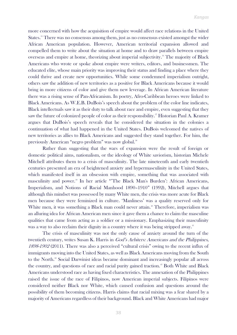more concerned with how the acquisition of empire would affect race relations in the United States.<sup>35</sup> There was no consensus among them, just as no consensus existed amongst the wider African American population. However, American territorial expansion allowed and compelled them to write about the situation at home and to draw parallels between empire overseas and empire at home, theorizing about imperial subjectivity. <sup>36</sup> The majority of Black Americans who wrote or spoke about empire were writers, editors, and businessmen. The educated elite, whose main priority was improving their status and finding a place where they could thrive and create new opportunities. While some condemned imperialism outright, others saw the addition of new territories as a positive for Black Americans because it would bring in more citizens of color and give them new leverage. In African American literature there was a rising sense of Pan-Africanism. In poetry, Afro-Caribbean heroes were linked to Black Americans. As W.E.B. DuBois's speech about the problem of the color line indicates, Black intellectuals saw it as their duty to talk about race and empire, even suggesting that they saw the future of colonized people of color as their responsibility.<sup>37</sup> Historian Paul A. Kramer argues that DuBois's speech reveals that he considered the situation in the colonies a continuation of what had happened in the United States. DuBois welcomed the natives of new territories as allies to Black Americans and suggested they stand together. For him, the previously American "negro problem" was now global.<sup>38</sup>

Rather than suggesting that the wars of expansion were the result of foreign or domestic political aims, nationalism, or the ideology of White saviorism, historian Michele Mitchell attributes them to a crisis of masculinity. The late nineteenth and early twentieth centuries presented an era of heightened anxiety and hypermasculinity in the United States, which manifested itself in an obsession with empire, something that was associated with masculinity and power.<sup>39</sup> In her article "The Black Man's Burden': African Americans, Imperialism, and Notions of Racial Manhood 1890–1910" (1992), Mitchell argues that although this mindset was possessed by many White men, the crisis was more acute for Black men because they were feminized in culture. 'Manliness' was a quality reserved only for White men, it was something a Black man could never attain.<sup>40</sup> Therefore, imperialism was an alluring idea for African American men since it gave them a chance to claim the masculine qualities that came from acting as a soldier or a missionary. Emphasizing their masculinity was a way to also reclaim their dignity in a country where it was being stripped away.<sup>41</sup>

The crisis of masculinity was not the only cause of anxiety around the turn of the twentieth century, writes Susan K. Harris in *God's Arbiters: Americans and the Philippines*, 1898-1902 (2011). There was also a perceived "cultural crisis" owing to the recent influx of immigrants moving into the United States, as well as Black Americans moving from the South to the North.<sup>42</sup> Social Darwinist ideas became dominant and increasingly popular all across the country, and questions of race and racial purity gained traction.<sup>43</sup> Both White and Black Americans understood race as having fixed characteristics. The annexation of the Philippines raised the issue of the race of Filipinos, now American imperial subjects. Filipinos were considered neither Black nor White, which caused confusion and questions around the possibility of them becoming citizens. Harris claims that racial mixing was a fear shared by a majority of Americans regardless of their background. Black and White Americans had major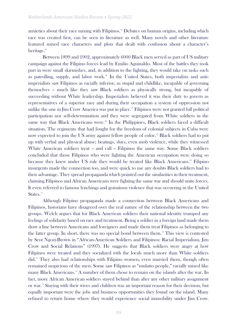anxieties about their race mixing with Filipinos.<sup>44</sup> Debates on human origins, including which race was created first, can be seen in literature as well. Many novels and other literature featured mixed race characters and plots that dealt with confusion about a character's heritage.<sup>45</sup>

Between 1899 and 1902, approximately 6000 Black men served as part of US military campaign against the Filipino forces lead by Emilio Aguinaldo. Most of the battles they took part in were small skirmishes, and, in addition to the fighting, they would take on tasks such as patrolling, supply, and labor work.<sup>46</sup> In the United States, both imperialists and antiimperialists saw Filipinos as racially inferior, as stupid and childlike, incapable of governing themselves – much like they saw Black soldiers as physically strong, but incapable of succeeding without White leadership. Imperialists believed it was their duty to govern as representatives of a superior race and during their occupation a system of oppression not unlike the one in Jim Crow America was put in place.<sup>47</sup> Filipinos were not granted full political participation nor self-determination and they were segregated from White soldiers in the same way that Black Americans were.<sup>48</sup> In the Philippines, Black soldiers faced a difficult situation. The regiments that had fought for the freedom of colonial subjects in Cuba were now expected to join the US army against fellow people of color.<sup>49</sup> Black soldiers had to put up with verbal and physical abuse; beatings, slurs, even mob violence, while they witnessed White American soldiers treat – and call – Filipinos the same way. Some Black soldiers concluded that those Filipinos who were fighting the American occupation were doing so because they knew under US rule they would be treated like Black Americans.<sup>50</sup> Filipino insurgents made the connection too, and were quick to use any doubts Black soldiers had to their advantage. They spread propaganda which pointed out the similarities in their treatment, claiming Filipinos and African Americans were fighting the same war and should unite forces. It even referred to famous lynchings and gratuitous violence that was occurring in the United States.<sup>51</sup>

Although Filipino propaganda made a connection between Black Americans and Filipinos, historians have disagreed over the real nature of the relationship between the two groups. Welch argues that for Black American soldiers their national identity trumped any feelings of solidarity based on race and treatment. Being a soldier in a foreign land made them draw a line between Americans and foreigners and made them treat Filipinos as belonging to the latter group. In short, there was no special bond between them.<sup>52</sup> This view is contested by Scot Ngozi-Brown in "African-American Soldiers and Filipinos: Racial Imperialism, Jim Crow and Social Relations" (1997). He suggests that Black soldiers were angry at how Filipinos were treated and they socialized with the locals much more than White soldiers did.<sup>53</sup> They also had relationships with Filipino women, even married them, though often remained suspicious of the men. Some saw Filipinos as "mulatto people," racially mixed like many Black Americans.<sup>54</sup> A number of them chose to remain on the islands after the war. In fact, more African American soldiers stayed behind than after any other military assignment or war. <sup>55</sup> Staying with their wives and children was an important reason for their decision, but equally important were the jobs and business opportunities they found on the island. Many refused to return home where they would experience social immobility under Jim Crow.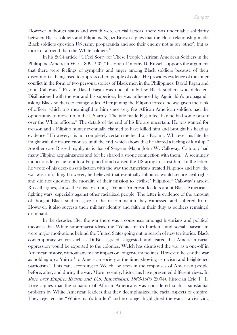However, although status and wealth were crucial factors, there was undeniable solidarity between Black soldiers and Filipinos. Ngozi-Brown argues that the close relationship made Black soldiers question US Army propaganda and see their enemy not as an 'other', but as more of a friend than the White soldiers.<sup>56</sup>

In his 2014 article "'I Feel Sorry for These People': African American Soldiers in the Philippine-American War, 1899-1902," historian Timothy D. Russell supports the argument that there were feelings of sympathy and anger among Black soldiers because of their discomfort at being used to oppress other people of color. He provides evidence of the inner conflict in the form of two personal stories of Black men in the Philippines: David Fagan and John Calloway.<sup>57</sup> Private David Fagan was one of only few Black soldiers who defected. Disillusioned with the war and his superiors, he was influenced by Aguinaldo's propaganda asking Black soldiers to change sides. After joining the Filipino forces, he was given the rank of officer, which was meaningful to him since very few African American soldiers had the opportunity to move up in the US army. The title made Fagan feel like he had some power over the White officers.<sup>58</sup> The details of the end of his life are uncertain. He was wanted for treason and a Filipino hunter eventually claimed to have killed him and brought his head as evidence.<sup>59</sup> However, it is not completely certain the head was Fagan's. Whatever his fate, he fought with the insurrectionists until the end, which shows that he shared a feeling of kinship.<sup>60</sup> Another case Russell highlights is that of Sergeant-Major John W. Calloway. Calloway had many Filipino acquaintances and felt he shared a strong connection with them.<sup>61</sup> A seemingly innocuous letter he sent to a Filipino friend caused the US army to arrest him. In the letter, he wrote of his deep dissatisfaction with the way the Americans treated Filipinos and how the war was unfolding. However, he believed that eventually Filipinos would secure civil rights and did not question the morality of their mission to 'civilize' Filipinos.<sup>62</sup> Calloway's arrest, Russell argues, shows the anxiety amongst White American leaders about Black Americans fighting wars, especially against other racialized people. The letter is evidence of the amount of thought Black soldiers gave to the discrimination they witnessed and suffered from. However, it also suggests their military identity and faith in their duty as soldiers remained dominant.

In the decades after the war there was a consensus amongst historians and political theorists that White supremacist ideas, the "White man's burden," and social Darwinism were major motivations behind the United States going out in search of new territories. Black contemporary writers such as DuBois agreed, suggested, and feared that American racial oppression would be exported to the colonies. Welch has dismissed the war as a one-off in American history, without any major impact on longer-term politics. However, he saw the war as holding up a 'mirror' to American society at the time, showing its racism and heightened patriotism.<sup>63</sup> This can, according to Welch, be seen in the responses of American people before, after, and during the war. More recently, historians have presented different views. In Race over Empire: Racism and U.S. Imperialism, 1865-1900 (2004), historian Eric T. L. Love argues that the situation of African Americans was considered such a substantial problem by White American leaders that they deemphasized the racial aspects of empire. They rejected the "White man's burden" and no longer highlighted the war as a civilizing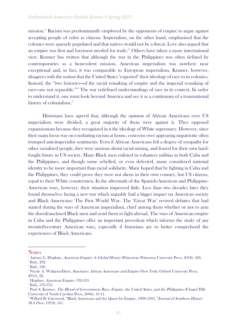mission.<sup>64</sup> Racism was predominantly employed by the opponents of empire to argue against accepting people of color as citizens. Imperialists, on the other hand, emphasized that the colonies were sparsely populated and that natives would not be a threat. Love also argued that an empire was first and foremost needed for trade.<sup>65</sup> Others have taken a more international view. Kramer has written that although the war in the Philippines was often defined by contemporaries as a benevolent mission, American imperialism was nowhere near exceptional and, in fact, it was comparable to European imperialism. Kramer, however, disagrees with the notion that the United States 'exported' their ideology of race to its colonies. Instead, the "two histories—of the racial remaking of empire and the imperial remaking of race—are not separable."<sup>66</sup> The war redefined understandings of race in its context. In order to understand it, one must look beyond America and see it as a continuum of a transnational history of colonialism.<sup>67</sup>

Historians have agreed that, although the opinion of African Americans over US imperialism were divided, a great majority of them were against it. They opposed expansionism because they recognized in it the ideology of White supremacy. However, since their main focus was on combating racism at home, concerns over appearing unpatriotic often trumped anti-imperialist sentiments. Even if African Americans felt a degree of sympathy for other racialized people, they were anxious about racial mixing, and feared for their own hardfought future in US society. Many Black men enlisted in volunteer militias in both Cuba and the Philippines, and though some rebelled, or even defected, many considered national identity to be more important than racial solidarity. Many hoped that by fighting in Cuba and the Philippines, they could prove they were not aliens in their own country, but US citizens, equal to their White countrymen. In the aftermath of the Spanish-American and Philippine-American wars, however, their situation improved little. Less than two decades later they found themselves facing a new war which arguably had a bigger impact on American society and Black Americans: The First World War. The 'Great War' revived debates that had started during the wars of American imperialism, chief among them whether or not to arm the disenfranchised Black men and send them to fight abroad. The wars of American empire in Cuba and the Philippines offer an important precedent which informs the study of any twentieth-century American wars, especially if historians are to better comprehend the experiences of Black Americans.

**Notes** 

<sup>&</sup>lt;sup>1</sup> Antony G. Hopkins, *American Empire: A Global History* (Princeton: Princeton University Press, 2018), 320. 2 Ibid., 292.

<sup>3</sup> Ibid., 320.

<sup>&</sup>lt;sup>4</sup> Nicole A. Waligora-Davis, Sanctuary: African Americans and Empire (New York: Oxford University Press, 2011), 22.

<sup>&</sup>lt;sup>5</sup> Hopkins, American Empire, 332-333.

<sup>6</sup> Ibid., 370-372.

<sup>&</sup>lt;sup>7</sup> Paul A. Kramer, *The Blood of Government: Race, Empire, the United States, and the Philippines* (Chapel Hill: University of North Carolina Press, 2006), 10-11.

<sup>&</sup>lt;sup>8</sup> Willard B. Gatewood, "Black Americans and the Quest for Empire, 1898-1903," Journal of Southern History 38.4 (Nov. 1972): 545.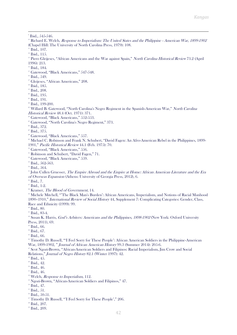$9$  Ibid., 545-546.

<sup>10</sup> Richard E. Welch, Response to Imperialism: The United States and the Philippine - American War, 1899-1902 (Chapel Hill: The University of North Carolina Press, 1979): 108.  $11$  Ibid., 107.

 $12$  Ibid., 115.

- <sup>13</sup> Piero Gleijeses, "African Americans and the War against Spain," North Carolina Historical Review 73.2 (April 1996): 213.
- <sup>14</sup> Ibid., 184.
- <sup>15</sup> Gatewood, "Black Americans," 547-548.
- <sup>16</sup> Ibid., 549.
- <sup>17</sup> Gleijeses, "African Americans," 208.
- <sup>18</sup> Ibid., 185.
- <sup>19</sup> Ibid., 208.
- $20$  Ibid., 195.
- <sup>21</sup> Ibid., 191.
- $22$  Ibid., 199-200.

<sup>23</sup> Willard B. Gatewood, "North Carolina's Negro Regiment in the Spanish-American War," North Carolina Historical Review 48.4 (Oct. 1971): 371.

- <sup>24</sup> Gatewood, "Black Americans," 552-553.
- <sup>25</sup> Gatewood, "North Carolina's Negro Regiment," 373.
- <sup>26</sup> Ibid., 372.
- <sup>27</sup> Ibid., 375.
- <sup>28</sup> Gatewood, "Black Americans," 557.
- <sup>29</sup> Michael C. Robinson and Frank N. Schubert, "David Fagen: An Afro-American Rebel in the Philippines, 1899-1901," Pacific Historical Review 44.1 (Feb. 1975): 70.
- <sup>30</sup> Gatewood, "Black Americans," 556.
- <sup>31</sup> Robinson and Schubert, "David Fagen," 71.
- <sup>32</sup> Gatewood, "Black Americans," 559.
- <sup>33</sup> Ibid., 562-563.
- <sup>34</sup> Ibid., 564.

<sup>35</sup> John Cullen Gruesser, The Empire Abroad and the Empire at Home: African American Literature and the Era of Overseas Expansion (Athens: University of Georgia Press, 2012), 6.

- <sup>36</sup> Ibid., 7.
- <sup>37</sup> Ibid., 1-2.
- <sup>38</sup> Kramer, *The Blood of Government*, 14.
- <sup>39</sup> Michele Mitchell, "'The Black Man's Burden': African Americans, Imperialism, and Notions of Racial Manhood 1890–1910," *International Review of Social History* 44, Supplement 7: Complicating Categories: Gender, Class, Race and Ethnicity (1999): 99.
- <sup>40</sup> Ibid., 80.
- <sup>41</sup> Ibid., 83-4.
- <sup>42</sup> Susan K. Harris, *God's Arbiters: Americans and the Philippines, 1898-1902* (New York: Oxford University Press, 2011), 69.
- $48$  Ibid., 66.
- $44$  Ibid., 67.
- $45$  Ibid., 66.

<sup>46</sup> Timothy D. Russell, "'I Feel Sorry for These People': African American Soldiers in the Philippine-American War, 1899-1902, " Journal of African American History 99.3 (Summer 2014): 205-6.

- <sup>47</sup> Scot Ngozi-Brown, "African-American Soldiers and Filipinos: Racial Imperialism, Jim Crow and Social Relations," Journal of Negro History 82.1 (Winter 1997): 42.
- $45.45.$

- <sup>50</sup> Ibid., 46.
- <sup>51</sup> Ibid., 46.
- $52$  Welch, *Response to Imperialism*, 112.
- <sup>53</sup> Ngozi-Brown, "African-American Soldiers and Filipinos," 47.
- <sup>54</sup> Ibid., 47.
- $55$  Ibid., 51.
- <sup>56</sup> Ibid., 50-51.
- <sup>57</sup> Timothy D. Russell, "'I Feel Sorry for These People'," 206.
- <sup>58</sup> Ibid., 207.
- <sup>59</sup> Ibid., 209.

 $49$  Ibid., 42.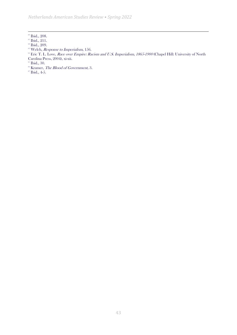*Netherlands American Studies Review • Spring 2022*

<sup>63</sup> Welch, Response to Imperialism, 156.

 $66$  Kramer, *The Blood of Government*, 3.

 $\frac{67}{1}$  Ibid., 4-5.

 $\omega$ <sup>60</sup> Ibid., 208.

 $61$  Ibid., 211.

 $62$  Ibid., 209.

<sup>&</sup>lt;sup>64</sup> Eric T. L. Love, Race over Empire: Racism and U.S. Imperialism, 1865-1900 (Chapel Hill: University of North Carolina Press, 2004), xi-xii.

 $65$  Ibid., 30.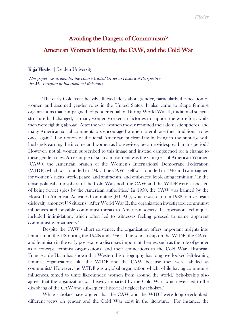# Avoiding the Dangers of Communism? American Women's Identity, the CAW, and the Cold War

Kaja Flieder | Leiden University

This paper was written for the course Global Order in Historical Perspective the MA program in International Relations

The early Cold War heavily affected ideas about gender, particularly the position of women and assumed gender roles in the United States. It also came to shape feminist organizations that campaigned for gender equality. During World War II, traditional societal structure had changed, as many women worked in factories to support the war effort, while men were fighting abroad. After the war, women mostly resumed their domestic spheres, and many American social commentators encouraged women to embrace their traditional roles once again.<sup>1</sup> The notion of the ideal American nuclear family, living in the suburbs with husbands earning the income and women as housewives, became widespread in this period.<sup>2</sup> However, not all women subscribed to this image and instead campaigned for a change to these gender roles. An example of such a movement was the Congress of American Women (CAW), the American branch of the Women's International Democratic Federation (WIDF), which was founded in 1945.<sup>3</sup> The CAW itself was founded in 1946 and campaigned for women's rights, world peace, and antiracism, and embraced left-leaning feminism.<sup>4</sup> In the tense political atmosphere of the Cold War, both the CAW and the WIDF were suspected of being Soviet spies by the American authorities.<sup>5</sup> In 1950, the CAW was banned by the House Un-American Activities Committee (HUAC), which was set up in 1938 to investigate disloyalty amongst US citizens.<sup>6</sup> After World War II, the organization investigated communist influences and possible communist threats to American society. Its operation techniques included intimidation, which often led to witnesses feeling pressed to name apparent communist sympathizers.<sup>7</sup>

Despite the CAW's short existence, the organization offers important insights into feminism in the US during the 1940s and 1950s. The scholarship on the WIDF, the CAW, and feminism in the early post-war era discusses important themes, such as the role of gender as a concept, feminist organizations, and their connections to the Cold War. Historian Francisca de Haan has shown that Western historiography has long overlooked left-leaning feminist organizations like the WIDF and the CAW because they were labeled as communist.<sup>8</sup> However, the WIDF was a global organization which, while having communist influences, aimed to unite like-minded women from around the world.<sup>9</sup> Scholarship also agrees that the organization was heavily impacted by the Cold War, which even led to the dissolving of the CAW and subsequent historical neglect by scholars.<sup>10</sup>

While scholars have argued that the CAW and the WIDF were long overlooked, different views on gender and the Cold War exist in the literature.<sup>11</sup> For instance, the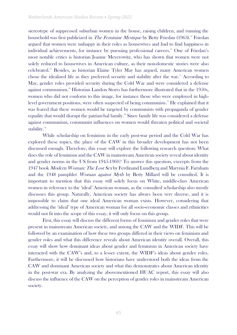stereotype of suppressed suburban women in the house, raising children, and running the household was first publicized in *The Feminine Mystique* by Betty Friedan (1963).<sup>12</sup> Friedan argued that women were unhappy in their roles as housewives and had to find happiness in individual achievements, for instance by pursuing professional careers.<sup>13</sup> One of Friedan's most notable critics is historian Joanne Meyerowitz, who has shown that women were not solely reduced to housewives in American culture, as their non-domestic stories were also celebrated.<sup>14</sup> Besides, as historian Elaine Tyler May has argued, many American women chose the idealized life as they preferred security and stability after the war.<sup>15</sup> According to May, gender roles provided security during the Cold War and were considered a defense against communism.<sup>16</sup> Historian Landon Storrs has furthermore illustrated that in the 1950s, women who did not conform to this image, for instance those who were employed in highlevel government positions, were often suspected of being communists.<sup>17</sup> He explained that it was feared that these women would be targeted by communists with propaganda of gender equality that would disrupt the patriarchal family.<sup>18</sup> Since family life was considered a defense against communism, communist influences on women would threaten political and societal stability.<sup>19</sup>

While scholarship on feminism in the early post-war period and the Cold War has explored these topics, the place of the CAW in this broader development has not been discussed enough. Therefore, this essay will explore the following research question: What does the role of feminism and the CAW in mainstream American society reveal about identity and gender norms in the US from 1945-1960? To answer this question, excerpts from the 1947 book *Modern Woman: The Lost Sex* by Ferdinand Lundberg and Marynia F. Farnham and the 1948 pamphlet *Woman against Myth* by Betty Millard will be consulted. It is important to mention that this essay will solely focus on White, middle-class American women in reference to the 'ideal' American woman, as the consulted scholarship also mostly discusses this group. Naturally, American society has always been very diverse, and it is impossible to claim that one ideal American woman exists. However, considering that addressing the 'ideal' type of American woman for all socio-economic classes and ethnicities would not fit into the scope of this essay, it will only focus on this group.

First, this essay will discuss the different forms of feminism and gender roles that were present in mainstream American society, and among the CAW and the WIDF. This will be followed by an examination of how these two groups differed in their views on feminism and gender roles and what this difference reveals about American identity overall. Overall, this essay will show how dominant ideas about gender and feminism in American society have interacted with the CAW's and, to a lesser extent, the WIDF's ideas about gender roles. Furthermore, it will be discussed how historians have understood both the ideas from the CAW and dominant American society and what this demonstrates about American identity in the post-war era. By analyzing the abovementioned HUAC report, this essay will also discuss the influence of the CAW on the perception of gender roles in mainstream American society.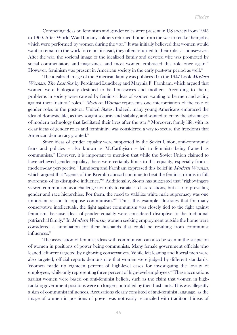Competing ideas on feminism and gender roles were present in US society from 1945 to 1960. After World War II, many soldiers returned home from the war to retake their jobs, which were performed by women during the war.<sup>20</sup> It was initially believed that women would want to remain in the work force but instead, they often returned to their roles as housewives. After the war, the societal image of the idealized family and devoted wife was promoted by social commentators and magazines, and most women embraced this role once again.<sup>21</sup> However, feminism was present in American society in the early post-war period as well.<sup>22</sup>

The idealized image of the American family was publicized in the 1947 book *Modern* Woman: The Lost Sex by Ferdinand Lundberg and Marynia F. Farnham, which argued that women were biologically destined to be housewives and mothers. According to them, problems in society were caused by feminist ideas of women wanting to be men and acting against their 'natural' roles.<sup>23</sup> Modern Woman represents one interpretation of the role of gender roles in the post-war United States. Indeed, many young Americans embraced the idea of domestic life, as they sought security and stability, and wanted to enjoy the advantages of modern technology that facilitated their lives after the war.<sup>24</sup> Moreover, family life, with its clear ideas of gender roles and femininity, was considered a way to secure the freedoms that American democracy granted.<sup>25</sup>

Since ideas of gender equality were supported by the Soviet Union, anti-communist fears and policies – also known as McCarthyism – led to feminists being framed as communists.<sup>26</sup> However, it is important to mention that while the Soviet Union claimed to have achieved gender equality, there were certainly limits to this equality, especially from a modern-day perspective.<sup>27</sup> Lundberg and Farnham expressed this belief in *Modern Woman*, which argued that "agents of the Kremlin abroad continue to beat the feminist drums in full awareness of its disruptive influence."<sup>28</sup> Additionally, Storrs has suggested that "right-wingers" viewed communism as a challenge not only to capitalist class relations, but also to prevailing gender and race hierarchies. For them, the need to stabilize white male supremacy was one important reason to oppose communism."<sup>29</sup> Thus, this example illustrates that for many conservative intellectuals, the fight against communism was closely tied to the fight against feminism, because ideas of gender equality were considered disruptive to the traditional patriarchal family.<sup>30</sup> In *Modern Woman*, women seeking employment outside the home were considered a humiliation for their husbands that could be resulting from communist influences.<sup>31</sup>

The association of feminist ideas with communism can also be seen in the suspicion of women in positions of power being communists. Many female government officials who leaned left were targeted by right-wing conservatives. While left leaning and liberal men were also targeted, official reports demonstrate that women were judged by different standards. Women made up eighteen percent of high-level cases for investigating the loyalty of employees, while only representing three percent of high-level employees.<sup>32</sup> These accusations against women were based on anti-feminist beliefs, such as the claim that women in highranking government positions were no longer controlled by their husbands. This was allegedly a sign of communist influences. Accusations clearly consisted of anti-feminist language, as the image of women in positions of power was not easily reconciled with traditional ideas of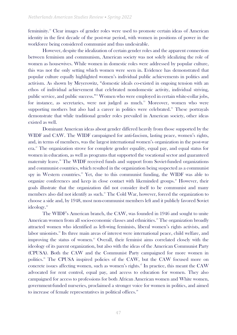femininity.<sup>33</sup> Clear images of gender roles were used to promote certain ideas of American identity in the first decade of the post-war period, with women in positions of power in the workforce being considered communist and thus undesirable.

However, despite the idealization of certain gender roles and the apparent connection between feminism and communism, American society was not solely idealizing the role of women as housewives. While women in domestic roles were addressed by popular culture, this was not the only setting which women were seen in. Evidence has demonstrated that popular culture equally highlighted women's individual public achievements in politics and activism. As shown by Meyerowitz, "domestic ideals co-existed in ongoing tension with an ethos of individual achievement that celebrated nondomestic activity, individual striving, public service, and public success."<sup>34</sup> Women who were employed in certain white-collar jobs, for instance, as secretaries, were not judged as much. <sup>35</sup> Moreover, women who were supporting mothers but also had a career in politics were celebrated.<sup>36</sup> These portrayals demonstrate that while traditional gender roles prevailed in American society, other ideas existed as well.

Dominant American ideas about gender differed heavily from those supported by the WIDF and CAW. The WIDF campaigned for anti-fascism, lasting peace, women's rights, and, in terms of members, was the largest international women's organization in the post-war era. <sup>37</sup> The organization strove for complete gender equality, equal pay, and equal status for women in education, as well as programs that supported the vocational sector and guaranteed maternity leave.<sup>38</sup> The WIDF received funds and support from Soviet-funded organizations and communist countries, which resulted in the organization being suspected as a communist spy in Western countries.<sup>39</sup> Yet, due to this communist funding, the WIDF was able to organize conferences and keep in close contact with likeminded groups.<sup>40</sup> However, their goals illustrate that the organization did not consider itself to be communist and many members also did not identify as such.<sup>41</sup> The Cold War, however, forced the organization to choose a side and, by 1948, most non-communist members left and it publicly favored Soviet ideology.<sup>42</sup>

The WIDF's American branch, the CAW, was founded in 1946 and sought to unite American women from all socio-economic classes and ethnicities.<sup>43</sup> The organization broadly attracted women who identified as left-wing feminists, liberal women's rights activists, and labor unionists.<sup>44</sup> Its three main areas of interest were international peace, child welfare, and improving the status of women.<sup>45</sup> Overall, their feminist aims correlated closely with the ideology of its parent organization, but also with the ideas of the American Communist Party (CPUSA). Both the CAW and the Communist Party campaigned for more women in politics.<sup>46</sup> The CPUSA inspired policies of the CAW, but the CAW focused more on concrete issues affecting women, such as women's rights.<sup>47</sup> In practice, this meant the CAW advocated for rent control, equal pay, and access to education for women. They also campaigned for access to professions for both African American women and White women, government-funded nurseries, proclaimed a stronger voice for women in politics, and aimed to increase of female representatives in political offices.<sup>48</sup>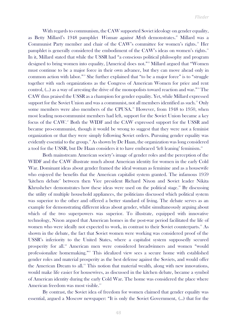With regards to communism, the CAW supported Soviet ideology on gender equality, as Betty Millard's 1948 pamphlet Woman against Myth demonstrates.<sup>49</sup> Millard was a Communist Party member and chair of the CAW's committee for women's rights.<sup>50</sup> Her pamphlet is generally considered the embodiment of the CAW's ideas on women's rights.<sup>51</sup> In it, Millard stated that while the USSR had "a conscious political philosophy and program designed to bring women into equality, [America] does not."<sup>52</sup> Millard argued that "Women must continue to be a major force in their own advance, but they can move ahead only in common action with labor."<sup>53</sup> She further explained that "to be a major force" is to "struggle together with such organizations as the Congress of American Women for price and rent control, (…) as a way of arresting the drive of the monopolists toward reaction and war."<sup>54</sup> The CAW thus praised the USSR as a champion for gender equality. Yet, while Millard expressed support for the Soviet Union and was a communist, not all members identified as such.<sup>55</sup> Only some members were also members of the CPUSA.<sup>56</sup> However, from 1948 to 1950, when most leading non-communist members had left, support for the Soviet Union became a key focus of the CAW.<sup>57</sup> Both the WIDF and the CAW expressed support for the USSR and became pro-communist, though it would be wrong to suggest that they were not a feminist organization or that they were simply following Soviet orders. Pursuing gender equality was evidently essential to the group.<sup>58</sup> As shown by De Haan, the organization was long considered a tool for the USSR, but De Haan considers it to have embraced 'left leaning' feminism.<sup>59</sup>

Both mainstream American society's image of gender roles and the perception of the WIDF and the CAW illustrate much about American identity for women in the early Cold War. Dominant ideas about gender framed the ideal woman as feminine and as a housewife who enjoyed the benefits that the American capitalist system granted. The infamous 1959 'kitchen debate' between then Vice president Richard Nixon and Soviet leader Nikita Khrushchev demonstrates how these ideas were used on the political stage.<sup>®</sup> By discussing the utility of multiple household appliances, the politicians discussed which political system was superior to the other and offered a better standard of living. The debate serves as an example for demonstrating different ideas about gender, whilst simultaneously arguing about which of the two superpowers was superior. To illustrate, equipped with innovative technology, Nixon argued that American homes in the post-war period facilitated the life of women who were ideally not expected to work, in contrast to their Soviet counterparts.<sup>61</sup> As shown in the debate, the fact that Soviet women were working was considered proof of the USSR's inferiority to the United States, where a capitalist system supposedly secured prosperity for all.<sup>62</sup> American men were considered breadwinners and women "would professionalize homemaking." <sup>63</sup> This idealized view sees a secure home with established gender roles and material prosperity as the best defense against the Soviets, and would offer the American Dream to all.<sup>64</sup> This notion that material wealth, along with new innovations, would make life easier for housewives, as discussed in the kitchen debate, became a symbol of American identity during the early Cold War. The home was considered the place where American freedom was most visible.<sup>65</sup>

By contrast, the Soviet idea of freedom for women claimed that gender equality was essential, argued a Moscow newspaper: "It is only the Soviet Government, (…) that for the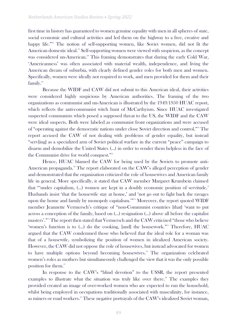first time in history has guaranteed to women genuine equality with men in all spheres of state, social economic and cultural activities and led them on the highway to a free, creative and happy life."<sup>66</sup> The notion of self-supporting women, like Soviet women, did not fit the American domestic ideal.<sup>67</sup> Self-supporting women were viewed with suspicion, as the concept was considered un-American.<sup>68</sup> This framing demonstrates that during the early Cold War, 'Americanness' was often associated with material wealth, independence, and living the American dream of suburbia, with clearly defined gender roles for both men and women. Specifically, women were ideally not required to work, and men provided for them and their family.<sup>69</sup>

Because the WIDF and CAW did not submit to this American ideal, their activities were considered highly suspicious by American authorities. The framing of the two organizations as communist and un-American is illustrated by the 1949/1950 HUAC report, which reflects the anti-communist witch hunt of McCarthyism. Since HUAC investigated suspected communists which posed a supposed threat to the US, the WIDF and the CAW were ideal suspects. Both were labeled as communist front organizations and were accused of "operating against the democratic nations under close Soviet direction and control."<sup>70</sup> The report accused the CAW of not dealing with problems of gender equality, but instead "serv[ing] as a specialized arm of Soviet political warfare in the current "peace" campaign to disarm and demobilize the United States (…) in order to render them helpless in the face of the Communist drive for world conquest."<sup>71</sup>

Hence, HUAC blamed the CAW for being used by the Soviets to promote anti-American propaganda.<sup>72</sup> The report elaborated on the CAW's alleged perception of gender and demonstrated that the organization criticized the role of housewives and American family life in general. More specifically, it stated that CAW member Margaret Krumbein claimed that "'under capitalism, (…) women are kept in a doubly economic position of servitude.' Husbands insist 'that the housewife stay at home,' and 'not go out to fight back the ravages upon the home and family by monopoly capitalism.'"<sup>73</sup> Moreover, the report quoted WIDF member Jeannette Vermersch's critique of "non-Communist countries [that] 'want to put across a conception of the family, based on (…) resignation (…) above all before the capitalist masters'."<sup>74</sup> The report then stated that Vermersch and the CAW criticized "those who believe 'women's function is to (…) do the cooking, [and] the housework."<sup>75</sup> Therefore, HUAC argued that the CAW condemned those who believed that the ideal role for a woman was that of a housewife, symbolizing the position of women in idealized American society. However, the CAW did not oppose the role of housewives, but instead advocated for women to have multiple options beyond becoming housewives.<sup>76</sup> The organization celebrated women's roles as mothers but simultaneously challenged the view that it was the only possible position for them.<sup>77</sup>

In response to the CAW's "blind devotion" to the USSR, the report presented examples to illustrate what the situation was truly like over there.<sup>78</sup> The examples they provided created an image of over-worked women who are expected to run the household, whilst being employed in occupations traditionally associated with masculinity, for instance, as miners or road workers.<sup>79</sup> These negative portrayals of the CAW's idealized Soviet woman,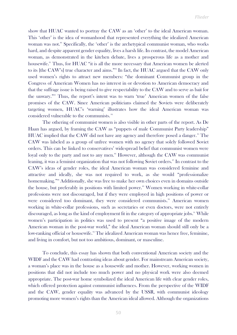show that HUAC wanted to portray the CAW as an 'other' to the ideal American woman. This 'other' is the idea of womanhood that represented everything the idealized American woman was not.<sup>80</sup> Specifically, the 'other' is the archetypical communist woman, who works hard, and despite apparent gender equality, lives a harsh life. In contrast, the model American woman, as demonstrated in the kitchen debate, lives a prosperous life as a mother and housewife.<sup>81</sup> Thus, for HUAC "it is all the more necessary that American women be alerted to its [the CAW's] true character and aims."<sup>82</sup> In fact, the HUAC argued that the CAW only used women's rights to attract new members: "the dominant Communist group in the Congress of American Women has no interest in or devotion to American democracy and that the suffrage issue is being raised to give respectability to the CAW and to serve as bait for the unwary."<sup>83</sup> Thus, the report's intent was to warn 'true' American women of the false promises of the CAW. Since American politicians claimed the Soviets were deliberately targeting women, HUAC's 'warning' illustrates how the ideal American woman was considered vulnerable to the communists. <sup>84</sup>

The othering of communist women is also visible in other parts of the report. As De Haan has argued, by framing the CAW as "puppets of male Communist Party leadership" HUAC implied that the CAW did not have any agency and therefore posed a danger.<sup>85</sup> The CAW was labeled as a group of unfree women with no agency that solely followed Soviet orders. This can be linked to conservatives' widespread belief that communist women were loyal only to the party and not to any men.<sup>86</sup> However, although the CAW was communist leaning, it was a feminist organization that was not following Soviet orders.<sup>87</sup> In contrast to the CAW's ideas of gender roles, the ideal American woman was considered feminine and attractive and ideally, she was not required to work, as she would "professionalize homemaking."<sup>88</sup> Additionally, she was free to make her own choices even in domains outside the house, but preferably in positions with limited power.<sup>89</sup> Women working in white-collar professions were not discouraged, but if they were employed in high positions of power or were considered too dominant, they were considered communists.<sup>90</sup> American women working in white-collar professions, such as secretaries or even doctors, were not entirely discouraged, as long as the kind of employment fit in the category of appropriate jobs.<sup>91</sup> While women's participation in politics was used to present "a positive image of the modern American woman in the post-war world," the ideal American woman should still only be a low-ranking official or housewife.<sup>92</sup> The idealized American woman was hence free, feminine, and living in comfort, but not too ambitious, dominant, or masculine.

To conclude, this essay has shown that both conventional American society and the WIDF and the CAW had contrasting ideas about gender. For mainstream American society, a woman's place was in the house as a housewife and mother. However, working women in positions that did not include too much power and no physical work were also deemed appropriate. The post-war home symbolized the ideal American life with clear gender roles, which offered protection against communist influences. From the perspective of the WIDF and the CAW, gender equality was advanced by the USSR, with communist ideology promoting more women's rights than the American ideal allowed. Although the organizations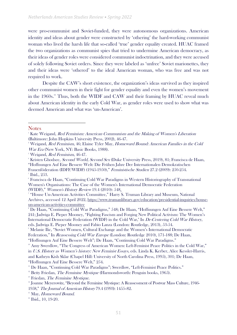were pro-communist and Soviet-funded, they were autonomous organizations. American identity and ideas about gender were constructed by 'othering' the hard-working communist woman who lived the harsh life that so-called 'true' gender equality created. HUAC framed the two organizations as communist spies that tried to undermine American democracy, as their ideas of gender roles were considered communist indoctrination, and they were accused of solely following Soviet orders. Since they were labeled as 'unfree' Soviet marionettes, they and their ideas were 'othered' to the ideal American woman, who was free and was not required to work.

Despite the CAW's short existence, the organization's ideas survived as they inspired other communist women in their fight for gender equality and even the women's movement in the 1960s.<sup>93</sup> Thus, both the WIDF and CAW and their framing by HUAC reveal much about American identity in the early Cold War, as gender roles were used to show what was deemed American and what was 'un-American'.

 $13$  Friedan, *The Feminine Mystique.* 

**Notes** 

<sup>&</sup>lt;sup>1</sup> Kate Weigand, Red Feminism: American Communism and the Making of Women's Liberation (Baltimore: John Hopkins University Press, 2002), 46-47.

<sup>&</sup>lt;sup>2</sup> Weigand, Red Feminism, 46; Elaine Tyler May, Homeward Bound: American Families in the Cold War Era (New York, NY: Basic Books, 1988).

<sup>&</sup>lt;sup>3</sup> Weigand, *Red Feminism*, 46-47.

<sup>&</sup>lt;sup>4</sup> Kristen Ghodsee, *Second World, Second Sex* (Duke University Press, 2019), 81; Francisca de Haan,

<sup>&</sup>quot;Hoffnungen Auf Eine Bessere Welt: Die Frühen Jahre Der Internationalen Demokratischen Frauenföderation (IDFF/WIDF) (1945-1950)," Feministische Studien 27.2 (2009): 250-254. 5 Ibid., 253.

<sup>6</sup> Francisca de Haan, "Continuing Cold War Paradigms in Western Historiography of Transnational Women's Organisations: The Case of the Women's International Democratic Federation (WIDF)," Women's History Review 19.4 (2010): 548.

<sup>7</sup> "House Un-American Activities Committee," Harry S. Truman Library and Museum, National Archives, accessed 12 April 2022, [https://www.trumanlibrary.gov/education/presidential-inquiries/house](https://www.trumanlibrary.gov/education/presidential-inquiries/house-un-american-activities-committee)[un-american-activities-committee](https://www.trumanlibrary.gov/education/presidential-inquiries/house-un-american-activities-committee)

<sup>8</sup> De Haan, "Continuing Cold War Paradigms," 548; De Haan, "Hoffnungen Auf Eine Bessere Welt," 241; Jadwiga E. Pieper Mooney, "Fighting Fascism and Forging New Political Activism: The Women's International Democratic Federation (WIDF) in the Cold War," In De-Centering Cold War History, eds. Jadwiga E. Pieper Mooney and Fabio Lanza (London: Routledge, 2013), 53-54.

<sup>9</sup> Melanie Ilic, "Soviet Women, Cultural Exchange and the Women's International Democratic

Federation," In Reassessing Cold War Europe (London: Routledge 2010), 171-188; De Haan,

<sup>&</sup>quot;Hoffnungen Auf Eine Bessere Welt"; De Haan, "Continuing Cold War Paradigms."

<sup>&</sup>lt;sup>10</sup> Amy Swerdlow, "The Congress of American Women: Left-Feminist Peace Politics in the Cold War," in U.S. History as Women's history: New Feminist Essays, eds. Linda K. Kerber, Alice Kessler-Harris, and Kathryn Kish Sklar (Chapel Hill: University of North Carolina Press, 1995), 301; De Haan, "Hoffnungen Auf Eine Bessere Welt," 254.

<sup>&</sup>lt;sup>11</sup> De Haan, "Continuing Cold War Paradigms"; Swerdlow, "Left-Feminist Peace Politics."

<sup>&</sup>lt;sup>12</sup> Betty Friedan, *The Feminine Mystique* (Harmondsworth: Penguin books, 1965).

<sup>&</sup>lt;sup>14</sup> Joanne Meyerowitz, "Beyond the Feminine Mystique: A Reassessment of Postwar Mass Culture, 1946-1958," The Journal of American History 79.4 (1993): 1455–82.

<sup>&</sup>lt;sup>15</sup> May, Homeward Bound.

<sup>&</sup>lt;sup>16</sup> Ibid., 10, 19-20.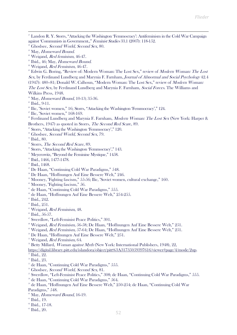<sup>17</sup> Landon R. Y. Storrs, "Attacking the Washington 'Femmocracy': Antifeminism in the Cold War Campaign against 'Communists in Government.," Feminist Studies 33.1 (2007): 118-152.

 $20$  Weigand, Red feminism, 46-47.

 $21$  Ibid., 46; May, Homeward Bound.

 $22$ <sup>22</sup> Weigand, *Red Feminism*, 46-47.

<sup>23</sup> Edwin G. Boring, "Review of: Modern Woman: The Lost Sex," review of *Modern Woman: The Lost* Sex, by Ferdinand Lundberg and Marynia F. Farnham, Journal of Abnormal and Social Psychology 42.4 (1947): 480–81; Donald W. Calhoun, "Modern Woman: The Lost Sex," review of Modern Woman: The Lost Sex, by Ferdinand Lundberg and Marynia F. Farnham, Social Forces. The Williams and

Wilkins Press, 1948.

 $24$  May, *Homeward Bound*, 10-13; 35-36.

 $25$  Ibid., 9-11.

 $26$  Ilic, "Soviet women," 16; Storrs, "Attacking the Washington 'Femmocracy'," 124.

 $27$  Ilic, "Soviet women," 168-169.

<sup>28</sup> Ferdinand Lundberg and Marynia F. Farnham, *Modern Woman: The Lost Sex* (New York: Harper & Brothers, 1947) as quoted in Storrs, The Second Red Scare, 89.

- $29$  Storrs, "Attacking the Washington 'Femmocracy'," 120.
- <sup>30</sup> Ghodsee, Second World, Second Sex, 79.
- $31$  Ibid., 80.
- <sup>32</sup> Storrs, *The Second Red Scare*, 89.
- <sup>33</sup> Storrs, "Attacking the Washington 'Femmocracy'," 143.
- <sup>34</sup> Meyerowitz, "Beyond the Feminine Mystique," 1458.
- <sup>35</sup> Ibid., 1466, 1477-1478.
- <sup>36</sup> Ibid., 1468.
- <sup>37</sup> De Haan, "Continuing Cold War Paradigms," 548.
- <sup>38</sup> De Haan, "Hoffnungen Auf Eine Bessere Welt," 246.
- <sup>39</sup> Mooney, "Fighting fascism," 55-56; Ilic, "Soviet women, cultural exchange," 160.
- $40$  Mooney, "Fighting fascism," 56.
- <sup>41</sup> de Haan, "Continuing Cold War Paradigms," 555.
- <sup>42</sup> de Haan, "Hoffnungen Auf Eine Bessere Welt," 254-255.
- $43$  Ibid., 242.
- <sup>44</sup> Ibid., 251.
- <sup>45</sup> Weigand, *Red Feminism*, 48.
- $46$  Ibid., 56-57.
- <sup>47</sup> Swerdlow, "Left-Feminist Peace Politics," 301.
- <sup>48</sup> Weigand, *Red Feminism*, 56-58; De Haan, "Hoffnungen Auf Eine Bessere Welt," 251.
- <sup>49</sup> Weigand, *Red Feminism*, 57-64; De Haan, "Hoffnungen Auf Eine Bessere Welt," 251.
- <sup>50</sup> De Haan, "Hoffnungen Auf Eine Bessere Welt," 251.
- $51$  Weigand, Red Feminism, 64.

 $52$  Betty Millard, *Woman against Myth* (New York: International Publishers, 1948), 22,

- [https://digital.library.pitt.edu/islandora/object/pitt%3A31735059397616/viewer#page/4/mode/2up.](https://digital.library.pitt.edu/islandora/object/pitt%3A31735059397616/viewer#page/4/mode/2up) <sup>53</sup> Ibid., 22.
- <sup>54</sup> Ibid., 23.
- 
- <sup>55</sup> de Haan, "Continuing Cold War Paradigms," 555.
- <sup>56</sup> Ghodsee, Second World, Second Sex, 81.
- <sup>57</sup> Swerdlow, "Left-Feminist Peace Politics," 308; de Haan, "Continuing Cold War Paradigms," 555.
- <sup>58</sup> de Haan, "Continuing Cold War Paradigms," 564.

<sup>59</sup> de Haan, "Hoffnungen Auf Eine Bessere Welt," 250-254; de Haan, "Continuing Cold War Paradigms," 548.

- <sup>60</sup> May, Homeward Bound, 16-19.
- <sup>61</sup> Ibid., 19.
- <sup>62</sup> Ibid., 17-18.
- $63$  Ibid., 20.

 $^{18}$  Ghodsee, Second World, Second Sex, 80.

<sup>&</sup>lt;sup>19</sup> May, Homeward Bound.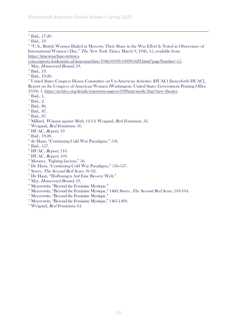<sup>66</sup> "U.S., British Women Hailed in Moscow; Their Share in the War Effort Is Noted in Observance of International Women's Day," The New York Times, March 9, 1946, 15, available from [https://timesmachine-nytimes-](https://timesmachine-nytimes-com.ezproxy.leidenuniv.nl/timesmachine/1946/03/09/100995429.html?pageNumber=15)

[com.ezproxy.leidenuniv.nl/timesmachine/1946/03/09/100995429.html?pageNumber=15.](https://timesmachine-nytimes-com.ezproxy.leidenuniv.nl/timesmachine/1946/03/09/100995429.html?pageNumber=15)

May, Homeward Bound, 19.

<sup>68</sup> Ibid., 19.

<sup>69</sup> Ibid., 19-20.

<sup>70</sup> United States Congress House Committee on Un-American Activities (HUAC) [henceforth HUAC], Report on the Congress of American Women (Washington: United States Government Printing Office 1950), 1, [https://archive.org/details/reportoncongress1949unit/mode/2up?view=theater.](https://archive.org/details/reportoncongress1949unit/mode/2up?view=theater)

 $71$  Ibid., 1.

 $72$  Ibid., 2.

<sup>73</sup> Ibid., 86.

<sup>74</sup> Ibid., 87.

- <sup>75</sup> Ibid., 87.
- <sup>76</sup> Millard, *Woman against Myth*, 12-13; Weigand, *Red Feminism*, 56.
- $77$  Weigand, *Red Feminism*, 56.
- <sup>78</sup> HUAC, Report, 19
- <sup>79</sup> Ibid., 19-20.
- <sup>80</sup> de Haan, "Continuing Cold War Paradigms," 556.
- $$^{81}$  Ibid., 557.
- $82$  HUAC, *Report*, 110.
- $88$  HUAC, *Report*, 103.
- <sup>84</sup> Mooney, "Fighting fascism," 56.
- <sup>85</sup> De Haan, "Continuing Cold War Paradigms," 556-557.
- <sup>86</sup> Storrs, *The Second Red Scare*, 91-92.
- <sup>87</sup> De Haan, "Hoffnungen Auf Eine Bessere Welt."
- <sup>88</sup> May, Homeward Bound, 19.
- <sup>89</sup> Meyerowitz, "Beyond the Feminine Mystique."
- $^{90}$  Meyerowitz, "Beyond the Feminine Mystique," 1466; Storrs, *The Second Red Scare*, 103-104.
- $91$  Meyerowitz, "Beyond the Feminine Mystique."
- <sup>92</sup> Meyerowitz, "Beyond the Feminine Mystique," 1465-1469.
- <sup>93</sup> Weigand, Red Feminism, 64.

<sup>&</sup>lt;sup>64</sup> Ibid., 17-20.

<sup>&</sup>lt;sup>65</sup> Ibid., 19.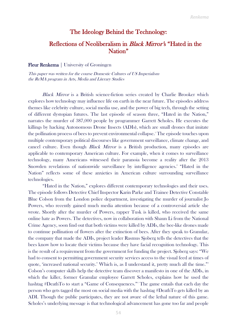#### The Ideology Behind the Technology:

### Reflections of Neoliberalism in Black Mirror's "Hated in the Nation"

Fleur Renkema | University of Groningen

This paper was written for the course Domestic Cultures of US Imperialism the ReMA program in Arts, Media and Literary Studies

Black Mirror is a British science-fiction series created by Charlie Brooker which explores how technology may influence life on earth in the near future. The episodes address themes like celebrity culture, social media use, and the power of big tech, through the setting of different dystopian futures. The last episode of season three, "Hated in the Nation," narrates the murder of 387,000 people by programmer Garrett Scholes. He executes the killings by hacking Autonomous Drone Insects (ADIs), which are small drones that imitate the pollination process of bees to prevent environmental collapse.<sup>1</sup> The episode touches upon multiple contemporary political discourses like government surveillance, climate change, and cancel culture. Even though *Black Mirror* is a British production, many episodes are applicable to contemporary American culture. For example, when it comes to surveillance technology, many Americans witnessed their paranoia become a reality after the 2013 Snowden revelations of nationwide surveillance by intelligence agencies.<sup>2</sup> "Hated in the Nation" reflects some of these anxieties in American culture surrounding surveillance technologies.

"Hated in the Nation," explores different contemporary technologies and their uses. The episode follows Detective Chief Inspector Karin Parke and Trainee Detective Constable Blue Colson from the London police department, investigating the murder of journalist Jo Powers, who recently gained much media attention because of a controversial article she wrote. Shortly after the murder of Powers, rapper Tusk is killed, who received the same online hate as Powers. The detectives, now in collaboration with Shaun Li from the National Crime Agency, soon find out that both victims were killed by ADIs, the bee-like drones made to continue pollination of flowers after the extinction of bees. After they speak to Granular, the company that made the ADIs, project leader Rasmus Sjoberg tells the detectives that the bees know how to locate their victims because they have facial recognition technology. This is the result of a requirement from the government for funding the project. Sjoberg says: "We had to consent to permitting government security services access to the visual feed at times of quote, 'increased national security.' Which is, as I understand it, pretty much all the time."<sup>3</sup> Colson's computer skills help the detective team discover a manifesto in one of the ADIs, in which the killer, former Granular employee Garrett Scholes, explains how he used the hashtag #DeathTo to start a "Game of Consequences."<sup>4</sup> The game entails that each day the person who gets tagged the most on social media with the hashtag #DeathTo gets killed by an ADI. Though the public participates, they are not aware of the lethal nature of this game. Scholes's underlying message is that technological advancement has gone too far and people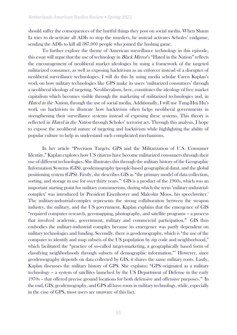should suffer the consequences of the hurtful things they post on social media. When Shaun Li tries to de-activate all ADIs to stop the murders, he instead activates Scholes' endgame, sending the ADIs to kill all 387,000 people who joined the hashtag game.

To further explore the theme of American surveillance technology in this episode, this essay will argue that the use of technology in *Black Mirror's* "Hated in the Nation" reflects the encouragement of neoliberal market ideologies by using a framework of the targeted militarized consumer, as well as exposing hacktivism as an enforcer instead of a disrupter of neoliberal surveillance technologies. I will do this by using media scholar Caren Kaplan's work on how military technologies like GPS make its users 'militarized consumers' through a neoliberal ideology of targeting. Neoliberalism, here, constitutes the ideology of free market capitalism which becomes visible through the marketing of militarized technologies and, in Hated in the Nation, through the use of social media. Additionally, I will use Tung-Hui Hu's work on hacktivists to illustrate how hacktivism often helps neoliberal governments in strengthening their surveillance systems instead of exposing these systems. This theory is reflected in *Hated in the Nation* through Scholes' terrorist act. Through this analysis, I hope to expose the neoliberal nature of targeting and hacktivism while highlighting the ability of popular culture to help us understand such complicated mechanisms.

In her article "Precision Targets: GPS and the Militarization of U.S. Consumer Identity," Kaplan explores how US citizens have become militarized consumers through their use of different technologies. She illustrates this through the military history of the Geographic Information Systems (GIS), geodemography (people-based geographical data), and the global positioning system (GPS). Firstly, she describes GIS as "the primary model of data collection, sorting, and storage in use for over thirty years."<sup>5</sup> GIS is a product of the 1960s, which was an important starting point for military consumerism, during which the term 'military-industrialcomplex' was introduced by President Eisenhower and Malcolm Moos, his speechwriter.<sup>6</sup> The military-industrial-complex represents the strong collaboration between the weapon industry, the military, and the US government. Kaplan explains that the emergence of GIS "required computer research, geo-mapping, photography, and satellite programs – a process that involved academic, government, military and commercial participation."<sup>7</sup> GIS thus embodies the military-industrial complex because its emergence was partly dependent on military technologies and funding. Secondly, there is geodemography, which is "the use of the computer to identify and map subsets of the US population by zip code and neighborhood," which facilitated the "practice of so-called target-marketing, a geographically based form of classifying neighborhoods through subsets of demographic information."<sup>8</sup> However, since geodemography depends on data collected by GIS, it shares the same military roots. Lastly, Kaplan discusses the military history of GPS. She explains: "GPS originated as a military technology – a system of satellites launched by the US Department of Defense in the early 1970s – that offered precise ground locations for both defensive and offensive purposes."<sup>9</sup> In the end, GIS, geodemography, and GPS all have roots in military technology, while, especially in the case of GPS, most users are unaware of this fact.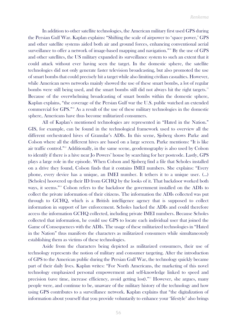In addition to other satellite technologies, the American military first used GPS during the Persian Gulf War. Kaplan explains: "Shifting the scale of airpower to 'space power,' GPS and other satellite systems aided both air and ground forces, enhancing conventional aerial surveillance to offer a network of image-based mapping and navigation."<sup>10</sup> By the use of GPS and other satellites, the US military expanded its surveillance system to such an extent that it could attack without ever having seen the target. In the domestic sphere, the satellite technologies did not only generate faster television broadcasting, but also promoted the use of smart bombs that could precisely hit a target while also limiting civilian casualties. However, while American news networks mainly showed the use of these smart bombs, a lot of regular bombs were still being used, and the smart bombs still did not always hit the right targets.<sup>11</sup> Because of the overwhelming broadcasting of smart bombs within the domestic sphere, Kaplan explains, "the coverage of the Persian Gulf war the U.S. public watched an extended commercial for GPS."<sup>12</sup> As a result of the use of these military technologies in the domestic sphere, Americans have thus become militarized consumers.

All of Kaplan's mentioned technologies are represented in "Hated in the Nation." GIS, for example, can be found in the technological framework used to overview all the different orchestrated hives of Granular's ADIs. In this scene, Sjoberg shows Parke and Colson where all the different hives are based on a large screen. Parke mentions: "It is like air traffic control."<sup>13</sup> Additionally, in the same scene, geodemography is also used by Colson to identify if there is a hive near Jo Powers' house by searching for her postcode. Lastly, GPS plays a large role in the episode. When Colson and Sjoberg find a file that Scholes installed on a drive they found, Colson finds that it contains IMEI numbers. She explains: "Every phone, every device has a unique, an IMEI number. It tethers it to a unique user. (…) [Scholes] hoovered up their ID from GCHQ by the looks of it. That backdoor worked both ways, it seems."<sup>14</sup> Colson refers to the backdoor the government installed on the ADIs to collect the private information of their citizens. The information the ADIs collected was put through to GCHQ, which is a British intelligence agency that is supposed to collect information in support of law enforcement. Scholes hacked the ADIs and could therefore access the information GCHQ collected, including private IMEI numbers. Because Scholes collected that information, he could use GPS to locate each individual user that joined the Game of Consequences with the ADIs. The usage of these militarized technologies in "Hated in the Nation" thus manifests the characters as militarized consumers while simultaneously establishing them as victims of these technologies.

Aside from the characters being depicted as militarized consumers, their use of technology represents the notion of military and consumer targeting. After the introduction of GPS to the American public during the Persian Gulf War, the technology quickly became part of their daily lives. Kaplan writes: "For North Americans, the marketing of this novel technology emphasized personal empowerment and self-knowledge linked to speed and precision (save time, increase efficiency, avoid getting lost)."<sup>15</sup> However, she argues, many people were, and continue to be, unaware of the military history of the technology and how using GPS contributes to a surveillance network. Kaplan explains that "the digitalization of information about yourself that you provide voluntarily to enhance your 'lifestyle' also brings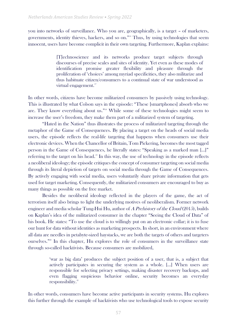you into networks of surveillance. Who you are, geographically, is a target – of marketers, governments, identity thieves, hackers, and so on."<sup>16</sup> Thus, by using technologies that seem innocent, users have become complicit in their own targeting. Furthermore, Kaplan explains:

> [T]echnoscience and its networks produce target subjects through discourses of precise scales and sites of identity. Yet even as these modes of identification promise greater flexibility and pleasure through the proliferation of 'choices' among myriad specificities, they also militarize and thus habituate citizen/consumers to a continual state of war understood as virtual engagement.<sup>17</sup>

In other words, citizens have become militarized consumers by passively using technology. This is illustrated by what Colson says in the episode: "These [smartphones] absorb who we are. They know everything about us."<sup>18</sup> While some of these technologies might seem to increase the user's freedom, they make them part of a militarized system of targeting.

"Hated in the Nation" thus illustrates the process of militarized targeting through the metaphor of the Game of Consequences. By placing a target on the heads of social media users, the episode reflects the real-life targeting that happens when consumers use their electronic devices. When the Chancellor of Britain, Tom Pickering, becomes the most tagged person in the Game of Consequences, he literally states: "Speaking as a marked man […]" referring to the target on his head.<sup>19</sup> In this way, the use of technology in the episode reflects a neoliberal ideology; the episode critiques the concept of consumer targeting on social media through its literal depiction of targets on social media through the Game of Consequences. By actively engaging with social media, users voluntarily share private information that gets used for target marketing. Consequently, the militarized consumers are encouraged to buy as many things as possible on the free market.

Besides the neoliberal ideology reflected in the players of the game, the act of terrorism itself also brings to light the underlying motives of neoliberalism. Former network engineer and media scholar Tung-Hui Hu, author of A Prehistory of the Cloud (2015), builds on Kaplan's idea of the militarized consumer in the chapter "Seeing the Cloud of Data" of his book. He states: "To use the cloud is to willingly put on an electronic collar; it is to fuse our hunt for data without identities as marketing prospects. In short, in an environment where all data are needles in petabyte-sized haystacks, we are both the targets of others and targeters ourselves."<sup>20</sup> In this chapter, Hu explores the role of consumers in the surveillance state through so-called hacktivists. Because consumers are mobilized,

> 'war as big data' produces the subject position of a user, that is, a subject that actively participates in securing the system as a whole. […] When users are responsible for selecting privacy settings, making disaster recovery backups, and even flagging suspicious behavior online, security becomes an everyday responsibility.<sup>21</sup>

In other words, consumers have become active participants in security systems. Hu explores this further through the example of hacktivists who use technological tools to expose security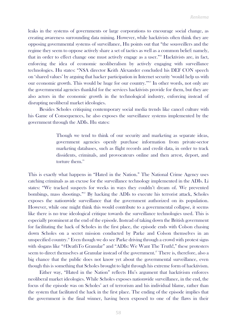leaks in the systems of governments or large corporations to encourage social change, as creating awareness surrounding data mining. However, while hacktivists often think they are opposing governmental systems of surveillance, Hu points out that "the sousveillers and the regime they seem to oppose actively share a set of tactics as well as a common belief: namely, that in order to effect change one must actively engage as a user."<sup>22</sup> Hacktivists are, in fact, enforcing the idea of economic neoliberalism by actively engaging with surveillance technologies. Hu states: "NSA director Keith Alexander concluded his DEF CON speech on 'shared values' by arguing that hacker participation in Internet security 'would help us with our economic growth. This would be huge for our country."<sup>23</sup> In other words, not only are the governmental agencies thankful for the services hacktivists provide for them, but they are also actors in the economic growth in the technological industry, enforcing instead of disrupting neoliberal market ideologies.

Besides Scholes critiquing contemporary social media trends like cancel culture with his Game of Consequences, he also exposes the surveillance systems implemented by the government through the ADIs. Hu states:

> Though we tend to think of our security and marketing as separate ideas, government agencies openly purchase information from private-sector marketing databases, such as flight records and credit data, in order to track dissidents, criminals, and provocateurs online and then arrest, deport, and torture them.<sup>24</sup>

This is exactly what happens in "Hated in the Nation." The National Crime Agency uses catching criminals as an excuse for the surveillance technology implemented in the ADIs. Li states: "We tracked suspects for weeks in ways they couldn't dream of. We prevented bombings, mass shootings."<sup>25</sup> By hacking the ADIs to execute his terrorist attack, Scholes exposes the nationwide surveillance that the government authorized on its population. However, while one might think this would contribute to a governmental collapse, it seems like there is no true ideological critique towards the surveillance technologies used. This is especially prominent at the end of the episode. Instead of taking down the British government for facilitating the hack of Scholes in the first place, the episode ends with Colson chasing down Scholes on a secret mission conducted by Parke and Colson themselves in an unspecified country.<sup>26</sup> Even though we do see Parke driving through a crowd with protest signs with slogans like "#DeathTo Granular" and "ADIs: We Want The Truth!," these protesters seem to direct themselves at Granular instead of the government.<sup>27</sup> There is, therefore, also a big chance that the public does not know yet about the governmental surveillance, even though this is something that Scholes brought to light through his extreme form of hacktivism.

Either way, "Hated in the Nation" reflects Hu's argument that hacktivism enforces neoliberal market ideologies. While Scholes exposes nationwide surveillance, in the end, the focus of the episode was on Scholes' act of terrorism and his individual blame, rather than the system that facilitated the hack in the first place. The ending of the episode implies that the government is the final winner, having been exposed to one of the flaws in their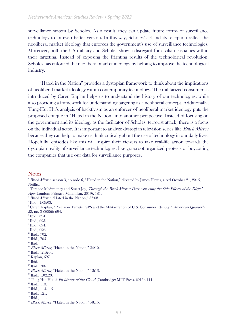surveillance system by Scholes. As a result, they can update future forms of surveillance technology to an even better version. In this way, Scholes' act and its reception reflect the neoliberal market ideology that enforces the government's use of surveillance technologies. Moreover, both the US military and Scholes show a disregard for civilian casualties within their targeting. Instead of exposing the frighting results of the technological revolution, Scholes has enforced the neoliberal market ideology by helping to improve the technological industry.

"Hated in the Nation" provides a dystopian framework to think about the implications of neoliberal market ideology within contemporary technology. The militarized consumer as introduced by Caren Kaplan helps us to understand the history of our technologies, while also providing a framework for understanding targeting as a neoliberal concept. Additionally, Tung-Hui Hu's analysis of hacktivism as an enforcer of neoliberal market ideology puts the proposed critique in "Hated in the Nation" into another perspective. Instead of focusing on the government and its ideology as the facilitator of Scholes' terrorist attack, there is a focus on the individual actor. It is important to analyze dystopian television series like Black Mirror because they can help to make us think critically about the use of technology in our daily lives. Hopefully, episodes like this will inspire their viewers to take real-life action towards the dystopian reality of surveillance technologies, like grassroot organized protests or boycotting the companies that use our data for surveillance purposes.

Age (London: Palgrave Macmillan, 2019), 181. <sup>3</sup> Black Mirror, "Hated in the Nation," 57:08.

- <sup>11</sup> Ibid., 705.
- $12$  Ibid.

**Notes** 

<sup>&</sup>lt;sup>1</sup> Black Mirror, season 3, episode 6, "Hated in the Nation," directed by James Hawes, aired October 21, 2016, Netflix.

<sup>&</sup>lt;sup>2</sup> Terence McSweeney and Stuart Joy, *Through the Black Mirror: Deconstructing the Side Effects of the Digital* 

<sup>4</sup> Ibid., 1:09:03.

<sup>&</sup>lt;sup>5</sup> Caren Kaplan, "Precision Targets: GPS and the Militarization of U.S. Consumer Identity," American Quarterly 58, no. 3 (2006): 694.

 $6$  Ibid., 694.

<sup>7</sup> Ibid., 695.

<sup>8</sup> Ibid., 694.

 $\degree$  Ibid., 696.

<sup>&</sup>lt;sup>10</sup> Ibid., 702.

<sup>&</sup>lt;sup>13</sup> Black Mirror, "Hated in the Nation," 34:10.

<sup>&</sup>lt;sup>14</sup> Ibid., 1:15:44.

<sup>&</sup>lt;sup>15</sup> Kaplan, 697.

 $16$  Ibid.

<sup>&</sup>lt;sup>17</sup> Ibid., 706.

<sup>&</sup>lt;sup>18</sup> Black Mirror, "Hated in the Nation," 12:13.

<sup>&</sup>lt;sup>19</sup> Ibid., 1:02:23.

<sup>&</sup>lt;sup>20</sup> Tung-Hui Hu, A Prehistory of the Cloud (Cambridge: MIT Press, 2015), 111.

<sup>&</sup>lt;sup>21</sup> Ibid., 113.

<sup>&</sup>lt;sup>22</sup> Ibid., 114-115.

<sup>&</sup>lt;sup>23</sup> Ibid., 121.

<sup>&</sup>lt;sup>24</sup> Ibid., 111.

 $25$  Black Mirror, "Hated in the Nation," 58:15.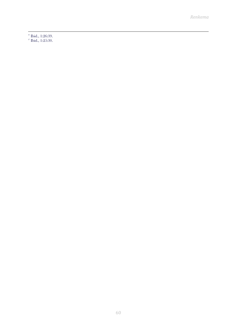<sup>26</sup> Ibid., 1:26:39.

 $25:30.$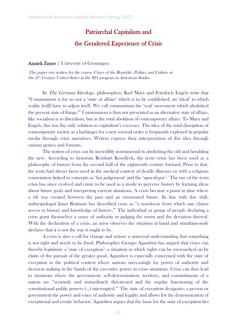# Patriarchal Capitalism and

#### the Gendered Experience of Crisis

#### Anniek Zuure | University of Groningen

This paper was written for the course Crises of the Republic: Politics and Culture in the 21" Century United States in the MA program in American Studies

In The German Ideology, philosophers Karl Marx and Friedrich Engels write that "Communism is for us not a 'state of affairs' which is to be established, an 'ideal' to which reality [will] have to adjust itself. We call communism the 'real' movement which abolished the present state of things."<sup>1</sup> Communism is thus not presented as an alternative state of affairs, like socialism is to liberalism, but as the total abolition of contemporary affairs. To Marx and Engels, this was the only solution to capitalism's excesses. The idea of the total disruption of contemporary society as a harbinger for a new societal order is frequently explored in popular media through crisis narratives. Writers express their interpretation of this idea through various genres and formats.

The notion of crisis can be incredibly instrumental in abolishing the old and heralding the new. According to historian Reinhart Koselleck, the term crisis has been used as a philosophy of history from the second half of the eighteenth century forward. Prior to that, the term had always been used in the medical context of deadly illnesses or with a religious connotation linked to concepts as 'last judgement' and the 'apocalypse'.<sup>2</sup> The use of the term crisis has since evolved and came to be used as a mode to perceive history by forming ideas about future goals and interpreting current situations. A crisis became a point in time where a rift was created between the past and an envisioned future. In line with this shift, anthropologist Janet Roitman has described crisis as "a non-locus from which one claims access to history and knowledge of history."<sup>3</sup> The individual or group of people declaring a crisis grant themselves a sense of authority in judging the norm and the deviation thereof. With the declaration of a crisis, an actor observes the situation at hand and simultaneously declares that it is not the way it ought to be.

A crisis is also a call for change and action: a universal understanding that something is not right and needs to be fixed. Philosopher Giorgio Agamben has argued that crises can thereby legitimize a 'state of exception': a situation in which rights can be encroached on by claim of the pursuit of the greater good. Agamben is especially concerned with the state of exception in the political context where nations increasingly lay power of authority and decision making in the hands of the executive power in crisis situations. Crisis can thus lead to situations where the government, self-determination, territory, and commitments of a nation are "seriously and immediately threatened and the regular functioning of the constitutional public powers (…) interrupted."<sup>4</sup> The state of exception designates a person or government the power and voice of authority and legality and allows for the demonstration of exceptional and erratic behavior. Agamben argues that the basis for the state of exception lies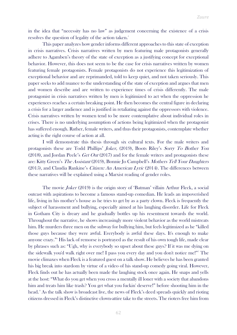in the idea that "necessity has no law" as judgement concerning the existence of a crisis resolves the question of legality of the action taken.<sup>5</sup>

This paper analyzes how gender informs different approaches to this state of exception in crisis narratives. Crisis narratives written by men featuring male protagonists generally adhere to Agamben's theory of the state of exception as a justifying concept for exceptional behavior. However, this does not seem to be the case for crisis narratives written by women featuring female protagonists. Female protagonists do not experience this legitimization of exceptional behavior and are reprimanded, told to keep quiet, and not taken seriously. This paper seeks to add nuance to the understanding of the state of exception and argues that men and women describe and are written to experience times of crisis differently. The male protagonist in crisis narratives written by men is legitimized to act when the oppression he experiences reaches a certain breaking point. He then becomes the central figure in declaring a crisis for a larger audience and is justified in retaliating against the oppressors with violence. Crisis narratives written by women tend to be more contemplative about individual roles in crises. There is no underlying assumption of actions being legitimized when the protagonist has suffered enough. Rather, female writers, and thus their protagonists, contemplate whether acting is the right course of action at all.

I will demonstrate this thesis through six cultural texts. For the male writers and protagonists these are Todd Phillips' Joker, (2019), Boots Riley's Sorry To Bother You (2018), and Jordan Peele's  $Get Out(2017)$  and for the female writers and protagonists these are: Kitty Green's The Assistant (2019), Bonnie Jo Campbell's Mothers Tell Your Daughters (2015), and Claudia Rankine's *Citizen: An American Lyric* (2014). The differences between these narratives will be explained using a Marxist reading of gender roles.

The movie Joker (2019) is the origin story of 'Batman' villain Arthur Fleck, a social outcast with aspirations to become a famous stand-up comedian. He leads an impoverished life, living in his mother's house as he tries to get by as a party clown. Fleck is frequently the subject of harassment and bullying, especially aimed at his laughing disorder. Life for Fleck in Gotham City is dreary and he gradually bottles up his resentment towards the world. Throughout the narrative, he shows increasingly more violent behavior as the world mistreats him. He murders three men on the subway for bullying him, but feels legitimized as he "killed those guys because they were awful. Everybody is awful these days. It's enough to make anyone crazy."<sup>6</sup> His lack of remorse is portrayed as the result of his own tough life, made clear by phrases such as: "Ugh, why is everybody so upset about these guys? If it was me dying on the sidewalk you'd walk right over me! I pass you every day and you don't notice me!" <sup>7</sup> The movie climaxes when Fleck is a featured guest on a talk show. He believes he has been granted his big break into stardom by virtue of a video of his stand-up comedy going viral. However, Fleck finds out he has actually been made the laughing stock once again. He snaps and yells at the host: "What do you get when you cross a mentally ill loner with a society that abandons him and treats him like trash? You get what you fuckin' deserve!" before shooting him in the head.<sup>8</sup> As the talk show is broadcast live, the news of Fleck's deed spreads quickly and rioting citizens dressed in Fleck's distinctive clown-attire take to the streets. The rioters free him from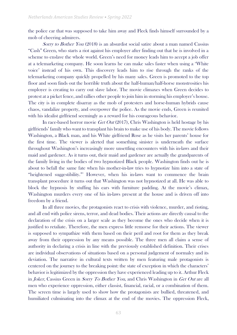the police car that was supposed to take him away and Fleck finds himself surrounded by a mob of cheering admirers.

Sorry to Bother You (2018) is an absurdist social satire about a man named Cassius "Cash" Green, who starts a riot against his employer after finding out that he is involved in a scheme to enslave the whole world. Green's need for money leads him to accept a job offer at a telemarketing company. He soon learns he can make sales faster when using a 'White voice' instead of his own. This discovery leads him to rise through the ranks of the telemarketing company quickly propelled by his many sales. Green is promoted to the top floor and soon finds out the horrible truth about the half-human/half-horse monstrosities his employer is creating to carry out slave labor. The movie climaxes when Green decides to protest at a picket fence, and rallies other people to join him in storming his employer's house. The city is in complete disarray as the mob of protesters and horse-human hybrids cause chaos, vandalize property, and overpower the police. As the movie ends, Green is reunited with his idealist girlfriend seemingly as a reward for his courageous behavior.

In race-based horror movie *Get Out* (2017), Chris Washington is held hostage by his girlfriends' family who want to transplant his brain to make use of his body. The movie follows Washington, a Black man, and his White girlfriend Rose as he visits her parents' house for the first time. The viewer is alerted that something sinister is underneath the surface throughout Washington's increasingly more unsettling encounters with his in-laws and their maid and gardener. As it turns out, their maid and gardener are actually the grandparents of the family living in the bodies of two hypnotized Black people. Washington finds out he is about to befall the same fate when his mother-in-law tries to hypnotize him into a state of "heightened suggestibility."<sup>9</sup> However, when his in-laws want to commence the brain transplant procedure it turns out that Washington was not hypnotized at all. He was able to block the hypnosis by stuffing his ears with furniture padding. At the movie's climax, Washington murders every one of his in-laws present at the house and is driven off into freedom by a friend.

In all three movies, the protagonists react to crisis with violence, murder, and rioting, and all end with police sirens, terror, and dead bodies. Their actions are directly causal to the declaration of the crisis on a larger scale as they become the ones who decide when it is justified to retaliate. Therefore, the men express little remorse for their actions. The viewer is supposed to sympathize with them based on their peril and root for them as they break away from their oppression by any means possible. The three men all claim a sense of authority in declaring a crisis in line with the previously established definition. Their crises are individual observations of situations based on a personal judgement of normalcy and its deviation. The narrative in cultural texts written by men featuring male protagonists is centered on the journey to the breaking point: the state of exception in which the characters' behavior is legitimized by the oppression they have experienced leading up to it. Arthur Fleck in Joker, Cassius Green in Sorry To Bother You, and Chris Washington in Get Out are all men who experience oppression, either classist, financial, racial, or a combination of them. The screen time is largely used to show how the protagonists are bullied, threatened, and humiliated culminating into the climax at the end of the movies. The oppression Fleck,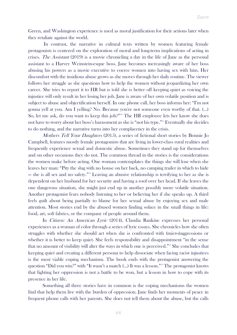Green, and Washington experience is used as moral justification for their actions later when they retaliate against the world.

In contrast, the narrative in cultural texts written by women featuring female protagonists is centered on the exploration of moral and long-term implications of acting in crises. *The Assistant* (2019) is a movie chronicling a day in the life of Jane as the personal assistant to a Harvey Weinstein-esque boss. Jane becomes increasingly aware of her boss abusing his powers as a movie executive to coerce women into having sex with him. Her discomfort with the insidious abuse grows as she moves through her daily routine. The viewer follows her struggle as she questions how to help the women without jeopardizing her own career. She tries to report it to HR but is told she is better off keeping quiet as voicing the injustice will only result in her losing her job. Jane is aware of her own volatile position and is subject to abuse and objectification herself. In one phone call, her boss informs her: "I'm not gonna yell at you. Am I yelling? No. Because you're not someone even worthy of that. (…) So, let me ask, do you want to keep this job?"<sup>10</sup> The HR employee lets her know she does not have to worry about her boss's harassment as she is "not his type."<sup>11</sup> Eventually she decides to do nothing, and the narrative turns into her complacency in the crisis.

Mothers Tell Your Daughters (2015), a series of fictional short stories by Bonnie Jo Campbell, features mostly female protagonists that are living in lower-class rural realities and frequently experience sexual and domestic abuse. Sometimes they stand up for themselves and on other occasions they do not. The common thread in the stories is the considerations the women make before acting. One woman contemplates the things she will lose when she leaves her man: "Pity the slug with no house on her back, no camping trailer in which to hide — she is all sex and no safety."<sup>12</sup> Leaving an abusive relationship is terrifying to her as she is dependent on her husband for her security and having a roof over her head. If she leaves the one dangerous situation, she might just end up in another possibly more volatile situation. Another protagonist fears nobody listening to her or believing her if she speaks up. A third feels guilt about being partially to blame for her sexual abuse by enjoying sex and male attention. Most stories end by the abused women finding solace in the small things in life: food, art, soft fabrics, or the company of people around them.

In Citizen: An American Lyric (2014), Claudia Rankine expresses her personal experiences as a woman of color through a series of lyric essays. She chronicles how she often struggles with whether she should act when she is confronted with (micro)aggressions or whether it is better to keep quiet. She feels responsibility and disappointment "in the sense that no amount of visibility will alter the ways in which one is perceived."<sup>13</sup> She concludes that keeping quiet and creating a different persona to help dissociate when facing racist injustices is the most viable coping mechanism. The book ends with the protagonist answering the question "Did you win?" with "It wasn't a match (...) It was a lesson."<sup>14</sup> The protagonist knows that fighting her oppression is not a battle to be won, but a lesson in how to cope with its presence in her life.

Something all three stories have in common is the coping mechanisms the women find that help them live with the burden of oppression. Jane finds her moments of peace in frequent phone calls with her parents. She does not tell them about the abuse, but the calls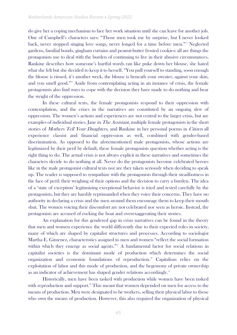do give her a coping mechanism to face her work situation until she can leave for another job. One of Campbell's characters says: "Those men took me by surprise, but I never looked back, never stopped singing love songs, never longed for a time before men."<sup>15</sup> Neglected gardens, familial bonds, gingham curtains and peanut-butter frosted cookies: all are things the protagonists use to deal with the burden of continuing to live in their abusive circumstances. Rankine describes how someone's hurtful words ran like puke down her blouse, she hated what she felt but she decided to keep it to herself. "You pull yourself to standing, soon enough the blouse is rinsed, it's another week, the blouse is beneath your sweater, against your skin, and you smell good."<sup>16</sup> Aside from contemplating acting in an instance of crisis, the female protagonists also find ways to cope with the decision they have made to do nothing and bear the weight of the oppression.

In these cultural texts, the female protagonists respond to their oppression with contemplation, and the crises in the narratives are constituted by an ongoing slew of oppression. The women's actions and experiences are not central to the larger crisis, but are examples of individual stories. Jane in *The Assistant*, multiple female protagonists in the short stories of *Mothers Tell Your Daughters*, and Rankine in her personal poems in *Citizen* all experience classist and financial oppression as well, combined with gender-based discrimination. As opposed to the aforementioned male protagonists, whose actions are legitimized by their peril by default, these female protagonists question whether acting is the right thing to do. The actual crisis is not always explicit in these narratives and sometimes the characters decide to do nothing at all. Never do the protagonists become celebrated heroes like in the male protagonist cultural texts nor are they taken seriously when deciding to speak up. The reader is supposed to sympathize with the protagonists through their steadfastness in the face of peril: their weighing of their options and the decision to carry a burden. The idea of a 'state of exception' legitimizing exceptional behavior is tried and tested carefully by the protagonists, but they are harshly reprimanded when they voice their concerns. They have no authority in declaring a crisis and the men around them encourage them to keep their mouth shut. The women voicing their discomfort are not celebrated nor seen as heroic. Instead, the protagonists are accused of rocking the boat and overexaggerating their stories.

An explanation for this gendered gap in crisis narratives can be found in the theory that men and women experience the world differently due to their expected roles in society, many of which are shaped by capitalist structures and processes. According to sociologist Martha E. Gimenez, characteristics assigned to men and women "reflect the social formation within which they emerge as social agents."<sup>17</sup> A fundamental factor for social relations in capitalist societies is the dominant mode of production which determines the social organization and economic foundations of reproduction.<sup>18</sup> Capitalism relies on the exploitation of labor and this mode of production, and the hegemony of private ownership as an indicator of achievement has shaped gender relations accordingly.<sup>19</sup>

Historically, men have been tasked with production while women have been tasked with reproduction and support.<sup>20</sup> This meant that women depended on men for access to the means of production. Men were designated to be workers, selling their physical labor to those who own the means of production. However, this also required the organization of physical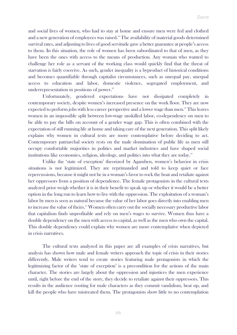and social lives of women, who had to stay at home and ensure men were fed and clothed and a new generation of employees was raised.<sup>21</sup> The availability of material goods determined survival rates, and adjusting to lives of good servitude gave a better guarantee at people's access to them. In this situation, the role of women has been subordinated to that of men, as they have been the ones with access to the means of production. Any woman who wanted to challenge her role as a servant of the working class would quickly find that the threat of starvation is fairly coercive. As such, gender inequality is a byproduct of historical conditions and becomes quantifiable through capitalist circumstances, such as unequal pay, unequal access to education and labor, domestic violence, segregated employment, and underrepresentation in positions of power.<sup>22</sup>

Unfortunately, gendered expectations have not dissipated completely in contemporary society, despite women's increased presence on the work floor. They are now expected to perform jobs with less career perspective and a lower wage than men.<sup>23</sup> This leaves women in an impossible split between low-wage unskilled labor, co-dependency on men to be able to pay the bills on account of a gender wage gap. This is often combined with the expectation of still running life at home and taking care of the next generation. This split likely explains why women in cultural texts are more contemplative before deciding to act. Contemporary patriarchal society rests on the male domination of public life as men still occupy comfortable majorities in politics and market industries and have shaped social institutions like economics, religion, ideology, and politics into what they are today.<sup>24</sup>

Unlike the 'state of exception' theorized by Agamben, women's behavior in crisis situations is not legitimized. They are reprimanded and told to keep quiet or face repercussions, because it might not be in a woman's favor to rock the boat and retaliate against her oppressors from a position of dependence. The female protagonists in the cultural texts analyzed prior weigh whether it is in their benefit to speak up or whether it would be a better option in the long run to learn how to live with the oppression. The exploitation of a woman's labor by men is seen as natural because the value of her labor goes directly into enabling men to increase the value of theirs.<sup>25</sup> Women often carry out the socially necessary productive labor that capitalism finds unprofitable and rely on men's wages to survive. Women thus have a double dependency on the men with access to capital, as well as the men who own the capital. This double dependency could explain why women are more contemplative when depicted in crisis narratives.

The cultural texts analyzed in this paper are all examples of crisis narratives, but analysis has shown how male and female writers approach the topic of crisis in their stories differently. Male writers tend to create stories featuring male protagonists in which the legitimizing factor of the 'state of exception' is a precondition for the actions of the main character. The stories are largely about the oppression and injustices the men experience until, right before the end of the story, they decide to retaliate against their oppressors. This results in the audience rooting for male characters as they commit vandalism, beat up, and kill the people who have mistreated them. The protagonists show little to no contemplation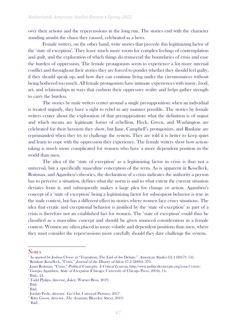over their actions and the repercussions in the long run. The stories end with the character standing amidst the chaos they caused, celebrated as a hero.

Female writers, on the other hand, write stories that precede this legitimizing factor of the 'state of exception'. They leave much more room for complex feelings of contemplation and guilt, and the exploration of which things do transcend the boundaries of crisis and ease the burden of oppression. The female protagonists seem to experience a lot more internal conflict and throughout their stories they are forced to ponder whether they should feel guilty, if they should speak up, and how they can continue living under the circumstances without being bothered too much. All female protagonists have intimate experiences with music, food, art, and relationships in ways that cushion their oppressive reality and helps gather strength to carry the burden.

The stories by male writers center around a single presupposition: when an individual is treated unjustly, they have a right to rebel in any manner possible. The stories by female writers center about the exploration of that presupposition: what the definition is of unjust and which means are legitimate forms of rebellion. Fleck, Green, and Washington are celebrated for their heroism they show, but Jane, Campbell's protagonists, and Rankine are reprimanded when they try to challenge the system. They are told it is better to keep quiet and learn to cope with the oppression they experience. The female writers show how actiontaking is much more complicated for women who have a more dependent position in the world than men.

The idea of the 'state of exception' as a legitimizing factor in crisis is thus not a universal, but a specifically masculine conception of the term. As is apparent in Koselleck, Roitman, and Agamben's theories, the declaration of a crisis indicates the authority a person has to perceive a situation, defines what the norm is and to what extent the current situation deviates from it, and subsequently makes a large plea for change or action. Agamben's concept of a 'state of exception' being a legitimizing factor for subsequent behavior is true in the male context, but has a different effect in stories where women face crises situations. The idea that erratic and exceptional behavior is justified by the 'state of exception' as part of a crisis is therefore not an established fact for women. The 'state of exception' could thus be classified as a masculine concept and should be given nuanced consideration in a female context. Women are often placed in more volatile and dependent positions than men, where they must consider the repercussions more carefully should they dare challenge the system.

**Notes** 

<sup>&</sup>lt;sup>1</sup> As quoted by Joshua Clover in "Transition: The End of the Debate," American Studies 62.4 (2017): 541.

<sup>&</sup>lt;sup>2</sup> Reinhart Koselleck, "Crisis," Journal of the History of Ideas 67.2 (2006): 370.

<sup>&</sup>lt;sup>3</sup> Janet Roitman, "Crisis," *Political Concepts: A Critical Lexicon*, http://www.politicalconcepts.org/issue1/crisis/.

<sup>4</sup> Giorgio Agamben, State of Exception (Chicago: University of Chicago Press, 2004), 14.

 $<sup>5</sup>$  Ibid., 24.</sup>

<sup>&</sup>lt;sup>6</sup> Todd Philips, director, *Joker*, Warner Bros, 2019.

<sup>7</sup> Ibid.

<sup>8</sup> Ibid.

<sup>&</sup>lt;sup>9</sup> Jordan Peele, director, Get Out, Universal Pictures, 2017.

<sup>&</sup>lt;sup>10</sup> Kitty Green, director, *The Assistant*, Bleecker Street, 2019.

 $<sup>11</sup>$  Ibid.</sup>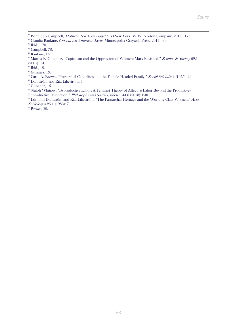<sup>12</sup> Bonnie Jo Campbell, *Mothers Tell Your Daughters* (New York: W.W. Norton Company, 2016), 125.

<sup>13</sup> Claudia Rankine, Citizen: An American Lyric (Minneapolis: Graywolf Press, 2014), 30.

- <sup>15</sup> Campbell, 78.
- $16$  Rankine, 14.
- <sup>17</sup> Martha E. Gimenez, "Capitalism and the Oppression of Women: Marx Revisited," Science & Society 69.1 (2005): 14.
- <sup>18</sup> Ibid., 19.
- $19$  Giminez, 19.
- <sup>20</sup> Carol A. Brown, "Patriarchal Capitalism and the Female-Headed Family," Social Scientist 4 (1975): 29.
- <sup>21</sup> Dahlström and Rita Liljeström, 4.
- $22$  Gimenez, 16.

<sup>28</sup> Shiloh Whitney, "Byproductive Labor: A Feminist Theory of Affective Labor Beyond the Productive-Reproductive Distinction," Philosophy and Social Criticism 44.6 (2018): 640.

<sup>24</sup> Edmund Dahlström and Rita Liljeström, "The Patriarchal Heritage and the Working-Class Women," Acta Sociologica 26.1 (1983): 7.

 $25$  Brown, 29.

<sup>&</sup>lt;sup>14</sup> Ibid., 170.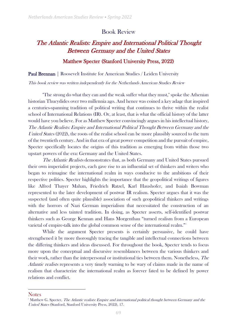#### Book Review

# The Atlantic Realists: Empire and International Political Thought Between Germany and the United States

#### Matthew Specter (Stanford University Press, 2022)

Paul Brennan | Roosevelt Institute for American Studies / Leiden University

This book review was written independently for the Netherlands American Studies Review

"The strong do what they can and the weak suffer what they must," spoke the Athenian historian Thucydides over two millennia ago. And hence was coined a key adage that inspired a centuries-spanning tradition of political writing that continues to thrive within the realist school of International Relations (IR). Or, at least, that is what the official history of the latter would have you believe. For as Matthew Specter convincingly argues in his intellectual history, The Atlantic Realists: Empire and International Political Thought Between Germany and the United States (2022), the roots of the realist school can be more plausibly sourced to the turn of the twentieth century. And in that era of great power competition and the pursuit of empire, Specter specifically locates the origins of this tradition as emerging from within those two upstart powers of the era: Germany and the United States.

The Atlantic Realists demonstrates that, as both Germany and United States pursued their own imperialist projects, each gave rise to an influential set of thinkers and writers who began to reimagine the international realm in ways conducive to the ambitions of their respective polities. Specter highlights the importance that the geopolitical writings of figures like Alfred Thayer Mahan, Friedrich Ratzel, Karl Haushofer, and Isaiah Bowman represented to the later development of postwar IR realism. Specter argues that it was the suspected (and often quite plausible) association of such geopolitical thinkers and writings with the horrors of Nazi German imperialism that necessitated the construction of an alternative and less tainted tradition. In doing, as Specter asserts, self-identified postwar thinkers such as George Kennan and Hans Morgenthau "turned realism from a European varietal of empire-talk into the global common sense of the international realm."

While the argument Specter presents is certainly persuasive, he could have strengthened it by more thoroughly tracing the tangible and intellectual connections between the differing thinkers and ideas discussed. For throughout the book, Specter tends to focus more upon the conceptual and discursive resemblances between the various thinkers and their work, rather than the interpersonal or institutional ties between them. Nonetheless, The Atlantic realists represents a very timely warning to be wary of claims made in the name of realism that characterize the international realm as forever fated to be defined by power relations and conflict.

**Notes** 

<sup>&</sup>lt;sup>1</sup> Matthew G. Specter, *The Atlantic realists: Empire and international political thought between Germany and the* United States (Stanford, Stanford University Press, 2022), 17.